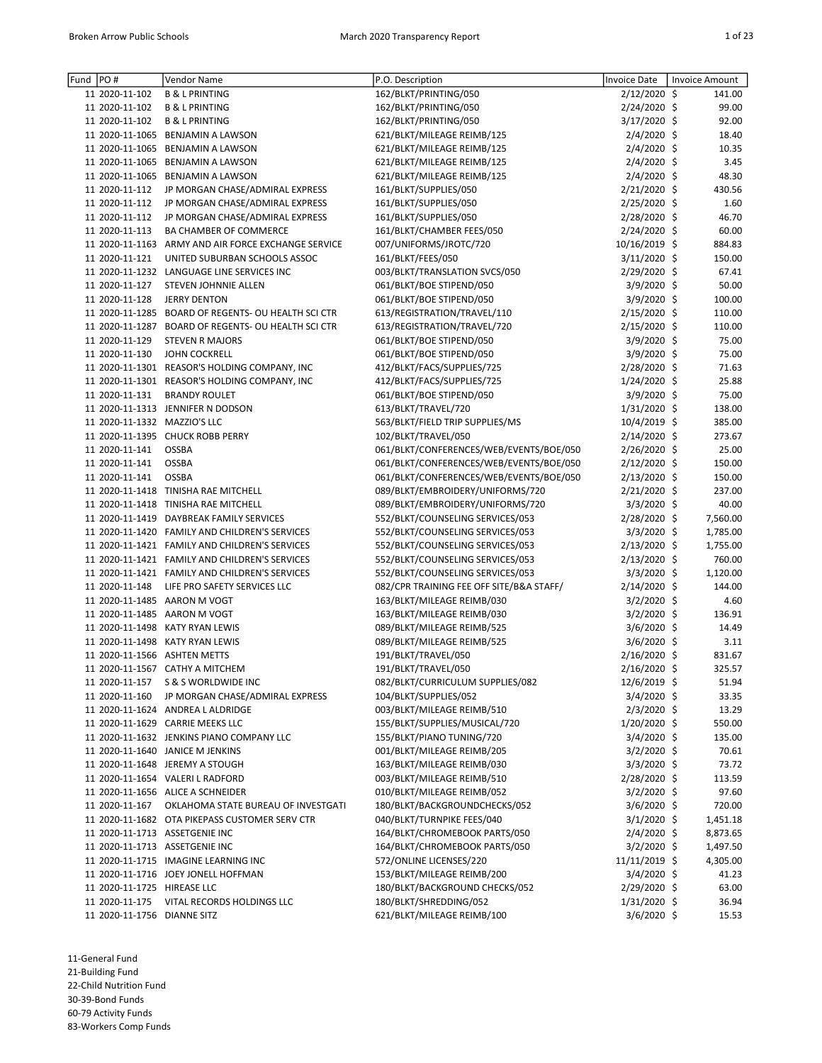| Fund | PO#                          | Vendor Name                                                                           | P.O. Description                                            | Invoice Date    | <b>Invoice Amount</b> |
|------|------------------------------|---------------------------------------------------------------------------------------|-------------------------------------------------------------|-----------------|-----------------------|
|      | 11 2020-11-102               | <b>B &amp; L PRINTING</b>                                                             | 162/BLKT/PRINTING/050                                       | 2/12/2020 \$    | 141.00                |
|      | 11 2020-11-102               | <b>B &amp; L PRINTING</b>                                                             | 162/BLKT/PRINTING/050                                       | 2/24/2020 \$    | 99.00                 |
|      | 11 2020-11-102               |                                                                                       |                                                             |                 | 92.00                 |
|      |                              | <b>B &amp; L PRINTING</b>                                                             | 162/BLKT/PRINTING/050                                       | 3/17/2020 \$    |                       |
|      |                              | 11 2020-11-1065 BENJAMIN A LAWSON                                                     | 621/BLKT/MILEAGE REIMB/125                                  | $2/4/2020$ \$   | 18.40                 |
|      |                              | 11 2020-11-1065 BENJAMIN A LAWSON                                                     | 621/BLKT/MILEAGE REIMB/125                                  | $2/4/2020$ \$   | 10.35                 |
|      |                              | 11 2020-11-1065 BENJAMIN A LAWSON                                                     | 621/BLKT/MILEAGE REIMB/125                                  | 2/4/2020 \$     | 3.45                  |
|      |                              | 11 2020-11-1065 BENJAMIN A LAWSON                                                     | 621/BLKT/MILEAGE REIMB/125                                  | 2/4/2020 \$     | 48.30                 |
|      | 11 2020-11-112               | JP MORGAN CHASE/ADMIRAL EXPRESS                                                       | 161/BLKT/SUPPLIES/050                                       | 2/21/2020 \$    | 430.56                |
|      | 11 2020-11-112               | JP MORGAN CHASE/ADMIRAL EXPRESS                                                       | 161/BLKT/SUPPLIES/050                                       | 2/25/2020 \$    | 1.60                  |
|      | 11 2020-11-112               | JP MORGAN CHASE/ADMIRAL EXPRESS                                                       | 161/BLKT/SUPPLIES/050                                       | 2/28/2020 \$    | 46.70                 |
|      | 11 2020-11-113               | BA CHAMBER OF COMMERCE                                                                | 161/BLKT/CHAMBER FEES/050                                   | $2/24/2020$ \$  | 60.00                 |
|      |                              | 11 2020-11-1163 ARMY AND AIR FORCE EXCHANGE SERVICE                                   | 007/UNIFORMS/JROTC/720                                      | 10/16/2019 \$   | 884.83                |
|      | 11 2020-11-121               | UNITED SUBURBAN SCHOOLS ASSOC                                                         | 161/BLKT/FEES/050                                           | $3/11/2020$ \$  | 150.00                |
|      |                              | 11 2020-11-1232 LANGUAGE LINE SERVICES INC                                            | 003/BLKT/TRANSLATION SVCS/050                               | 2/29/2020 \$    | 67.41                 |
|      | 11 2020-11-127               | STEVEN JOHNNIE ALLEN                                                                  | 061/BLKT/BOE STIPEND/050                                    | 3/9/2020 \$     | 50.00                 |
|      | 11 2020-11-128               | <b>JERRY DENTON</b>                                                                   | 061/BLKT/BOE STIPEND/050                                    | $3/9/2020$ \$   | 100.00                |
|      |                              | 11 2020-11-1285 BOARD OF REGENTS- OU HEALTH SCI CTR                                   | 613/REGISTRATION/TRAVEL/110                                 | 2/15/2020 \$    | 110.00                |
|      |                              | 11 2020-11-1287 BOARD OF REGENTS- OU HEALTH SCI CTR                                   | 613/REGISTRATION/TRAVEL/720                                 | 2/15/2020 \$    | 110.00                |
|      | 11 2020-11-129               | <b>STEVEN R MAJORS</b>                                                                | 061/BLKT/BOE STIPEND/050                                    | 3/9/2020 \$     | 75.00                 |
|      | 11 2020-11-130               | <b>JOHN COCKRELL</b>                                                                  | 061/BLKT/BOE STIPEND/050                                    | $3/9/2020$ \$   | 75.00                 |
|      |                              | 11 2020-11-1301 REASOR'S HOLDING COMPANY, INC                                         | 412/BLKT/FACS/SUPPLIES/725                                  | $2/28/2020$ \$  | 71.63                 |
|      |                              | 11 2020-11-1301 REASOR'S HOLDING COMPANY, INC                                         | 412/BLKT/FACS/SUPPLIES/725                                  | 1/24/2020 \$    | 25.88                 |
|      | 11 2020-11-131               | <b>BRANDY ROULET</b>                                                                  | 061/BLKT/BOE STIPEND/050                                    | $3/9/2020$ \$   | 75.00                 |
|      |                              | 11 2020-11-1313 JENNIFER N DODSON                                                     | 613/BLKT/TRAVEL/720                                         | $1/31/2020$ \$  | 138.00                |
|      | 11 2020-11-1332 MAZZIO'S LLC |                                                                                       | 563/BLKT/FIELD TRIP SUPPLIES/MS                             | 10/4/2019 \$    | 385.00                |
|      |                              | 11 2020-11-1395 CHUCK ROBB PERRY                                                      | 102/BLKT/TRAVEL/050                                         | $2/14/2020$ \$  | 273.67                |
|      | 11 2020-11-141               | <b>OSSBA</b>                                                                          | 061/BLKT/CONFERENCES/WEB/EVENTS/BOE/050                     | 2/26/2020 \$    | 25.00                 |
|      | 11 2020-11-141               | <b>OSSBA</b>                                                                          | 061/BLKT/CONFERENCES/WEB/EVENTS/BOE/050                     | 2/12/2020 \$    | 150.00                |
|      | 11 2020-11-141               | <b>OSSBA</b>                                                                          | 061/BLKT/CONFERENCES/WEB/EVENTS/BOE/050                     | 2/13/2020 \$    | 150.00                |
|      |                              | 11 2020-11-1418 TINISHA RAE MITCHELL                                                  | 089/BLKT/EMBROIDERY/UNIFORMS/720                            | 2/21/2020 \$    | 237.00                |
|      |                              | 11 2020-11-1418 TINISHA RAE MITCHELL                                                  | 089/BLKT/EMBROIDERY/UNIFORMS/720                            | $3/3/2020$ \$   | 40.00                 |
|      |                              | 11 2020-11-1419 DAYBREAK FAMILY SERVICES                                              | 552/BLKT/COUNSELING SERVICES/053                            | 2/28/2020 \$    | 7,560.00              |
|      |                              | 11 2020-11-1420 FAMILY AND CHILDREN'S SERVICES                                        | 552/BLKT/COUNSELING SERVICES/053                            | $3/3/2020$ \$   | 1,785.00              |
|      |                              | 11 2020-11-1421 FAMILY AND CHILDREN'S SERVICES                                        | 552/BLKT/COUNSELING SERVICES/053                            | 2/13/2020 \$    | 1,755.00              |
|      |                              | 11 2020-11-1421 FAMILY AND CHILDREN'S SERVICES                                        | 552/BLKT/COUNSELING SERVICES/053                            | 2/13/2020 \$    | 760.00                |
|      |                              | 11 2020-11-1421 FAMILY AND CHILDREN'S SERVICES                                        | 552/BLKT/COUNSELING SERVICES/053                            | $3/3/2020$ \$   | 1,120.00              |
|      | 11 2020-11-148               | LIFE PRO SAFETY SERVICES LLC                                                          | 082/CPR TRAINING FEE OFF SITE/B&A STAFF/                    | 2/14/2020 \$    | 144.00                |
|      |                              | 11 2020-11-1485 AARON M VOGT                                                          | 163/BLKT/MILEAGE REIMB/030                                  | $3/2/2020$ \$   | 4.60                  |
|      |                              | 11 2020-11-1485 AARON M VOGT                                                          | 163/BLKT/MILEAGE REIMB/030                                  | $3/2/2020$ \$   | 136.91                |
|      |                              | 11 2020-11-1498 KATY RYAN LEWIS                                                       | 089/BLKT/MILEAGE REIMB/525                                  | 3/6/2020 \$     | 14.49                 |
|      |                              | 11 2020-11-1498 KATY RYAN LEWIS                                                       | 089/BLKT/MILEAGE REIMB/525                                  | $3/6/2020$ \$   | 3.11                  |
|      |                              | 11 2020-11-1566 ASHTEN METTS                                                          | 191/BLKT/TRAVEL/050                                         | 2/16/2020 \$    | 831.67                |
|      |                              | 11 2020-11-1567 CATHY A MITCHEM                                                       | 191/BLKT/TRAVEL/050                                         | 2/16/2020 \$    | 325.57                |
|      | 11 2020-11-157               | S & S WORLDWIDE INC                                                                   | 082/BLKT/CURRICULUM SUPPLIES/082                            | 12/6/2019 \$    | 51.94                 |
|      | 11 2020-11-160               | JP MORGAN CHASE/ADMIRAL EXPRESS                                                       | 104/BLKT/SUPPLIES/052                                       | $3/4/2020$ \$   | 33.35                 |
|      |                              | 11 2020-11-1624 ANDREA L ALDRIDGE                                                     | 003/BLKT/MILEAGE REIMB/510                                  | $2/3/2020$ \$   | 13.29                 |
|      |                              | 11 2020-11-1629 CARRIE MEEKS LLC                                                      | 155/BLKT/SUPPLIES/MUSICAL/720                               | $1/20/2020$ \$  | 550.00                |
|      |                              | 11 2020-11-1632 JENKINS PIANO COMPANY LLC                                             | 155/BLKT/PIANO TUNING/720                                   | $3/4/2020$ \$   | 135.00                |
|      |                              | 11 2020-11-1640 JANICE M JENKINS                                                      | 001/BLKT/MILEAGE REIMB/205                                  | $3/2/2020$ \$   | 70.61                 |
|      |                              | 11 2020-11-1648 JEREMY A STOUGH                                                       | 163/BLKT/MILEAGE REIMB/030                                  | $3/3/2020$ \$   | 73.72                 |
|      |                              | 11 2020-11-1654 VALERI L RADFORD                                                      | 003/BLKT/MILEAGE REIMB/510                                  | $2/28/2020$ \$  |                       |
|      |                              | 11 2020-11-1656 ALICE A SCHNEIDER                                                     | 010/BLKT/MILEAGE REIMB/052                                  | $3/2/2020$ \$   | 113.59<br>97.60       |
|      |                              |                                                                                       |                                                             |                 |                       |
|      | 11 2020-11-167               | OKLAHOMA STATE BUREAU OF INVESTGATI<br>11 2020-11-1682 OTA PIKEPASS CUSTOMER SERV CTR | 180/BLKT/BACKGROUNDCHECKS/052<br>040/BLKT/TURNPIKE FEES/040 | $3/6/2020$ \$   | 720.00                |
|      |                              |                                                                                       |                                                             | $3/1/2020$ \$   | 1,451.18              |
|      |                              | 11 2020-11-1713 ASSETGENIE INC                                                        | 164/BLKT/CHROMEBOOK PARTS/050                               | $2/4/2020$ \$   | 8,873.65              |
|      |                              | 11 2020-11-1713 ASSETGENIE INC                                                        | 164/BLKT/CHROMEBOOK PARTS/050                               | $3/2/2020$ \$   | 1,497.50              |
|      |                              | 11 2020-11-1715 IMAGINE LEARNING INC                                                  | 572/ONLINE LICENSES/220                                     | $11/11/2019$ \$ | 4,305.00              |
|      |                              | 11 2020-11-1716 JOEY JONELL HOFFMAN                                                   | 153/BLKT/MILEAGE REIMB/200                                  | $3/4/2020$ \$   | 41.23                 |
|      | 11 2020-11-1725 HIREASE LLC  |                                                                                       | 180/BLKT/BACKGROUND CHECKS/052                              | $2/29/2020$ \$  | 63.00                 |
|      | 11 2020-11-175               | VITAL RECORDS HOLDINGS LLC                                                            | 180/BLKT/SHREDDING/052                                      | $1/31/2020$ \$  | 36.94                 |
|      | 11 2020-11-1756 DIANNE SITZ  |                                                                                       | 621/BLKT/MILEAGE REIMB/100                                  | $3/6/2020$ \$   | 15.53                 |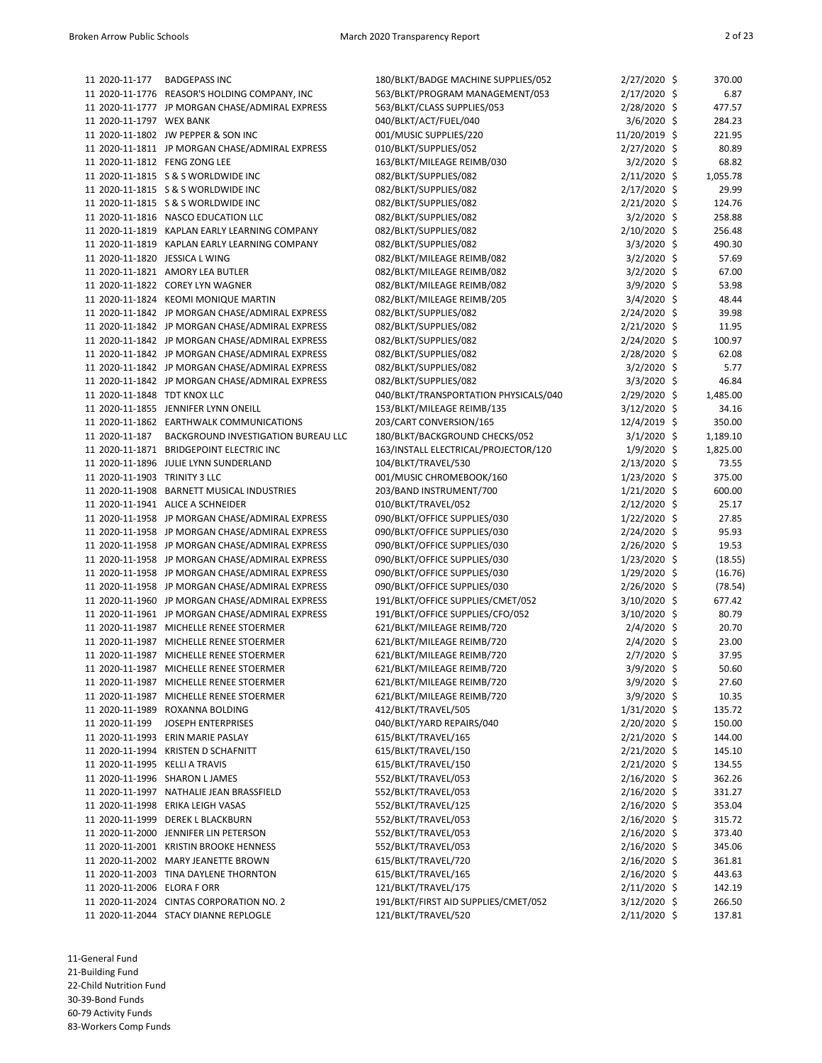| 11 2020-11-177                 | <b>BADGEPASS INC</b>                            | 180/BLKT/BADGE MACHINE SUPPLIES/052   | 2/27/2020 \$   | 370.00   |
|--------------------------------|-------------------------------------------------|---------------------------------------|----------------|----------|
|                                | 11 2020-11-1776 REASOR'S HOLDING COMPANY, INC   | 563/BLKT/PROGRAM MANAGEMENT/053       | 2/17/2020 \$   | 6.87     |
|                                | 11 2020-11-1777 JP MORGAN CHASE/ADMIRAL EXPRESS | 563/BLKT/CLASS SUPPLIES/053           | $2/28/2020$ \$ | 477.57   |
| 11 2020-11-1797 WEX BANK       |                                                 | 040/BLKT/ACT/FUEL/040                 | 3/6/2020 \$    | 284.23   |
|                                | 11 2020-11-1802 JW PEPPER & SON INC             | 001/MUSIC SUPPLIES/220                | 11/20/2019 \$  | 221.95   |
|                                | 11 2020-11-1811 JP MORGAN CHASE/ADMIRAL EXPRESS | 010/BLKT/SUPPLIES/052                 | 2/27/2020 \$   | 80.89    |
|                                |                                                 |                                       |                |          |
| 11 2020-11-1812 FENG ZONG LEE  |                                                 | 163/BLKT/MILEAGE REIMB/030            | $3/2/2020$ \$  | 68.82    |
|                                | 11 2020-11-1815 S & S WORLDWIDE INC             | 082/BLKT/SUPPLIES/082                 | $2/11/2020$ \$ | 1,055.78 |
|                                | 11 2020-11-1815 S & S WORLDWIDE INC             | 082/BLKT/SUPPLIES/082                 | 2/17/2020 \$   | 29.99    |
|                                | 11 2020-11-1815 S & S WORLDWIDE INC             | 082/BLKT/SUPPLIES/082                 | 2/21/2020 \$   | 124.76   |
|                                | 11 2020-11-1816 NASCO EDUCATION LLC             | 082/BLKT/SUPPLIES/082                 | $3/2/2020$ \$  | 258.88   |
|                                | 11 2020-11-1819 KAPLAN EARLY LEARNING COMPANY   | 082/BLKT/SUPPLIES/082                 | 2/10/2020 \$   | 256.48   |
|                                | 11 2020-11-1819 KAPLAN EARLY LEARNING COMPANY   | 082/BLKT/SUPPLIES/082                 | 3/3/2020 \$    | 490.30   |
|                                |                                                 |                                       |                |          |
| 11 2020-11-1820 JESSICA L WING |                                                 | 082/BLKT/MILEAGE REIMB/082            | $3/2/2020$ \$  | 57.69    |
|                                | 11 2020-11-1821 AMORY LEA BUTLER                | 082/BLKT/MILEAGE REIMB/082            | 3/2/2020 \$    | 67.00    |
|                                | 11 2020-11-1822 COREY LYN WAGNER                | 082/BLKT/MILEAGE REIMB/082            | 3/9/2020 \$    | 53.98    |
|                                | 11 2020-11-1824 KEOMI MONIQUE MARTIN            | 082/BLKT/MILEAGE REIMB/205            | 3/4/2020 \$    | 48.44    |
|                                | 11 2020-11-1842 JP MORGAN CHASE/ADMIRAL EXPRESS | 082/BLKT/SUPPLIES/082                 | 2/24/2020 \$   | 39.98    |
|                                | 11 2020-11-1842 JP MORGAN CHASE/ADMIRAL EXPRESS | 082/BLKT/SUPPLIES/082                 | 2/21/2020 \$   | 11.95    |
|                                | 11 2020-11-1842 JP MORGAN CHASE/ADMIRAL EXPRESS | 082/BLKT/SUPPLIES/082                 | 2/24/2020 \$   | 100.97   |
|                                |                                                 |                                       |                |          |
|                                | 11 2020-11-1842 JP MORGAN CHASE/ADMIRAL EXPRESS | 082/BLKT/SUPPLIES/082                 | 2/28/2020 \$   | 62.08    |
|                                | 11 2020-11-1842 JP MORGAN CHASE/ADMIRAL EXPRESS | 082/BLKT/SUPPLIES/082                 | $3/2/2020$ \$  | 5.77     |
|                                | 11 2020-11-1842 JP MORGAN CHASE/ADMIRAL EXPRESS | 082/BLKT/SUPPLIES/082                 | $3/3/2020$ \$  | 46.84    |
| 11 2020-11-1848 TDT KNOX LLC   |                                                 | 040/BLKT/TRANSPORTATION PHYSICALS/040 | 2/29/2020 \$   | 1,485.00 |
|                                | 11 2020-11-1855 JENNIFER LYNN ONEILL            | 153/BLKT/MILEAGE REIMB/135            | 3/12/2020 \$   | 34.16    |
|                                | 11 2020-11-1862 EARTHWALK COMMUNICATIONS        | 203/CART CONVERSION/165               | 12/4/2019 \$   | 350.00   |
| 11 2020-11-187                 | BACKGROUND INVESTIGATION BUREAU LLC             | 180/BLKT/BACKGROUND CHECKS/052        | $3/1/2020$ \$  | 1,189.10 |
|                                | 11 2020-11-1871 BRIDGEPOINT ELECTRIC INC        |                                       |                |          |
|                                |                                                 | 163/INSTALL ELECTRICAL/PROJECTOR/120  | $1/9/2020$ \$  | 1,825.00 |
|                                | 11 2020-11-1896 JULIE LYNN SUNDERLAND           | 104/BLKT/TRAVEL/530                   | 2/13/2020 \$   | 73.55    |
| 11 2020-11-1903 TRINITY 3 LLC  |                                                 | 001/MUSIC CHROMEBOOK/160              | $1/23/2020$ \$ | 375.00   |
|                                | 11 2020-11-1908 BARNETT MUSICAL INDUSTRIES      | 203/BAND INSTRUMENT/700               | $1/21/2020$ \$ | 600.00   |
|                                | 11 2020-11-1941 ALICE A SCHNEIDER               | 010/BLKT/TRAVEL/052                   | $2/12/2020$ \$ | 25.17    |
|                                | 11 2020-11-1958 JP MORGAN CHASE/ADMIRAL EXPRESS | 090/BLKT/OFFICE SUPPLIES/030          | $1/22/2020$ \$ | 27.85    |
|                                | 11 2020-11-1958 JP MORGAN CHASE/ADMIRAL EXPRESS | 090/BLKT/OFFICE SUPPLIES/030          | 2/24/2020 \$   | 95.93    |
|                                | 11 2020-11-1958 JP MORGAN CHASE/ADMIRAL EXPRESS | 090/BLKT/OFFICE SUPPLIES/030          | 2/26/2020 \$   | 19.53    |
|                                |                                                 |                                       |                |          |
|                                | 11 2020-11-1958 JP MORGAN CHASE/ADMIRAL EXPRESS | 090/BLKT/OFFICE SUPPLIES/030          | $1/23/2020$ \$ | (18.55)  |
|                                | 11 2020-11-1958 JP MORGAN CHASE/ADMIRAL EXPRESS | 090/BLKT/OFFICE SUPPLIES/030          | $1/29/2020$ \$ | (16.76)  |
|                                | 11 2020-11-1958 JP MORGAN CHASE/ADMIRAL EXPRESS | 090/BLKT/OFFICE SUPPLIES/030          | $2/26/2020$ \$ | (78.54)  |
|                                | 11 2020-11-1960 JP MORGAN CHASE/ADMIRAL EXPRESS | 191/BLKT/OFFICE SUPPLIES/CMET/052     | 3/10/2020 \$   | 677.42   |
|                                | 11 2020-11-1961 JP MORGAN CHASE/ADMIRAL EXPRESS | 191/BLKT/OFFICE SUPPLIES/CFO/052      | 3/10/2020 \$   | 80.79    |
|                                | 11 2020-11-1987 MICHELLE RENEE STOERMER         | 621/BLKT/MILEAGE REIMB/720            | 2/4/2020 \$    | 20.70    |
|                                | 11 2020-11-1987 MICHELLE RENEE STOERMER         | 621/BLKT/MILEAGE REIMB/720            | 2/4/2020 \$    | 23.00    |
|                                | 11 2020-11-1987 MICHELLE RENEE STOERMER         |                                       | 2/7/2020 \$    | 37.95    |
|                                |                                                 | 621/BLKT/MILEAGE REIMB/720            |                |          |
|                                | 11 2020-11-1987 MICHELLE RENEE STOERMER         | 621/BLKT/MILEAGE REIMB/720            | 3/9/2020 \$    | 50.60    |
|                                | 11 2020-11-1987 MICHELLE RENEE STOERMER         | 621/BLKT/MILEAGE REIMB/720            | 3/9/2020 \$    | 27.60    |
|                                | 11 2020-11-1987 MICHELLE RENEE STOERMER         | 621/BLKT/MILEAGE REIMB/720            | 3/9/2020 \$    | 10.35    |
|                                | 11 2020-11-1989 ROXANNA BOLDING                 | 412/BLKT/TRAVEL/505                   | 1/31/2020 \$   | 135.72   |
| 11 2020-11-199                 | JOSEPH ENTERPRISES                              | 040/BLKT/YARD REPAIRS/040             | 2/20/2020 \$   | 150.00   |
|                                | 11 2020-11-1993 ERIN MARIE PASLAY               | 615/BLKT/TRAVEL/165                   | 2/21/2020 \$   | 144.00   |
|                                | 11 2020-11-1994 KRISTEN D SCHAFNITT             | 615/BLKT/TRAVEL/150                   | 2/21/2020 \$   | 145.10   |
|                                |                                                 |                                       |                |          |
| 11 2020-11-1995 KELLI A TRAVIS |                                                 | 615/BLKT/TRAVEL/150                   | 2/21/2020 \$   | 134.55   |
|                                | 11 2020-11-1996 SHARON LJAMES                   | 552/BLKT/TRAVEL/053                   | $2/16/2020$ \$ | 362.26   |
|                                | 11 2020-11-1997 NATHALIE JEAN BRASSFIELD        | 552/BLKT/TRAVEL/053                   | 2/16/2020 \$   | 331.27   |
|                                | 11 2020-11-1998 ERIKA LEIGH VASAS               | 552/BLKT/TRAVEL/125                   | 2/16/2020 \$   | 353.04   |
|                                | 11 2020-11-1999 DEREK L BLACKBURN               | 552/BLKT/TRAVEL/053                   | 2/16/2020 \$   | 315.72   |
|                                | 11 2020-11-2000 JENNIFER LIN PETERSON           | 552/BLKT/TRAVEL/053                   | $2/16/2020$ \$ | 373.40   |
|                                | 11 2020-11-2001 KRISTIN BROOKE HENNESS          | 552/BLKT/TRAVEL/053                   | 2/16/2020 \$   | 345.06   |
|                                | 11 2020-11-2002 MARY JEANETTE BROWN             | 615/BLKT/TRAVEL/720                   | 2/16/2020 \$   | 361.81   |
|                                |                                                 |                                       |                |          |
|                                | 11 2020-11-2003 TINA DAYLENE THORNTON           | 615/BLKT/TRAVEL/165                   | 2/16/2020 \$   | 443.63   |
| 11 2020-11-2006 ELORA F ORR    |                                                 | 121/BLKT/TRAVEL/175                   | 2/11/2020 \$   | 142.19   |
|                                | 11 2020-11-2024 CINTAS CORPORATION NO. 2        | 191/BLKT/FIRST AID SUPPLIES/CMET/052  | 3/12/2020 \$   | 266.50   |
|                                | 11 2020-11-2044 STACY DIANNE REPLOGLE           | 121/BLKT/TRAVEL/520                   | 2/11/2020 \$   | 137.81   |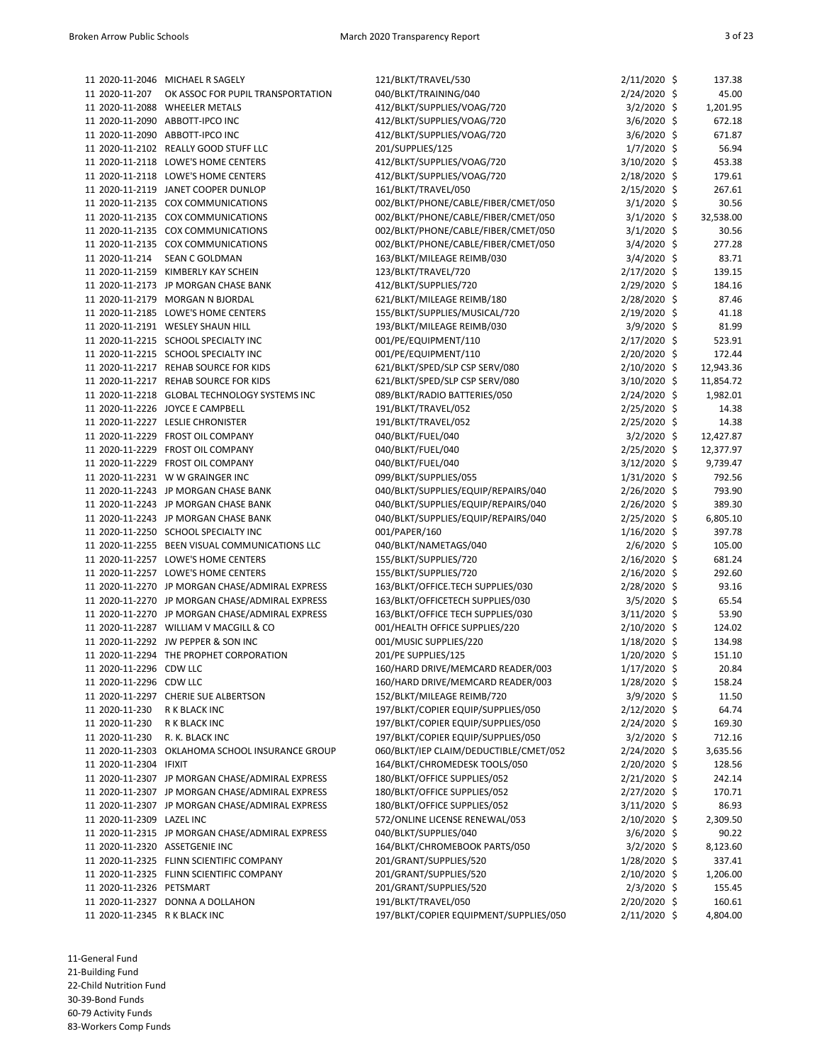|                                | 11 2020-11-2046 MICHAEL R SAGELY                | 121/BLKT/TRAVEL/530                                                          | $2/11/2020$ \$                   | 137.38         |
|--------------------------------|-------------------------------------------------|------------------------------------------------------------------------------|----------------------------------|----------------|
| 11 2020-11-207                 | OK ASSOC FOR PUPIL TRANSPORTATION               | 040/BLKT/TRAINING/040                                                        | 2/24/2020 \$                     | 45.00          |
|                                | 11 2020-11-2088 WHEELER METALS                  | 412/BLKT/SUPPLIES/VOAG/720                                                   | $3/2/2020$ \$                    | 1,201.95       |
|                                | 11 2020-11-2090 ABBOTT-IPCO INC                 | 412/BLKT/SUPPLIES/VOAG/720                                                   | $3/6/2020$ \$                    | 672.18         |
|                                | 11 2020-11-2090 ABBOTT-IPCO INC                 | 412/BLKT/SUPPLIES/VOAG/720                                                   | 3/6/2020 \$                      | 671.87         |
|                                | 11 2020-11-2102 REALLY GOOD STUFF LLC           | 201/SUPPLIES/125                                                             | $1/7/2020$ \$                    | 56.94          |
|                                | 11 2020-11-2118 LOWE'S HOME CENTERS             | 412/BLKT/SUPPLIES/VOAG/720                                                   | 3/10/2020 \$                     | 453.38         |
|                                | 11 2020-11-2118 LOWE'S HOME CENTERS             | 412/BLKT/SUPPLIES/VOAG/720                                                   | $2/18/2020$ \$                   | 179.61         |
|                                | 11 2020-11-2119 JANET COOPER DUNLOP             | 161/BLKT/TRAVEL/050                                                          | 2/15/2020 \$                     | 267.61         |
|                                | 11 2020-11-2135 COX COMMUNICATIONS              | 002/BLKT/PHONE/CABLE/FIBER/CMET/050                                          | $3/1/2020$ \$                    | 30.56          |
|                                | 11 2020-11-2135 COX COMMUNICATIONS              | 002/BLKT/PHONE/CABLE/FIBER/CMET/050                                          | $3/1/2020$ \$                    | 32,538.00      |
|                                | 11 2020-11-2135 COX COMMUNICATIONS              | 002/BLKT/PHONE/CABLE/FIBER/CMET/050                                          | $3/1/2020$ \$                    | 30.56          |
|                                | 11 2020-11-2135 COX COMMUNICATIONS              | 002/BLKT/PHONE/CABLE/FIBER/CMET/050                                          | $3/4/2020$ \$                    | 277.28         |
| 11 2020-11-214                 | <b>SEAN C GOLDMAN</b>                           | 163/BLKT/MILEAGE REIMB/030                                                   | $3/4/2020$ \$                    | 83.71          |
|                                | 11 2020-11-2159 KIMBERLY KAY SCHEIN             | 123/BLKT/TRAVEL/720                                                          | 2/17/2020 \$                     | 139.15         |
|                                | 11 2020-11-2173 JP MORGAN CHASE BANK            | 412/BLKT/SUPPLIES/720                                                        | 2/29/2020 \$                     | 184.16         |
|                                | 11 2020-11-2179 MORGAN N BJORDAL                | 621/BLKT/MILEAGE REIMB/180                                                   | 2/28/2020 \$                     | 87.46          |
|                                | 11 2020-11-2185 LOWE'S HOME CENTERS             | 155/BLKT/SUPPLIES/MUSICAL/720                                                | $2/19/2020$ \$                   | 41.18          |
|                                | 11 2020-11-2191 WESLEY SHAUN HILL               | 193/BLKT/MILEAGE REIMB/030                                                   | $3/9/2020$ \$                    | 81.99          |
|                                | 11 2020-11-2215 SCHOOL SPECIALTY INC            | 001/PE/EQUIPMENT/110                                                         | 2/17/2020 \$                     | 523.91         |
|                                | 11 2020-11-2215 SCHOOL SPECIALTY INC            | 001/PE/EQUIPMENT/110                                                         | $2/20/2020$ \$                   | 172.44         |
|                                | 11 2020-11-2217 REHAB SOURCE FOR KIDS           | 621/BLKT/SPED/SLP CSP SERV/080                                               | $2/10/2020$ \$                   | 12,943.36      |
|                                | 11 2020-11-2217 REHAB SOURCE FOR KIDS           | 621/BLKT/SPED/SLP CSP SERV/080                                               | $3/10/2020$ \$                   | 11,854.72      |
|                                | 11 2020-11-2218 GLOBAL TECHNOLOGY SYSTEMS INC   | 089/BLKT/RADIO BATTERIES/050                                                 | 2/24/2020 \$                     | 1,982.01       |
|                                | 11 2020-11-2226 JOYCE E CAMPBELL                | 191/BLKT/TRAVEL/052                                                          | $2/25/2020$ \$                   | 14.38          |
|                                | 11 2020-11-2227 LESLIE CHRONISTER               | 191/BLKT/TRAVEL/052                                                          | $2/25/2020$ \$                   | 14.38          |
|                                | 11 2020-11-2229 FROST OIL COMPANY               | 040/BLKT/FUEL/040                                                            | $3/2/2020$ \$                    | 12,427.87      |
|                                | 11 2020-11-2229 FROST OIL COMPANY               | 040/BLKT/FUEL/040                                                            | $2/25/2020$ \$                   | 12,377.97      |
|                                | 11 2020-11-2229 FROST OIL COMPANY               | 040/BLKT/FUEL/040                                                            | 3/12/2020 \$                     | 9,739.47       |
|                                | 11 2020-11-2231 W W GRAINGER INC                | 099/BLKT/SUPPLIES/055                                                        | 1/31/2020 \$                     | 792.56         |
|                                | 11 2020-11-2243 JP MORGAN CHASE BANK            | 040/BLKT/SUPPLIES/EQUIP/REPAIRS/040                                          | $2/26/2020$ \$                   | 793.90         |
|                                | 11 2020-11-2243 JP MORGAN CHASE BANK            | 040/BLKT/SUPPLIES/EQUIP/REPAIRS/040                                          | $2/26/2020$ \$                   | 389.30         |
|                                | 11 2020-11-2243 JP MORGAN CHASE BANK            | 040/BLKT/SUPPLIES/EQUIP/REPAIRS/040                                          | 2/25/2020 \$                     | 6,805.10       |
|                                | 11 2020-11-2250 SCHOOL SPECIALTY INC            | 001/PAPER/160                                                                | 1/16/2020 \$                     | 397.78         |
|                                | 11 2020-11-2255 BEEN VISUAL COMMUNICATIONS LLC  | 040/BLKT/NAMETAGS/040                                                        | $2/6/2020$ \$                    | 105.00         |
|                                | 11 2020-11-2257 LOWE'S HOME CENTERS             | 155/BLKT/SUPPLIES/720                                                        | 2/16/2020 \$                     | 681.24         |
|                                | 11 2020-11-2257 LOWE'S HOME CENTERS             | 155/BLKT/SUPPLIES/720                                                        | 2/16/2020 \$                     | 292.60         |
|                                | 11 2020-11-2270 JP MORGAN CHASE/ADMIRAL EXPRESS | 163/BLKT/OFFICE.TECH SUPPLIES/030                                            | $2/28/2020$ \$                   | 93.16          |
|                                | 11 2020-11-2270 JP MORGAN CHASE/ADMIRAL EXPRESS | 163/BLKT/OFFICETECH SUPPLIES/030                                             | 3/5/2020 \$                      | 65.54          |
|                                | 11 2020-11-2270 JP MORGAN CHASE/ADMIRAL EXPRESS | 163/BLKT/OFFICE TECH SUPPLIES/030                                            | 3/11/2020 \$                     | 53.90          |
|                                | 11 2020-11-2287 WILLIAM V MACGILL & CO          |                                                                              |                                  | 124.02         |
|                                | 11 2020-11-2292 JW PEPPER & SON INC             | 001/HEALTH OFFICE SUPPLIES/220<br>001/MUSIC SUPPLIES/220                     | $2/10/2020$ \$<br>$1/18/2020$ \$ | 134.98         |
|                                | 11 2020-11-2294 THE PROPHET CORPORATION         | 201/PE SUPPLIES/125                                                          | 1/20/2020 \$                     | 151.10         |
|                                |                                                 |                                                                              |                                  |                |
| 11 2020-11-2296 CDW LLC        |                                                 | 160/HARD DRIVE/MEMCARD READER/003                                            | 1/17/2020 \$<br>1/28/2020 \$     | 20.84          |
| 11 2020-11-2296 CDW LLC        |                                                 | 160/HARD DRIVE/MEMCARD READER/003                                            | 3/9/2020 \$                      | 158.24         |
| 11 2020-11-230                 | 11 2020-11-2297 CHERIE SUE ALBERTSON            | 152/BLKT/MILEAGE REIMB/720<br>197/BLKT/COPIER EQUIP/SUPPLIES/050             |                                  | 11.50<br>64.74 |
|                                | R K BLACK INC                                   |                                                                              | 2/12/2020 \$<br>2/24/2020 \$     |                |
| 11 2020-11-230                 | R K BLACK INC                                   | 197/BLKT/COPIER EQUIP/SUPPLIES/050                                           |                                  | 169.30         |
| 11 2020-11-230                 | R. K. BLACK INC                                 | 197/BLKT/COPIER EQUIP/SUPPLIES/050<br>060/BLKT/IEP CLAIM/DEDUCTIBLE/CMET/052 | $3/2/2020$ \$                    | 712.16         |
|                                | 11 2020-11-2303 OKLAHOMA SCHOOL INSURANCE GROUP | 164/BLKT/CHROMEDESK TOOLS/050                                                | $2/24/2020$ \$                   | 3,635.56       |
| 11 2020-11-2304 IFIXIT         | 11 2020-11-2307 JP MORGAN CHASE/ADMIRAL EXPRESS |                                                                              | 2/20/2020 \$<br>$2/21/2020$ \$   | 128.56         |
|                                |                                                 | 180/BLKT/OFFICE SUPPLIES/052                                                 |                                  | 242.14         |
|                                | 11 2020-11-2307 JP MORGAN CHASE/ADMIRAL EXPRESS | 180/BLKT/OFFICE SUPPLIES/052<br>180/BLKT/OFFICE SUPPLIES/052                 | $2/27/2020$ \$                   | 170.71         |
|                                | 11 2020-11-2307 JP MORGAN CHASE/ADMIRAL EXPRESS |                                                                              | 3/11/2020 \$                     | 86.93          |
| 11 2020-11-2309 LAZEL INC      |                                                 | 572/ONLINE LICENSE RENEWAL/053                                               | $2/10/2020$ \$                   | 2,309.50       |
|                                | 11 2020-11-2315 JP MORGAN CHASE/ADMIRAL EXPRESS | 040/BLKT/SUPPLIES/040                                                        | $3/6/2020$ \$                    | 90.22          |
| 11 2020-11-2320 ASSETGENIE INC |                                                 | 164/BLKT/CHROMEBOOK PARTS/050                                                | $3/2/2020$ \$                    | 8,123.60       |
|                                | 11 2020-11-2325 FLINN SCIENTIFIC COMPANY        | 201/GRANT/SUPPLIES/520                                                       | $1/28/2020$ \$                   | 337.41         |
|                                | 11 2020-11-2325 FLINN SCIENTIFIC COMPANY        | 201/GRANT/SUPPLIES/520                                                       | 2/10/2020 \$                     | 1,206.00       |
| 11 2020-11-2326 PETSMART       |                                                 | 201/GRANT/SUPPLIES/520                                                       | 2/3/2020 \$                      | 155.45         |
|                                | 11 2020-11-2327 DONNA A DOLLAHON                | 191/BLKT/TRAVEL/050<br>197/BLKT/COPIER EQUIPMENT/SUPPLIES/050                | 2/20/2020 \$                     | 160.61         |
| 11 2020-11-2345 R K BLACK INC  |                                                 |                                                                              | 2/11/2020 \$                     | 4,804.00       |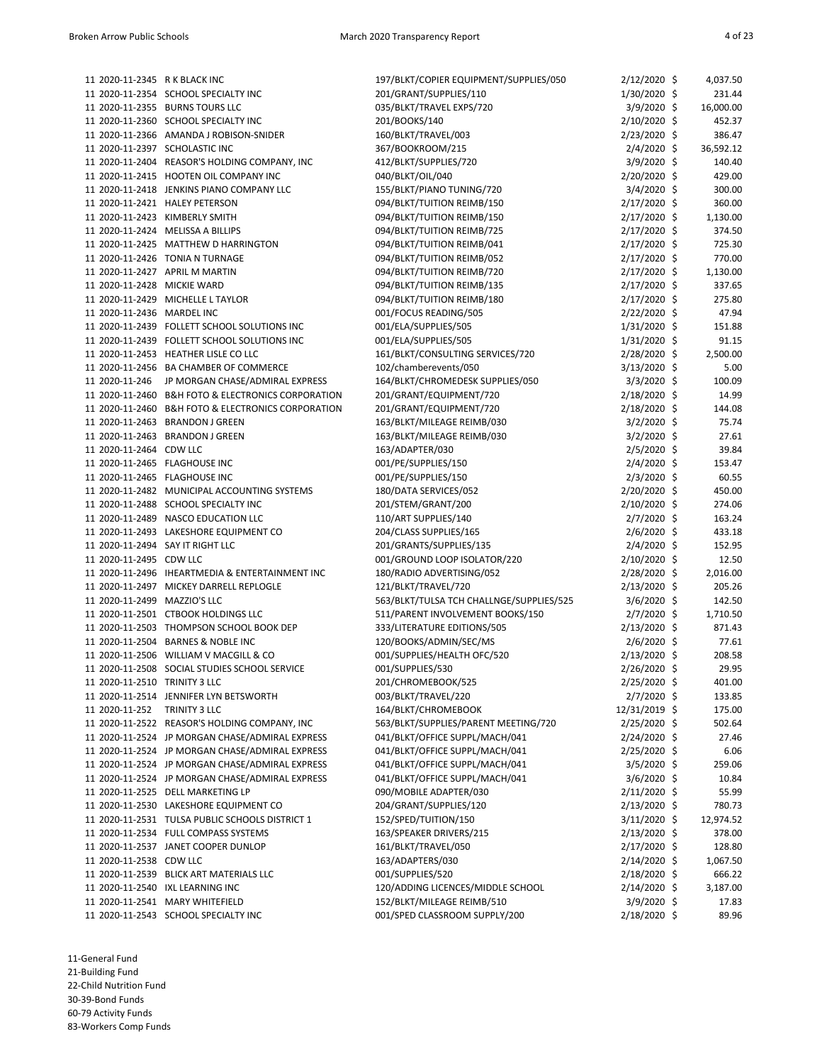| 11 2020-11-2345 R K BLACK INC    |                                                    | 197/BLKT/COPIER EQUIPMENT/SUPPLIES/050   | $2/12/2020$ \$ | 4,037.50  |
|----------------------------------|----------------------------------------------------|------------------------------------------|----------------|-----------|
|                                  | 11 2020-11-2354 SCHOOL SPECIALTY INC               | 201/GRANT/SUPPLIES/110                   | 1/30/2020 \$   | 231.44    |
|                                  | 11 2020-11-2355 BURNS TOURS LLC                    | 035/BLKT/TRAVEL EXPS/720                 | $3/9/2020$ \$  | 16,000.00 |
|                                  | 11 2020-11-2360 SCHOOL SPECIALTY INC               | 201/BOOKS/140                            | 2/10/2020 \$   | 452.37    |
|                                  |                                                    |                                          |                |           |
|                                  | 11 2020-11-2366 AMANDA J ROBISON-SNIDER            | 160/BLKT/TRAVEL/003                      | 2/23/2020 \$   | 386.47    |
| 11 2020-11-2397 SCHOLASTIC INC   |                                                    | 367/BOOKROOM/215                         | $2/4/2020$ \$  | 36,592.12 |
|                                  | 11 2020-11-2404 REASOR'S HOLDING COMPANY, INC      | 412/BLKT/SUPPLIES/720                    | $3/9/2020$ \$  | 140.40    |
|                                  | 11 2020-11-2415 HOOTEN OIL COMPANY INC             | 040/BLKT/OIL/040                         | $2/20/2020$ \$ | 429.00    |
|                                  | 11 2020-11-2418 JENKINS PIANO COMPANY LLC          | 155/BLKT/PIANO TUNING/720                | $3/4/2020$ \$  | 300.00    |
|                                  | 11 2020-11-2421 HALEY PETERSON                     | 094/BLKT/TUITION REIMB/150               | 2/17/2020 \$   | 360.00    |
|                                  | 11 2020-11-2423 KIMBERLY SMITH                     | 094/BLKT/TUITION REIMB/150               | 2/17/2020 \$   | 1,130.00  |
|                                  | 11 2020-11-2424 MELISSA A BILLIPS                  | 094/BLKT/TUITION REIMB/725               | $2/17/2020$ \$ | 374.50    |
|                                  | 11 2020-11-2425 MATTHEW D HARRINGTON               | 094/BLKT/TUITION REIMB/041               | $2/17/2020$ \$ | 725.30    |
|                                  | 11 2020-11-2426 TONIA N TURNAGE                    | 094/BLKT/TUITION REIMB/052               | $2/17/2020$ \$ | 770.00    |
|                                  | 11 2020-11-2427 APRIL M MARTIN                     | 094/BLKT/TUITION REIMB/720               | 2/17/2020 \$   | 1,130.00  |
| 11 2020-11-2428 MICKIE WARD      |                                                    | 094/BLKT/TUITION REIMB/135               | 2/17/2020 \$   | 337.65    |
|                                  | 11 2020-11-2429 MICHELLE L TAYLOR                  | 094/BLKT/TUITION REIMB/180               | $2/17/2020$ \$ | 275.80    |
| 11 2020-11-2436 MARDEL INC       |                                                    | 001/FOCUS READING/505                    | $2/22/2020$ \$ | 47.94     |
|                                  | 11 2020-11-2439 FOLLETT SCHOOL SOLUTIONS INC       | 001/ELA/SUPPLIES/505                     | $1/31/2020$ \$ | 151.88    |
|                                  | 11 2020-11-2439 FOLLETT SCHOOL SOLUTIONS INC       | 001/ELA/SUPPLIES/505                     | 1/31/2020 \$   | 91.15     |
|                                  | 11 2020-11-2453 HEATHER LISLE CO LLC               | 161/BLKT/CONSULTING SERVICES/720         | 2/28/2020 \$   | 2,500.00  |
|                                  | 11 2020-11-2456 BA CHAMBER OF COMMERCE             | 102/chamberevents/050                    | $3/13/2020$ \$ | 5.00      |
| 11 2020-11-246                   | JP MORGAN CHASE/ADMIRAL EXPRESS                    | 164/BLKT/CHROMEDESK SUPPLIES/050         | $3/3/2020$ \$  | 100.09    |
|                                  | 11 2020-11-2460 B&H FOTO & ELECTRONICS CORPORATION |                                          | 2/18/2020 \$   | 14.99     |
|                                  |                                                    | 201/GRANT/EQUIPMENT/720                  |                |           |
|                                  | 11 2020-11-2460 B&H FOTO & ELECTRONICS CORPORATION | 201/GRANT/EQUIPMENT/720                  | 2/18/2020 \$   | 144.08    |
|                                  | 11 2020-11-2463 BRANDON J GREEN                    | 163/BLKT/MILEAGE REIMB/030               | $3/2/2020$ \$  | 75.74     |
|                                  | 11 2020-11-2463 BRANDON J GREEN                    | 163/BLKT/MILEAGE REIMB/030               | $3/2/2020$ \$  | 27.61     |
| 11 2020-11-2464 CDW LLC          |                                                    | 163/ADAPTER/030                          | $2/5/2020$ \$  | 39.84     |
| 11 2020-11-2465 FLAGHOUSE INC    |                                                    | 001/PE/SUPPLIES/150                      | $2/4/2020$ \$  | 153.47    |
| 11 2020-11-2465 FLAGHOUSE INC    |                                                    | 001/PE/SUPPLIES/150                      | 2/3/2020 \$    | 60.55     |
|                                  | 11 2020-11-2482 MUNICIPAL ACCOUNTING SYSTEMS       | 180/DATA SERVICES/052                    | 2/20/2020 \$   | 450.00    |
|                                  | 11 2020-11-2488 SCHOOL SPECIALTY INC               | 201/STEM/GRANT/200                       | $2/10/2020$ \$ | 274.06    |
|                                  | 11 2020-11-2489 NASCO EDUCATION LLC                | 110/ART SUPPLIES/140                     | $2/7/2020$ \$  | 163.24    |
|                                  | 11 2020-11-2493 LAKESHORE EQUIPMENT CO             | 204/CLASS SUPPLIES/165                   | $2/6/2020$ \$  | 433.18    |
| 11 2020-11-2494 SAY IT RIGHT LLC |                                                    | 201/GRANTS/SUPPLIES/135                  | 2/4/2020 \$    | 152.95    |
| 11 2020-11-2495 CDW LLC          |                                                    | 001/GROUND LOOP ISOLATOR/220             | 2/10/2020 \$   | 12.50     |
|                                  | 11 2020-11-2496 IHEARTMEDIA & ENTERTAINMENT INC    | 180/RADIO ADVERTISING/052                | $2/28/2020$ \$ | 2,016.00  |
|                                  | 11 2020-11-2497 MICKEY DARRELL REPLOGLE            | 121/BLKT/TRAVEL/720                      | $2/13/2020$ \$ | 205.26    |
| 11 2020-11-2499 MAZZIO'S LLC     |                                                    | 563/BLKT/TULSA TCH CHALLNGE/SUPPLIES/525 | $3/6/2020$ \$  | 142.50    |
|                                  | 11 2020-11-2501 CTBOOK HOLDINGS LLC                | 511/PARENT INVOLVEMENT BOOKS/150         | $2/7/2020$ \$  | 1,710.50  |
|                                  | 11 2020-11-2503 THOMPSON SCHOOL BOOK DEP           | 333/LITERATURE EDITIONS/505              | $2/13/2020$ \$ | 871.43    |
|                                  | 11 2020-11-2504 BARNES & NOBLE INC                 | 120/BOOKS/ADMIN/SEC/MS                   | $2/6/2020$ \$  | 77.61     |
|                                  | 11 2020-11-2506 WILLIAM V MACGILL & CO             | 001/SUPPLIES/HEALTH OFC/520              | $2/13/2020$ \$ | 208.58    |
|                                  | 11 2020-11-2508 SOCIAL STUDIES SCHOOL SERVICE      | 001/SUPPLIES/530                         | 2/26/2020 \$   | 29.95     |
| 11 2020-11-2510 TRINITY 3 LLC    |                                                    | 201/CHROMEBOOK/525                       | 2/25/2020 \$   | 401.00    |
|                                  | 11 2020-11-2514 JENNIFER LYN BETSWORTH             | 003/BLKT/TRAVEL/220                      | 2/7/2020 \$    | 133.85    |
| 11 2020-11-252 TRINITY 3 LLC     |                                                    | 164/BLKT/CHROMEBOOK                      | 12/31/2019 \$  | 175.00    |
|                                  |                                                    | 563/BLKT/SUPPLIES/PARENT MEETING/720     | 2/25/2020 \$   | 502.64    |
|                                  | 11 2020-11-2522 REASOR'S HOLDING COMPANY, INC      |                                          |                |           |
|                                  | 11 2020-11-2524 JP MORGAN CHASE/ADMIRAL EXPRESS    | 041/BLKT/OFFICE SUPPL/MACH/041           | $2/24/2020$ \$ | 27.46     |
|                                  | 11 2020-11-2524 JP MORGAN CHASE/ADMIRAL EXPRESS    | 041/BLKT/OFFICE SUPPL/MACH/041           | $2/25/2020$ \$ | 6.06      |
|                                  | 11 2020-11-2524 JP MORGAN CHASE/ADMIRAL EXPRESS    | 041/BLKT/OFFICE SUPPL/MACH/041           | $3/5/2020$ \$  | 259.06    |
|                                  | 11 2020-11-2524 JP MORGAN CHASE/ADMIRAL EXPRESS    | 041/BLKT/OFFICE SUPPL/MACH/041           | $3/6/2020$ \$  | 10.84     |
|                                  | 11 2020-11-2525 DELL MARKETING LP                  | 090/MOBILE ADAPTER/030                   | $2/11/2020$ \$ | 55.99     |
|                                  | 11 2020-11-2530 LAKESHORE EQUIPMENT CO             | 204/GRANT/SUPPLIES/120                   | $2/13/2020$ \$ | 780.73    |
|                                  | 11 2020-11-2531 TULSA PUBLIC SCHOOLS DISTRICT 1    | 152/SPED/TUITION/150                     | $3/11/2020$ \$ | 12,974.52 |
|                                  | 11 2020-11-2534 FULL COMPASS SYSTEMS               | 163/SPEAKER DRIVERS/215                  | $2/13/2020$ \$ | 378.00    |
|                                  | 11 2020-11-2537 JANET COOPER DUNLOP                | 161/BLKT/TRAVEL/050                      | $2/17/2020$ \$ | 128.80    |
| 11 2020-11-2538 CDW LLC          |                                                    | 163/ADAPTERS/030                         | $2/14/2020$ \$ | 1,067.50  |
|                                  | 11 2020-11-2539 BLICK ART MATERIALS LLC            | 001/SUPPLIES/520                         | $2/18/2020$ \$ | 666.22    |
|                                  | 11 2020-11-2540 IXL LEARNING INC                   | 120/ADDING LICENCES/MIDDLE SCHOOL        | $2/14/2020$ \$ | 3,187.00  |
|                                  | 11 2020-11-2541 MARY WHITEFIELD                    | 152/BLKT/MILEAGE REIMB/510               | $3/9/2020$ \$  | 17.83     |
|                                  | 11 2020-11-2543 SCHOOL SPECIALTY INC               | 001/SPED CLASSROOM SUPPLY/200            | 2/18/2020 \$   | 89.96     |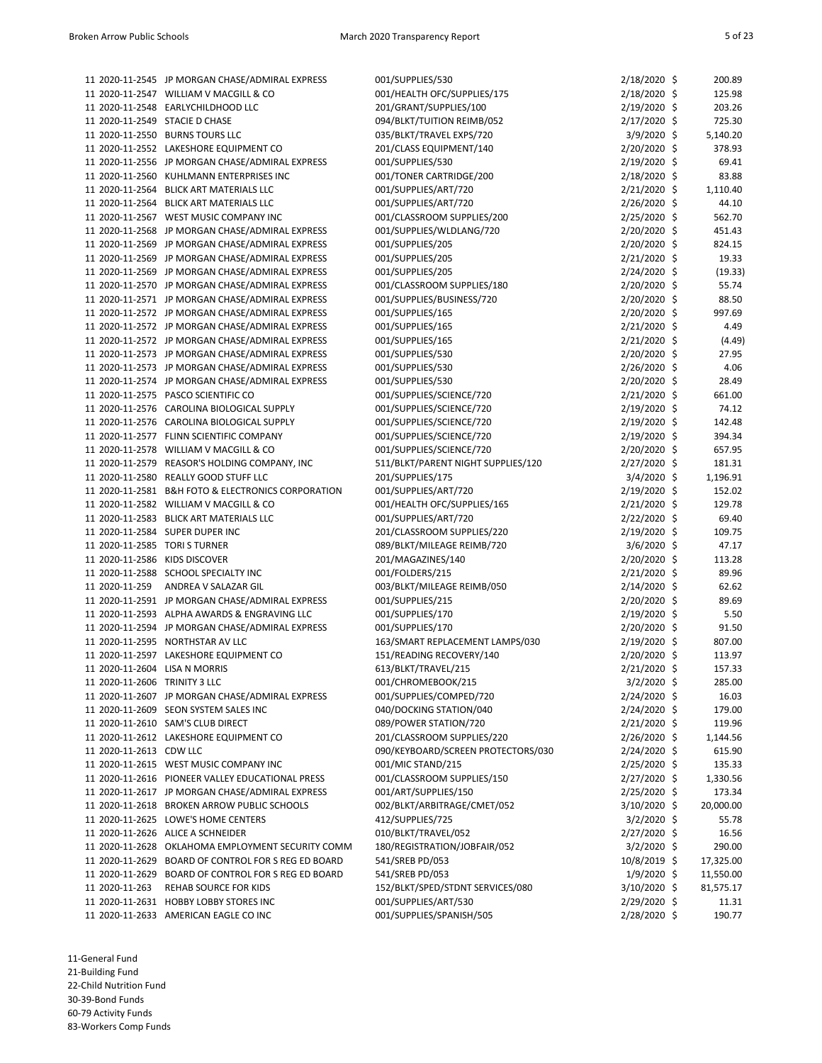|                                | 11 2020-11-2545 JP MORGAN CHASE/ADMIRAL EXPRESS     | 001/SUPPLIES/530                   | $2/18/2020$ \$ | 200.89    |
|--------------------------------|-----------------------------------------------------|------------------------------------|----------------|-----------|
|                                | 11 2020-11-2547 WILLIAM V MACGILL & CO              | 001/HEALTH OFC/SUPPLIES/175        | 2/18/2020 \$   | 125.98    |
|                                | 11 2020-11-2548 EARLYCHILDHOOD LLC                  | 201/GRANT/SUPPLIES/100             | $2/19/2020$ \$ | 203.26    |
| 11 2020-11-2549 STACIE D CHASE |                                                     | 094/BLKT/TUITION REIMB/052         | 2/17/2020 \$   | 725.30    |
|                                | 11 2020-11-2550 BURNS TOURS LLC                     | 035/BLKT/TRAVEL EXPS/720           | $3/9/2020$ \$  | 5,140.20  |
|                                | 11 2020-11-2552 LAKESHORE EQUIPMENT CO              | 201/CLASS EQUIPMENT/140            | 2/20/2020 \$   | 378.93    |
|                                | 11 2020-11-2556 JP MORGAN CHASE/ADMIRAL EXPRESS     | 001/SUPPLIES/530                   | $2/19/2020$ \$ | 69.41     |
|                                | 11 2020-11-2560 KUHLMANN ENTERPRISES INC            | 001/TONER CARTRIDGE/200            | $2/18/2020$ \$ | 83.88     |
|                                | 11 2020-11-2564 BLICK ART MATERIALS LLC             | 001/SUPPLIES/ART/720               | 2/21/2020 \$   | 1,110.40  |
|                                | 11 2020-11-2564 BLICK ART MATERIALS LLC             | 001/SUPPLIES/ART/720               | 2/26/2020 \$   | 44.10     |
|                                | 11 2020-11-2567 WEST MUSIC COMPANY INC              | 001/CLASSROOM SUPPLIES/200         | $2/25/2020$ \$ | 562.70    |
|                                | 11 2020-11-2568 JP MORGAN CHASE/ADMIRAL EXPRESS     | 001/SUPPLIES/WLDLANG/720           | $2/20/2020$ \$ | 451.43    |
|                                | 11 2020-11-2569 JP MORGAN CHASE/ADMIRAL EXPRESS     | 001/SUPPLIES/205                   | 2/20/2020 \$   | 824.15    |
|                                | 11 2020-11-2569 JP MORGAN CHASE/ADMIRAL EXPRESS     | 001/SUPPLIES/205                   | $2/21/2020$ \$ | 19.33     |
|                                | 11 2020-11-2569 JP MORGAN CHASE/ADMIRAL EXPRESS     | 001/SUPPLIES/205                   | 2/24/2020 \$   | (19.33)   |
|                                | 11 2020-11-2570 JP MORGAN CHASE/ADMIRAL EXPRESS     | 001/CLASSROOM SUPPLIES/180         | $2/20/2020$ \$ | 55.74     |
|                                | 11 2020-11-2571 JP MORGAN CHASE/ADMIRAL EXPRESS     | 001/SUPPLIES/BUSINESS/720          | $2/20/2020$ \$ | 88.50     |
|                                | 11 2020-11-2572 JP MORGAN CHASE/ADMIRAL EXPRESS     | 001/SUPPLIES/165                   | $2/20/2020$ \$ | 997.69    |
|                                | 11 2020-11-2572 JP MORGAN CHASE/ADMIRAL EXPRESS     | 001/SUPPLIES/165                   | 2/21/2020 \$   | 4.49      |
|                                | 11 2020-11-2572 JP MORGAN CHASE/ADMIRAL EXPRESS     | 001/SUPPLIES/165                   | 2/21/2020 \$   | (4.49)    |
|                                | 11 2020-11-2573 JP MORGAN CHASE/ADMIRAL EXPRESS     | 001/SUPPLIES/530                   | $2/20/2020$ \$ | 27.95     |
|                                | 11 2020-11-2573 JP MORGAN CHASE/ADMIRAL EXPRESS     | 001/SUPPLIES/530                   | $2/26/2020$ \$ | 4.06      |
|                                | 11 2020-11-2574 JP MORGAN CHASE/ADMIRAL EXPRESS     | 001/SUPPLIES/530                   | $2/20/2020$ \$ | 28.49     |
|                                | 11 2020-11-2575 PASCO SCIENTIFIC CO                 | 001/SUPPLIES/SCIENCE/720           | 2/21/2020 \$   | 661.00    |
|                                | 11 2020-11-2576 CAROLINA BIOLOGICAL SUPPLY          | 001/SUPPLIES/SCIENCE/720           | 2/19/2020 \$   | 74.12     |
|                                | 11 2020-11-2576 CAROLINA BIOLOGICAL SUPPLY          | 001/SUPPLIES/SCIENCE/720           | $2/19/2020$ \$ | 142.48    |
|                                | 11 2020-11-2577 FLINN SCIENTIFIC COMPANY            | 001/SUPPLIES/SCIENCE/720           | $2/19/2020$ \$ | 394.34    |
|                                | 11 2020-11-2578 WILLIAM V MACGILL & CO              | 001/SUPPLIES/SCIENCE/720           | $2/20/2020$ \$ | 657.95    |
|                                | 11 2020-11-2579 REASOR'S HOLDING COMPANY, INC       | 511/BLKT/PARENT NIGHT SUPPLIES/120 | 2/27/2020 \$   | 181.31    |
|                                | 11 2020-11-2580 REALLY GOOD STUFF LLC               | 201/SUPPLIES/175                   | $3/4/2020$ \$  | 1,196.91  |
|                                | 11 2020-11-2581 B&H FOTO & ELECTRONICS CORPORATION  | 001/SUPPLIES/ART/720               | 2/19/2020 \$   | 152.02    |
|                                | 11 2020-11-2582 WILLIAM V MACGILL & CO              | 001/HEALTH OFC/SUPPLIES/165        | $2/21/2020$ \$ | 129.78    |
|                                | 11 2020-11-2583 BLICK ART MATERIALS LLC             | 001/SUPPLIES/ART/720               | $2/22/2020$ \$ | 69.40     |
|                                | 11 2020-11-2584 SUPER DUPER INC                     | 201/CLASSROOM SUPPLIES/220         | $2/19/2020$ \$ | 109.75    |
| 11 2020-11-2585 TORI S TURNER  |                                                     | 089/BLKT/MILEAGE REIMB/720         | $3/6/2020$ \$  | 47.17     |
| 11 2020-11-2586 KIDS DISCOVER  |                                                     | 201/MAGAZINES/140                  | 2/20/2020 \$   | 113.28    |
|                                | 11 2020-11-2588 SCHOOL SPECIALTY INC                | 001/FOLDERS/215                    | $2/21/2020$ \$ | 89.96     |
| 11 2020-11-259                 | ANDREA V SALAZAR GIL                                | 003/BLKT/MILEAGE REIMB/050         |                | 62.62     |
|                                |                                                     |                                    | $2/14/2020$ \$ | 89.69     |
|                                | 11 2020-11-2591 JP MORGAN CHASE/ADMIRAL EXPRESS     | 001/SUPPLIES/215                   | 2/20/2020 \$   |           |
|                                | 11 2020-11-2593 ALPHA AWARDS & ENGRAVING LLC        | 001/SUPPLIES/170                   | 2/19/2020 \$   | 5.50      |
|                                | 11 2020-11-2594 JP MORGAN CHASE/ADMIRAL EXPRESS     | 001/SUPPLIES/170                   | $2/20/2020$ \$ | 91.50     |
|                                | 11 2020-11-2595 NORTHSTAR AV LLC                    | 163/SMART REPLACEMENT LAMPS/030    | $2/19/2020$ \$ | 807.00    |
|                                | 11 2020-11-2597 LAKESHORE EQUIPMENT CO              | 151/READING RECOVERY/140           | 2/20/2020 \$   | 113.97    |
| 11 2020-11-2604 LISA N MORRIS  |                                                     | 613/BLKT/TRAVEL/215                | 2/21/2020 \$   | 157.33    |
| 11 2020-11-2606 TRINITY 3 LLC  |                                                     | 001/CHROMEBOOK/215                 | 3/2/2020 \$    | 285.00    |
|                                | 11 2020-11-2607 JP MORGAN CHASE/ADMIRAL EXPRESS     | 001/SUPPLIES/COMPED/720            | 2/24/2020 \$   | 16.03     |
|                                | 11 2020-11-2609 SEON SYSTEM SALES INC               | 040/DOCKING STATION/040            | $2/24/2020$ \$ | 179.00    |
|                                | 11 2020-11-2610 SAM'S CLUB DIRECT                   | 089/POWER STATION/720              | $2/21/2020$ \$ | 119.96    |
|                                | 11 2020-11-2612 LAKESHORE EQUIPMENT CO              | 201/CLASSROOM SUPPLIES/220         | $2/26/2020$ \$ | 1,144.56  |
| 11 2020-11-2613 CDW LLC        |                                                     | 090/KEYBOARD/SCREEN PROTECTORS/030 | 2/24/2020 \$   | 615.90    |
|                                | 11 2020-11-2615 WEST MUSIC COMPANY INC              | 001/MIC STAND/215                  | 2/25/2020 \$   | 135.33    |
|                                | 11 2020-11-2616 PIONEER VALLEY EDUCATIONAL PRESS    | 001/CLASSROOM SUPPLIES/150         | $2/27/2020$ \$ | 1,330.56  |
|                                | 11 2020-11-2617 JP MORGAN CHASE/ADMIRAL EXPRESS     | 001/ART/SUPPLIES/150               | 2/25/2020 \$   | 173.34    |
|                                | 11 2020-11-2618 BROKEN ARROW PUBLIC SCHOOLS         | 002/BLKT/ARBITRAGE/CMET/052        | 3/10/2020 \$   | 20,000.00 |
|                                | 11 2020-11-2625 LOWE'S HOME CENTERS                 | 412/SUPPLIES/725                   | $3/2/2020$ \$  | 55.78     |
|                                | 11 2020-11-2626 ALICE A SCHNEIDER                   | 010/BLKT/TRAVEL/052                | $2/27/2020$ \$ | 16.56     |
|                                | 11 2020-11-2628 OKLAHOMA EMPLOYMENT SECURITY COMM   | 180/REGISTRATION/JOBFAIR/052       | $3/2/2020$ \$  | 290.00    |
|                                | 11 2020-11-2629 BOARD OF CONTROL FOR S REG ED BOARD | 541/SREB PD/053                    | 10/8/2019 \$   | 17,325.00 |
|                                | 11 2020-11-2629 BOARD OF CONTROL FOR S REG ED BOARD | 541/SREB PD/053                    | $1/9/2020$ \$  | 11,550.00 |
| 11 2020-11-263                 | REHAB SOURCE FOR KIDS                               | 152/BLKT/SPED/STDNT SERVICES/080   | 3/10/2020 \$   | 81,575.17 |
|                                | 11 2020-11-2631 HOBBY LOBBY STORES INC              | 001/SUPPLIES/ART/530               | $2/29/2020$ \$ | 11.31     |
|                                | 11 2020-11-2633 AMERICAN EAGLE CO INC               | 001/SUPPLIES/SPANISH/505           | $2/28/2020$ \$ | 190.77    |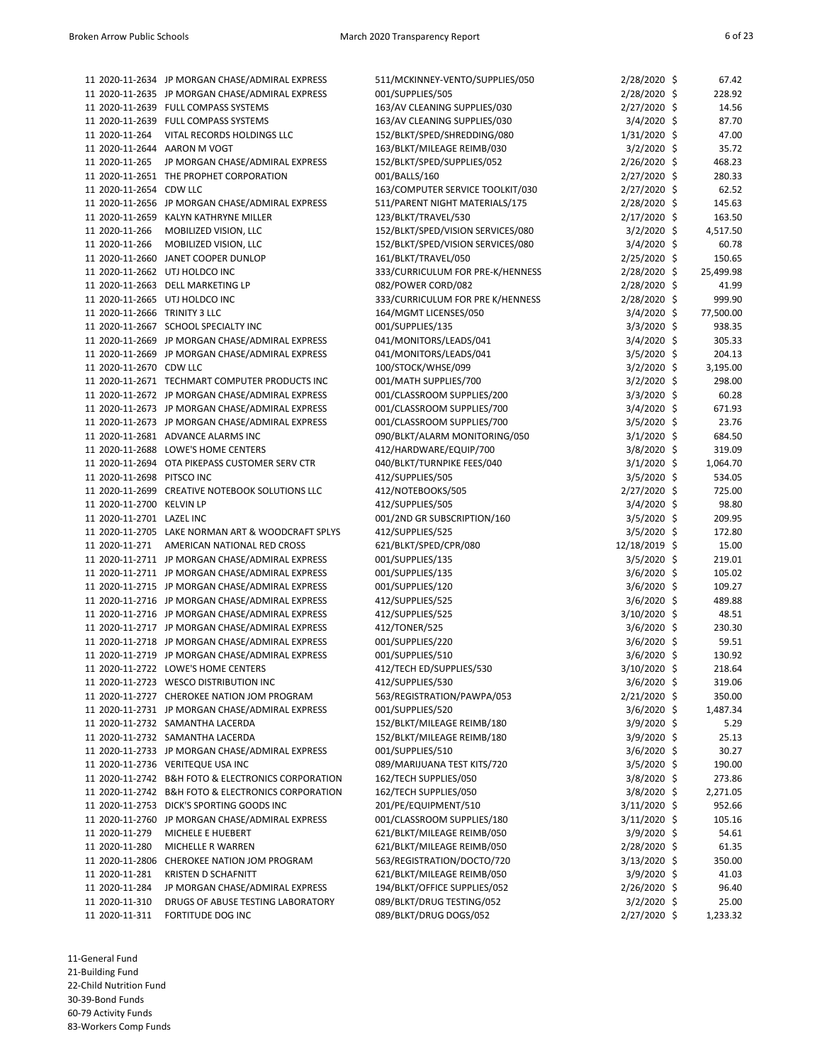|                               | 11 2020-11-2634 JP MORGAN CHASE/ADMIRAL EXPRESS                                                    | 511/MCKINNEY-VENTO/SUPPLIES/050   | 2/28/2020 \$                 | 67.42           |
|-------------------------------|----------------------------------------------------------------------------------------------------|-----------------------------------|------------------------------|-----------------|
|                               | 11 2020-11-2635 JP MORGAN CHASE/ADMIRAL EXPRESS                                                    | 001/SUPPLIES/505                  | 2/28/2020 \$                 | 228.92          |
|                               | 11 2020-11-2639 FULL COMPASS SYSTEMS                                                               | 163/AV CLEANING SUPPLIES/030      | 2/27/2020 \$                 | 14.56           |
|                               | 11 2020-11-2639 FULL COMPASS SYSTEMS                                                               | 163/AV CLEANING SUPPLIES/030      | $3/4/2020$ \$                | 87.70           |
| 11 2020-11-264                | VITAL RECORDS HOLDINGS LLC                                                                         | 152/BLKT/SPED/SHREDDING/080       | $1/31/2020$ \$               | 47.00           |
| 11 2020-11-2644 AARON M VOGT  |                                                                                                    | 163/BLKT/MILEAGE REIMB/030        | 3/2/2020 \$                  | 35.72           |
| 11 2020-11-265                | JP MORGAN CHASE/ADMIRAL EXPRESS                                                                    | 152/BLKT/SPED/SUPPLIES/052        | 2/26/2020 \$                 | 468.23          |
|                               | 11 2020-11-2651 THE PROPHET CORPORATION                                                            | 001/BALLS/160                     | 2/27/2020 \$                 | 280.33          |
| 11 2020-11-2654 CDW LLC       |                                                                                                    | 163/COMPUTER SERVICE TOOLKIT/030  | 2/27/2020 \$                 | 62.52           |
|                               | 11 2020-11-2656 JP MORGAN CHASE/ADMIRAL EXPRESS                                                    | 511/PARENT NIGHT MATERIALS/175    | 2/28/2020 \$                 | 145.63          |
|                               | 11 2020-11-2659 KALYN KATHRYNE MILLER                                                              | 123/BLKT/TRAVEL/530               | 2/17/2020 \$                 | 163.50          |
| 11 2020-11-266                | MOBILIZED VISION, LLC                                                                              | 152/BLKT/SPED/VISION SERVICES/080 | $3/2/2020$ \$                | 4,517.50        |
| 11 2020-11-266                | MOBILIZED VISION, LLC                                                                              | 152/BLKT/SPED/VISION SERVICES/080 | $3/4/2020$ \$                | 60.78           |
|                               | 11 2020-11-2660 JANET COOPER DUNLOP                                                                | 161/BLKT/TRAVEL/050               | 2/25/2020 \$                 | 150.65          |
|                               | 11 2020-11-2662 UTJ HOLDCO INC                                                                     | 333/CURRICULUM FOR PRE-K/HENNESS  | 2/28/2020 \$                 | 25,499.98       |
|                               | 11 2020-11-2663 DELL MARKETING LP                                                                  | 082/POWER CORD/082                | 2/28/2020 \$                 | 41.99           |
|                               | 11 2020-11-2665 UTJ HOLDCO INC                                                                     | 333/CURRICULUM FOR PRE K/HENNESS  | 2/28/2020 \$                 | 999.90          |
| 11 2020-11-2666 TRINITY 3 LLC |                                                                                                    | 164/MGMT LICENSES/050             | $3/4/2020$ \$                | 77,500.00       |
|                               | 11 2020-11-2667 SCHOOL SPECIALTY INC                                                               | 001/SUPPLIES/135                  | $3/3/2020$ \$                | 938.35          |
|                               | 11 2020-11-2669 JP MORGAN CHASE/ADMIRAL EXPRESS                                                    | 041/MONITORS/LEADS/041            | $3/4/2020$ \$                | 305.33          |
|                               | 11 2020-11-2669 JP MORGAN CHASE/ADMIRAL EXPRESS                                                    | 041/MONITORS/LEADS/041            | 3/5/2020 \$                  | 204.13          |
| 11 2020-11-2670 CDW LLC       |                                                                                                    | 100/STOCK/WHSE/099                | $3/2/2020$ \$                | 3,195.00        |
|                               | 11 2020-11-2671 TECHMART COMPUTER PRODUCTS INC                                                     | 001/MATH SUPPLIES/700             | 3/2/2020 \$                  | 298.00          |
|                               | 11 2020-11-2672 JP MORGAN CHASE/ADMIRAL EXPRESS                                                    | 001/CLASSROOM SUPPLIES/200        | $3/3/2020$ \$                | 60.28           |
|                               | 11 2020-11-2673 JP MORGAN CHASE/ADMIRAL EXPRESS                                                    | 001/CLASSROOM SUPPLIES/700        | $3/4/2020$ \$                | 671.93          |
|                               | 11 2020-11-2673 JP MORGAN CHASE/ADMIRAL EXPRESS                                                    | 001/CLASSROOM SUPPLIES/700        | $3/5/2020$ \$                | 23.76           |
|                               | 11 2020-11-2681 ADVANCE ALARMS INC                                                                 | 090/BLKT/ALARM MONITORING/050     | $3/1/2020$ \$                | 684.50          |
|                               | 11 2020-11-2688 LOWE'S HOME CENTERS                                                                | 412/HARDWARE/EQUIP/700            | 3/8/2020 \$                  | 319.09          |
|                               | 11 2020-11-2694 OTA PIKEPASS CUSTOMER SERV CTR                                                     | 040/BLKT/TURNPIKE FEES/040        | $3/1/2020$ \$                | 1,064.70        |
| 11 2020-11-2698 PITSCO INC    |                                                                                                    | 412/SUPPLIES/505                  | 3/5/2020 \$                  | 534.05          |
|                               | 11 2020-11-2699 CREATIVE NOTEBOOK SOLUTIONS LLC                                                    | 412/NOTEBOOKS/505                 | 2/27/2020 \$                 | 725.00          |
| 11 2020-11-2700 KELVIN LP     |                                                                                                    | 412/SUPPLIES/505                  | 3/4/2020 \$                  | 98.80           |
| 11 2020-11-2701 LAZEL INC     |                                                                                                    | 001/2ND GR SUBSCRIPTION/160       | $3/5/2020$ \$                | 209.95          |
|                               | 11 2020-11-2705 LAKE NORMAN ART & WOODCRAFT SPLYS                                                  | 412/SUPPLIES/525                  | 3/5/2020 \$                  | 172.80          |
|                               | 11 2020-11-271 AMERICAN NATIONAL RED CROSS                                                         | 621/BLKT/SPED/CPR/080             | 12/18/2019 \$                | 15.00           |
|                               | 11 2020-11-2711 JP MORGAN CHASE/ADMIRAL EXPRESS                                                    | 001/SUPPLIES/135                  | $3/5/2020$ \$                | 219.01          |
|                               | 11 2020-11-2711 JP MORGAN CHASE/ADMIRAL EXPRESS                                                    | 001/SUPPLIES/135                  | $3/6/2020$ \$                | 105.02          |
|                               | 11 2020-11-2715 JP MORGAN CHASE/ADMIRAL EXPRESS                                                    | 001/SUPPLIES/120                  | 3/6/2020 \$                  | 109.27          |
|                               | 11 2020-11-2716 JP MORGAN CHASE/ADMIRAL EXPRESS                                                    | 412/SUPPLIES/525                  | 3/6/2020 \$                  | 489.88          |
|                               | 11 2020-11-2716 JP MORGAN CHASE/ADMIRAL EXPRESS                                                    | 412/SUPPLIES/525                  | 3/10/2020 \$                 | 48.51           |
|                               | 11 2020-11-2717 JP MORGAN CHASE/ADMIRAL EXPRESS<br>11 2020-11-2718 JP MORGAN CHASE/ADMIRAL EXPRESS | 412/TONER/525<br>001/SUPPLIES/220 | 3/6/2020 \$<br>$3/6/2020$ \$ | 230.30<br>59.51 |
|                               | 11 2020-11-2719 JP MORGAN CHASE/ADMIRAL EXPRESS                                                    | 001/SUPPLIES/510                  | $3/6/2020$ \$                | 130.92          |
|                               | 11 2020-11-2722 LOWE'S HOME CENTERS                                                                | 412/TECH ED/SUPPLIES/530          | 3/10/2020 \$                 | 218.64          |
|                               | 11 2020-11-2723 WESCO DISTRIBUTION INC                                                             | 412/SUPPLIES/530                  | $3/6/2020$ \$                | 319.06          |
|                               | 11 2020-11-2727 CHEROKEE NATION JOM PROGRAM                                                        | 563/REGISTRATION/PAWPA/053        | 2/21/2020 \$                 | 350.00          |
|                               | 11 2020-11-2731 JP MORGAN CHASE/ADMIRAL EXPRESS                                                    | 001/SUPPLIES/520                  | $3/6/2020$ \$                | 1,487.34        |
|                               | 11 2020-11-2732 SAMANTHA LACERDA                                                                   | 152/BLKT/MILEAGE REIMB/180        | 3/9/2020 \$                  | 5.29            |
|                               | 11 2020-11-2732 SAMANTHA LACERDA                                                                   | 152/BLKT/MILEAGE REIMB/180        | $3/9/2020$ \$                | 25.13           |
|                               | 11 2020-11-2733 JP MORGAN CHASE/ADMIRAL EXPRESS                                                    | 001/SUPPLIES/510                  | $3/6/2020$ \$                | 30.27           |
|                               | 11 2020-11-2736 VERITEQUE USA INC                                                                  | 089/MARIJUANA TEST KITS/720       | $3/5/2020$ \$                | 190.00          |
|                               | 11 2020-11-2742 B&H FOTO & ELECTRONICS CORPORATION                                                 | 162/TECH SUPPLIES/050             | $3/8/2020$ \$                | 273.86          |
|                               | 11 2020-11-2742 B&H FOTO & ELECTRONICS CORPORATION                                                 | 162/TECH SUPPLIES/050             | $3/8/2020$ \$                | 2,271.05        |
|                               | 11 2020-11-2753 DICK'S SPORTING GOODS INC                                                          | 201/PE/EQUIPMENT/510              | 3/11/2020 \$                 | 952.66          |
|                               | 11 2020-11-2760 JP MORGAN CHASE/ADMIRAL EXPRESS                                                    | 001/CLASSROOM SUPPLIES/180        | 3/11/2020 \$                 | 105.16          |
| 11 2020-11-279                | MICHELE E HUEBERT                                                                                  | 621/BLKT/MILEAGE REIMB/050        | $3/9/2020$ \$                | 54.61           |
| 11 2020-11-280                | MICHELLE R WARREN                                                                                  | 621/BLKT/MILEAGE REIMB/050        | 2/28/2020 \$                 | 61.35           |
|                               | 11 2020-11-2806 CHEROKEE NATION JOM PROGRAM                                                        | 563/REGISTRATION/DOCTO/720        | 3/13/2020 \$                 | 350.00          |
| 11 2020-11-281                | <b>KRISTEN D SCHAFNITT</b>                                                                         | 621/BLKT/MILEAGE REIMB/050        | $3/9/2020$ \$                | 41.03           |
| 11 2020-11-284                | JP MORGAN CHASE/ADMIRAL EXPRESS                                                                    | 194/BLKT/OFFICE SUPPLIES/052      | 2/26/2020 \$                 | 96.40           |
| 11 2020-11-310                | DRUGS OF ABUSE TESTING LABORATORY                                                                  | 089/BLKT/DRUG TESTING/052         | $3/2/2020$ \$                | 25.00           |
| 11 2020-11-311                | FORTITUDE DOG INC                                                                                  | 089/BLKT/DRUG DOGS/052            | 2/27/2020 \$                 | 1,233.32        |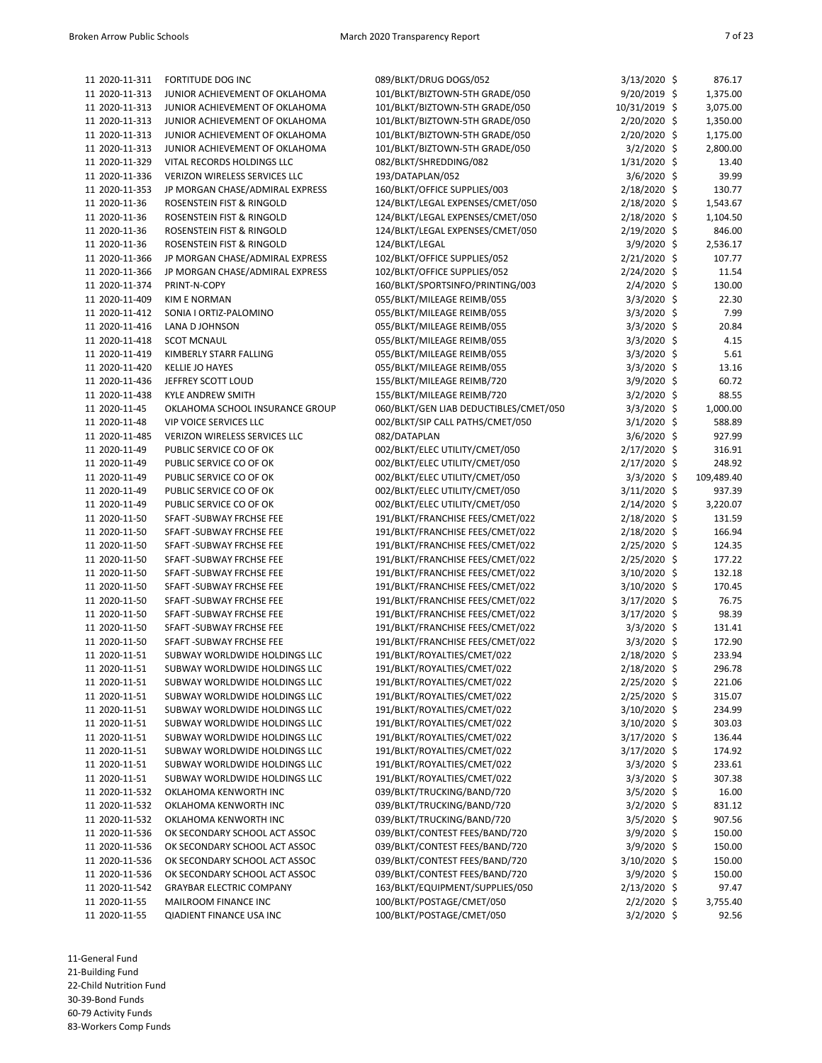| 11 2020-11-311                  | FORTITUDE DOG INC                    | 089/BLKT/DRUG DOGS/052                           | $3/13/2020$ \$ | 876.17     |
|---------------------------------|--------------------------------------|--------------------------------------------------|----------------|------------|
| 11 2020-11-313                  | JUNIOR ACHIEVEMENT OF OKLAHOMA       | 101/BLKT/BIZTOWN-5TH GRADE/050                   | 9/20/2019 \$   | 1,375.00   |
| 11 2020-11-313                  | JUNIOR ACHIEVEMENT OF OKLAHOMA       | 101/BLKT/BIZTOWN-5TH GRADE/050                   | 10/31/2019 \$  | 3,075.00   |
| 11 2020-11-313                  | JUNIOR ACHIEVEMENT OF OKLAHOMA       | 101/BLKT/BIZTOWN-5TH GRADE/050                   | 2/20/2020 \$   | 1,350.00   |
| 11 2020-11-313                  | JUNIOR ACHIEVEMENT OF OKLAHOMA       | 101/BLKT/BIZTOWN-5TH GRADE/050                   | 2/20/2020 \$   | 1,175.00   |
| 11 2020-11-313                  | JUNIOR ACHIEVEMENT OF OKLAHOMA       | 101/BLKT/BIZTOWN-5TH GRADE/050                   | 3/2/2020 \$    | 2,800.00   |
| 11 2020-11-329                  | VITAL RECORDS HOLDINGS LLC           | 082/BLKT/SHREDDING/082                           | 1/31/2020 \$   | 13.40      |
| 11 2020-11-336                  | <b>VERIZON WIRELESS SERVICES LLC</b> | 193/DATAPLAN/052                                 | 3/6/2020 \$    | 39.99      |
| 11 2020-11-353                  | JP MORGAN CHASE/ADMIRAL EXPRESS      | 160/BLKT/OFFICE SUPPLIES/003                     | 2/18/2020 \$   | 130.77     |
| 11 2020-11-36                   | ROSENSTEIN FIST & RINGOLD            | 124/BLKT/LEGAL EXPENSES/CMET/050                 | 2/18/2020 \$   | 1,543.67   |
| 11 2020-11-36                   | ROSENSTEIN FIST & RINGOLD            | 124/BLKT/LEGAL EXPENSES/CMET/050                 | 2/18/2020 \$   | 1,104.50   |
| 11 2020-11-36                   | ROSENSTEIN FIST & RINGOLD            | 124/BLKT/LEGAL EXPENSES/CMET/050                 | 2/19/2020 \$   | 846.00     |
| 11 2020-11-36                   | ROSENSTEIN FIST & RINGOLD            | 124/BLKT/LEGAL                                   | 3/9/2020 \$    | 2,536.17   |
| 11 2020-11-366                  | JP MORGAN CHASE/ADMIRAL EXPRESS      | 102/BLKT/OFFICE SUPPLIES/052                     | 2/21/2020 \$   | 107.77     |
| 11 2020-11-366                  | JP MORGAN CHASE/ADMIRAL EXPRESS      | 102/BLKT/OFFICE SUPPLIES/052                     | 2/24/2020 \$   | 11.54      |
| 11 2020-11-374                  | PRINT-N-COPY                         | 160/BLKT/SPORTSINFO/PRINTING/003                 | 2/4/2020 \$    | 130.00     |
| 11 2020-11-409                  | <b>KIM E NORMAN</b>                  | 055/BLKT/MILEAGE REIMB/055                       | 3/3/2020 \$    | 22.30      |
| 11 2020-11-412                  | SONIA I ORTIZ-PALOMINO               | 055/BLKT/MILEAGE REIMB/055                       | $3/3/2020$ \$  | 7.99       |
| 11 2020-11-416                  | LANA D JOHNSON                       | 055/BLKT/MILEAGE REIMB/055                       | 3/3/2020 \$    | 20.84      |
| 11 2020-11-418                  | <b>SCOT MCNAUL</b>                   | 055/BLKT/MILEAGE REIMB/055                       | 3/3/2020 \$    | 4.15       |
| 11 2020-11-419                  | KIMBERLY STARR FALLING               | 055/BLKT/MILEAGE REIMB/055                       | 3/3/2020 \$    | 5.61       |
| 11 2020-11-420                  | <b>KELLIE JO HAYES</b>               | 055/BLKT/MILEAGE REIMB/055                       | 3/3/2020 \$    | 13.16      |
| 11 2020-11-436                  | JEFFREY SCOTT LOUD                   | 155/BLKT/MILEAGE REIMB/720                       | 3/9/2020 \$    | 60.72      |
| 11 2020-11-438                  | <b>KYLE ANDREW SMITH</b>             | 155/BLKT/MILEAGE REIMB/720                       | 3/2/2020 \$    | 88.55      |
| 11 2020-11-45                   | OKLAHOMA SCHOOL INSURANCE GROUP      | 060/BLKT/GEN LIAB DEDUCTIBLES/CMET/050           | 3/3/2020 \$    | 1,000.00   |
|                                 | <b>VIP VOICE SERVICES LLC</b>        |                                                  | 3/1/2020 \$    |            |
| 11 2020-11-48                   |                                      | 002/BLKT/SIP CALL PATHS/CMET/050<br>082/DATAPLAN |                | 588.89     |
| 11 2020-11-485<br>11 2020-11-49 | VERIZON WIRELESS SERVICES LLC        |                                                  | 3/6/2020 \$    | 927.99     |
|                                 | PUBLIC SERVICE CO OF OK              | 002/BLKT/ELEC UTILITY/CMET/050                   | 2/17/2020 \$   | 316.91     |
| 11 2020-11-49                   | PUBLIC SERVICE CO OF OK              | 002/BLKT/ELEC UTILITY/CMET/050                   | 2/17/2020 \$   | 248.92     |
| 11 2020-11-49                   | PUBLIC SERVICE CO OF OK              | 002/BLKT/ELEC UTILITY/CMET/050                   | 3/3/2020 \$    | 109,489.40 |
| 11 2020-11-49                   | PUBLIC SERVICE CO OF OK              | 002/BLKT/ELEC UTILITY/CMET/050                   | 3/11/2020 \$   | 937.39     |
| 11 2020-11-49                   | PUBLIC SERVICE CO OF OK              | 002/BLKT/ELEC UTILITY/CMET/050                   | 2/14/2020 \$   | 3,220.07   |
| 11 2020-11-50                   | SFAFT - SUBWAY FRCHSE FEE            | 191/BLKT/FRANCHISE FEES/CMET/022                 | 2/18/2020 \$   | 131.59     |
| 11 2020-11-50                   | SFAFT - SUBWAY FRCHSE FEE            | 191/BLKT/FRANCHISE FEES/CMET/022                 | 2/18/2020 \$   | 166.94     |
| 11 2020-11-50                   | SFAFT - SUBWAY FRCHSE FEE            | 191/BLKT/FRANCHISE FEES/CMET/022                 | 2/25/2020 \$   | 124.35     |
| 11 2020-11-50                   | SFAFT - SUBWAY FRCHSE FEE            | 191/BLKT/FRANCHISE FEES/CMET/022                 | 2/25/2020 \$   | 177.22     |
| 11 2020-11-50                   | SFAFT - SUBWAY FRCHSE FEE            | 191/BLKT/FRANCHISE FEES/CMET/022                 | 3/10/2020 \$   | 132.18     |
| 11 2020-11-50                   | SFAFT - SUBWAY FRCHSE FEE            | 191/BLKT/FRANCHISE FEES/CMET/022                 | 3/10/2020 \$   | 170.45     |
| 11 2020-11-50                   | SFAFT-SUBWAY FRCHSE FEE              | 191/BLKT/FRANCHISE FEES/CMET/022                 | 3/17/2020 \$   | 76.75      |
| 11 2020-11-50                   | SFAFT - SUBWAY FRCHSE FEE            | 191/BLKT/FRANCHISE FEES/CMET/022                 | 3/17/2020 \$   | 98.39      |
| 11 2020-11-50                   | SFAFT - SUBWAY FRCHSE FEE            | 191/BLKT/FRANCHISE FEES/CMET/022                 | $3/3/2020$ \$  | 131.41     |
| 11 2020-11-50                   | SFAFT-SUBWAY FRCHSE FEE              | 191/BLKT/FRANCHISE FEES/CMET/022                 | 3/3/2020 \$    | 172.90     |
| 11 2020-11-51                   | SUBWAY WORLDWIDE HOLDINGS LLC        | 191/BLKT/ROYALTIES/CMET/022                      | 2/18/2020 \$   | 233.94     |
| 11 2020-11-51                   | SUBWAY WORLDWIDE HOLDINGS LLC        | 191/BLKT/ROYALTIES/CMET/022                      | 2/18/2020 \$   | 296.78     |
| 11 2020-11-51                   | SUBWAY WORLDWIDE HOLDINGS LLC        | 191/BLKT/ROYALTIES/CMET/022                      | 2/25/2020 \$   | 221.06     |
| 11 2020-11-51                   | SUBWAY WORLDWIDE HOLDINGS LLC        | 191/BLKT/ROYALTIES/CMET/022                      | 2/25/2020 \$   | 315.07     |
| 11 2020-11-51                   | SUBWAY WORLDWIDE HOLDINGS LLC        | 191/BLKT/ROYALTIES/CMET/022                      | 3/10/2020 \$   | 234.99     |
| 11 2020-11-51                   | SUBWAY WORLDWIDE HOLDINGS LLC        | 191/BLKT/ROYALTIES/CMET/022                      | 3/10/2020 \$   | 303.03     |
| 11 2020-11-51                   | SUBWAY WORLDWIDE HOLDINGS LLC        | 191/BLKT/ROYALTIES/CMET/022                      | 3/17/2020 \$   | 136.44     |
| 11 2020-11-51                   | SUBWAY WORLDWIDE HOLDINGS LLC        | 191/BLKT/ROYALTIES/CMET/022                      | 3/17/2020 \$   | 174.92     |
| 11 2020-11-51                   | SUBWAY WORLDWIDE HOLDINGS LLC        | 191/BLKT/ROYALTIES/CMET/022                      | $3/3/2020$ \$  | 233.61     |
| 11 2020-11-51                   | SUBWAY WORLDWIDE HOLDINGS LLC        | 191/BLKT/ROYALTIES/CMET/022                      | 3/3/2020 \$    | 307.38     |
| 11 2020-11-532                  | OKLAHOMA KENWORTH INC                | 039/BLKT/TRUCKING/BAND/720                       | 3/5/2020 \$    | 16.00      |
| 11 2020-11-532                  | OKLAHOMA KENWORTH INC                | 039/BLKT/TRUCKING/BAND/720                       | 3/2/2020 \$    | 831.12     |
| 11 2020-11-532                  | OKLAHOMA KENWORTH INC                | 039/BLKT/TRUCKING/BAND/720                       | 3/5/2020 \$    | 907.56     |
| 11 2020-11-536                  | OK SECONDARY SCHOOL ACT ASSOC        | 039/BLKT/CONTEST FEES/BAND/720                   | 3/9/2020 \$    | 150.00     |
| 11 2020-11-536                  | OK SECONDARY SCHOOL ACT ASSOC        | 039/BLKT/CONTEST FEES/BAND/720                   | 3/9/2020 \$    | 150.00     |
| 11 2020-11-536                  | OK SECONDARY SCHOOL ACT ASSOC        | 039/BLKT/CONTEST FEES/BAND/720                   | 3/10/2020 \$   | 150.00     |
| 11 2020-11-536                  | OK SECONDARY SCHOOL ACT ASSOC        | 039/BLKT/CONTEST FEES/BAND/720                   | 3/9/2020 \$    | 150.00     |
| 11 2020-11-542                  | <b>GRAYBAR ELECTRIC COMPANY</b>      | 163/BLKT/EQUIPMENT/SUPPLIES/050                  | 2/13/2020 \$   | 97.47      |
| 11 2020-11-55                   | MAILROOM FINANCE INC                 | 100/BLKT/POSTAGE/CMET/050                        | 2/2/2020 \$    | 3,755.40   |
| 11 2020-11-55                   | <b>QIADIENT FINANCE USA INC</b>      | 100/BLKT/POSTAGE/CMET/050                        | 3/2/2020 \$    | 92.56      |
|                                 |                                      |                                                  |                |            |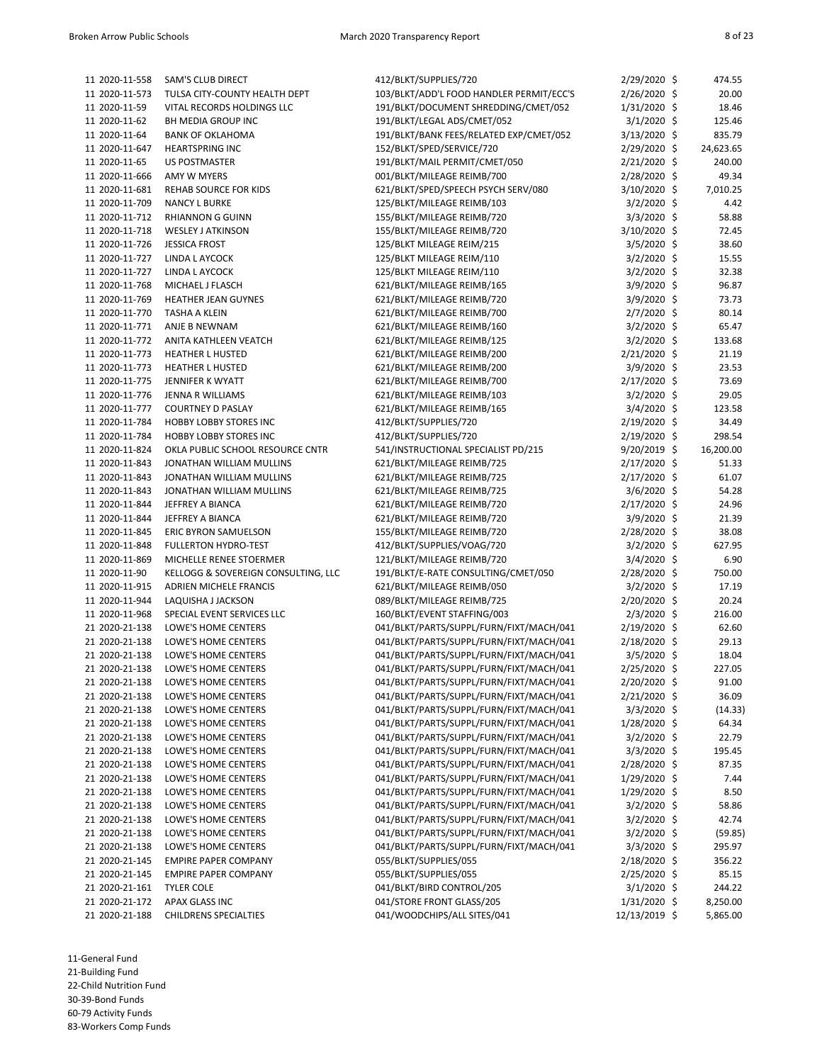| 11 2020-11-558                   | SAM'S CLUB DIRECT                   | 412/BLKT/SUPPLIES/720                                                              | 2/29/2020 \$                   | 474.55           |
|----------------------------------|-------------------------------------|------------------------------------------------------------------------------------|--------------------------------|------------------|
| 11 2020-11-573                   | TULSA CITY-COUNTY HEALTH DEPT       | 103/BLKT/ADD'L FOOD HANDLER PERMIT/ECC'S                                           | 2/26/2020 \$                   | 20.00            |
| 11 2020-11-59                    | VITAL RECORDS HOLDINGS LLC          | 191/BLKT/DOCUMENT SHREDDING/CMET/052                                               | $1/31/2020$ \$                 | 18.46            |
| 11 2020-11-62                    | BH MEDIA GROUP INC                  | 191/BLKT/LEGAL ADS/CMET/052                                                        | $3/1/2020$ \$                  | 125.46           |
| 11 2020-11-64                    | <b>BANK OF OKLAHOMA</b>             | 191/BLKT/BANK FEES/RELATED EXP/CMET/052                                            | 3/13/2020 \$                   | 835.79           |
| 11 2020-11-647                   | <b>HEARTSPRING INC</b>              | 152/BLKT/SPED/SERVICE/720                                                          | 2/29/2020 \$                   | 24,623.65        |
| 11 2020-11-65                    | <b>US POSTMASTER</b>                | 191/BLKT/MAIL PERMIT/CMET/050                                                      | 2/21/2020 \$                   | 240.00           |
| 11 2020-11-666                   | AMY W MYERS                         | 001/BLKT/MILEAGE REIMB/700                                                         | 2/28/2020 \$                   | 49.34            |
| 11 2020-11-681                   | REHAB SOURCE FOR KIDS               | 621/BLKT/SPED/SPEECH PSYCH SERV/080                                                | 3/10/2020 \$                   | 7,010.25         |
| 11 2020-11-709                   | <b>NANCY L BURKE</b>                | 125/BLKT/MILEAGE REIMB/103                                                         | 3/2/2020 \$                    | 4.42             |
| 11 2020-11-712                   | <b>RHIANNON G GUINN</b>             | 155/BLKT/MILEAGE REIMB/720                                                         | 3/3/2020 \$                    | 58.88            |
| 11 2020-11-718                   | <b>WESLEY J ATKINSON</b>            | 155/BLKT/MILEAGE REIMB/720                                                         | $3/10/2020$ \$                 | 72.45            |
| 11 2020-11-726                   | <b>JESSICA FROST</b>                | 125/BLKT MILEAGE REIM/215                                                          | $3/5/2020$ \$                  | 38.60            |
| 11 2020-11-727                   | LINDA L AYCOCK                      | 125/BLKT MILEAGE REIM/110                                                          | $3/2/2020$ \$                  | 15.55            |
| 11 2020-11-727                   | LINDA L AYCOCK                      | 125/BLKT MILEAGE REIM/110                                                          | $3/2/2020$ \$                  | 32.38            |
| 11 2020-11-768                   | MICHAEL J FLASCH                    | 621/BLKT/MILEAGE REIMB/165                                                         | 3/9/2020 \$                    | 96.87            |
| 11 2020-11-769                   | HEATHER JEAN GUYNES                 | 621/BLKT/MILEAGE REIMB/720                                                         | $3/9/2020$ \$                  | 73.73            |
| 11 2020-11-770                   | TASHA A KLEIN                       | 621/BLKT/MILEAGE REIMB/700                                                         | $2/7/2020$ \$                  | 80.14            |
| 11 2020-11-771                   | ANJE B NEWNAM                       | 621/BLKT/MILEAGE REIMB/160                                                         | $3/2/2020$ \$                  | 65.47            |
| 11 2020-11-772                   | ANITA KATHLEEN VEATCH               | 621/BLKT/MILEAGE REIMB/125                                                         | 3/2/2020 \$                    | 133.68           |
| 11 2020-11-773                   | <b>HEATHER L HUSTED</b>             | 621/BLKT/MILEAGE REIMB/200                                                         | 2/21/2020 \$                   | 21.19            |
| 11 2020-11-773                   | <b>HEATHER L HUSTED</b>             | 621/BLKT/MILEAGE REIMB/200                                                         | 3/9/2020 \$                    | 23.53            |
| 11 2020-11-775                   | JENNIFER K WYATT                    | 621/BLKT/MILEAGE REIMB/700                                                         | 2/17/2020 \$                   | 73.69            |
| 11 2020-11-776                   | JENNA R WILLIAMS                    | 621/BLKT/MILEAGE REIMB/103                                                         | $3/2/2020$ \$                  | 29.05            |
| 11 2020-11-777                   | <b>COURTNEY D PASLAY</b>            | 621/BLKT/MILEAGE REIMB/165                                                         | 3/4/2020 \$                    | 123.58           |
| 11 2020-11-784                   | <b>HOBBY LOBBY STORES INC</b>       | 412/BLKT/SUPPLIES/720                                                              | 2/19/2020 \$                   | 34.49            |
| 11 2020-11-784                   | <b>HOBBY LOBBY STORES INC</b>       | 412/BLKT/SUPPLIES/720                                                              | 2/19/2020 \$                   | 298.54           |
| 11 2020-11-824                   | OKLA PUBLIC SCHOOL RESOURCE CNTR    | 541/INSTRUCTIONAL SPECIALIST PD/215                                                | $9/20/2019$ \$                 | 16,200.00        |
| 11 2020-11-843                   | JONATHAN WILLIAM MULLINS            | 621/BLKT/MILEAGE REIMB/725                                                         | 2/17/2020 \$                   | 51.33            |
| 11 2020-11-843                   | JONATHAN WILLIAM MULLINS            | 621/BLKT/MILEAGE REIMB/725                                                         | 2/17/2020 \$                   | 61.07            |
| 11 2020-11-843                   | JONATHAN WILLIAM MULLINS            | 621/BLKT/MILEAGE REIMB/725                                                         | 3/6/2020 \$                    | 54.28            |
| 11 2020-11-844                   | JEFFREY A BIANCA                    | 621/BLKT/MILEAGE REIMB/720                                                         | 2/17/2020 \$                   | 24.96            |
| 11 2020-11-844                   | JEFFREY A BIANCA                    | 621/BLKT/MILEAGE REIMB/720                                                         | 3/9/2020 \$                    | 21.39            |
| 11 2020-11-845                   | ERIC BYRON SAMUELSON                | 155/BLKT/MILEAGE REIMB/720                                                         | 2/28/2020 \$                   | 38.08            |
| 11 2020-11-848                   | <b>FULLERTON HYDRO-TEST</b>         | 412/BLKT/SUPPLIES/VOAG/720                                                         | 3/2/2020 \$                    | 627.95           |
| 11 2020-11-869                   | MICHELLE RENEE STOERMER             | 121/BLKT/MILEAGE REIMB/720                                                         | 3/4/2020 \$                    | 6.90             |
| 11 2020-11-90                    | KELLOGG & SOVEREIGN CONSULTING, LLC | 191/BLKT/E-RATE CONSULTING/CMET/050                                                | 2/28/2020 \$                   | 750.00           |
| 11 2020-11-915                   | ADRIEN MICHELE FRANCIS              | 621/BLKT/MILEAGE REIMB/050                                                         | $3/2/2020$ \$                  | 17.19            |
| 11 2020-11-944                   | LAQUISHA J JACKSON                  | 089/BLKT/MILEAGE REIMB/725                                                         | 2/20/2020 \$                   | 20.24            |
| 11 2020-11-968                   | SPECIAL EVENT SERVICES LLC          | 160/BLKT/EVENT STAFFING/003                                                        | $2/3/2020$ \$                  | 216.00           |
| 21 2020-21-138                   | LOWE'S HOME CENTERS                 | 041/BLKT/PARTS/SUPPL/FURN/FIXT/MACH/041                                            | 2/19/2020 \$                   | 62.60            |
| 21 2020-21-138                   | LOWE'S HOME CENTERS                 | 041/BLKT/PARTS/SUPPL/FURN/FIXT/MACH/041                                            | 2/18/2020 \$                   | 29.13            |
| 21 2020-21-138                   | LOWE'S HOME CENTERS                 | 041/BLKT/PARTS/SUPPL/FURN/FIXT/MACH/041                                            | $3/5/2020$ \$                  | 18.04            |
| 21 2020-21-138                   | LOWE'S HOME CENTERS                 | 041/BLKT/PARTS/SUPPL/FURN/FIXT/MACH/041                                            | 2/25/2020 \$                   | 227.05           |
| 21 2020-21-138                   | LOWE'S HOME CENTERS                 | 041/BLKT/PARTS/SUPPL/FURN/FIXT/MACH/041                                            | 2/20/2020 \$                   | 91.00            |
| 21 2020-21-138                   | LOWE'S HOME CENTERS                 | 041/BLKT/PARTS/SUPPL/FURN/FIXT/MACH/041                                            | 2/21/2020 \$                   | 36.09            |
| 21 2020-21-138                   | LOWE'S HOME CENTERS                 | 041/BLKT/PARTS/SUPPL/FURN/FIXT/MACH/041                                            | $3/3/2020$ \$                  | (14.33)          |
| 21 2020-21-138                   | LOWE'S HOME CENTERS                 | 041/BLKT/PARTS/SUPPL/FURN/FIXT/MACH/041                                            | 1/28/2020 \$                   | 64.34            |
| 21 2020-21-138                   | LOWE'S HOME CENTERS                 | 041/BLKT/PARTS/SUPPL/FURN/FIXT/MACH/041                                            |                                | 22.79            |
| 21 2020-21-138                   | LOWE'S HOME CENTERS                 | 041/BLKT/PARTS/SUPPL/FURN/FIXT/MACH/041                                            | $3/2/2020$ \$<br>3/3/2020 \$   | 195.45           |
| 21 2020-21-138                   | LOWE'S HOME CENTERS                 | 041/BLKT/PARTS/SUPPL/FURN/FIXT/MACH/041                                            | 2/28/2020 \$                   | 87.35            |
| 21 2020-21-138                   | LOWE'S HOME CENTERS                 | 041/BLKT/PARTS/SUPPL/FURN/FIXT/MACH/041                                            | $1/29/2020$ \$                 | 7.44             |
|                                  | LOWE'S HOME CENTERS                 |                                                                                    |                                |                  |
| 21 2020-21-138<br>21 2020-21-138 | LOWE'S HOME CENTERS                 | 041/BLKT/PARTS/SUPPL/FURN/FIXT/MACH/041<br>041/BLKT/PARTS/SUPPL/FURN/FIXT/MACH/041 | $1/29/2020$ \$                 | 8.50             |
| 21 2020-21-138                   | LOWE'S HOME CENTERS                 | 041/BLKT/PARTS/SUPPL/FURN/FIXT/MACH/041                                            | $3/2/2020$ \$<br>$3/2/2020$ \$ | 58.86<br>42.74   |
| 21 2020-21-138                   | LOWE'S HOME CENTERS                 | 041/BLKT/PARTS/SUPPL/FURN/FIXT/MACH/041                                            | $3/2/2020$ \$                  |                  |
| 21 2020-21-138                   | LOWE'S HOME CENTERS                 | 041/BLKT/PARTS/SUPPL/FURN/FIXT/MACH/041                                            | $3/3/2020$ \$                  | (59.85)          |
| 21 2020-21-145                   | <b>EMPIRE PAPER COMPANY</b>         | 055/BLKT/SUPPLIES/055                                                              | 2/18/2020 \$                   | 295.97<br>356.22 |
| 21 2020-21-145                   | <b>EMPIRE PAPER COMPANY</b>         | 055/BLKT/SUPPLIES/055                                                              |                                | 85.15            |
| 21 2020-21-161                   | <b>TYLER COLE</b>                   | 041/BLKT/BIRD CONTROL/205                                                          | 2/25/2020 \$<br>$3/1/2020$ \$  | 244.22           |
| 21 2020-21-172                   | APAX GLASS INC                      | 041/STORE FRONT GLASS/205                                                          | 1/31/2020 \$                   | 8,250.00         |
| 21 2020-21-188                   | <b>CHILDRENS SPECIALTIES</b>        | 041/WOODCHIPS/ALL SITES/041                                                        | 12/13/2019 \$                  | 5,865.00         |
|                                  |                                     |                                                                                    |                                |                  |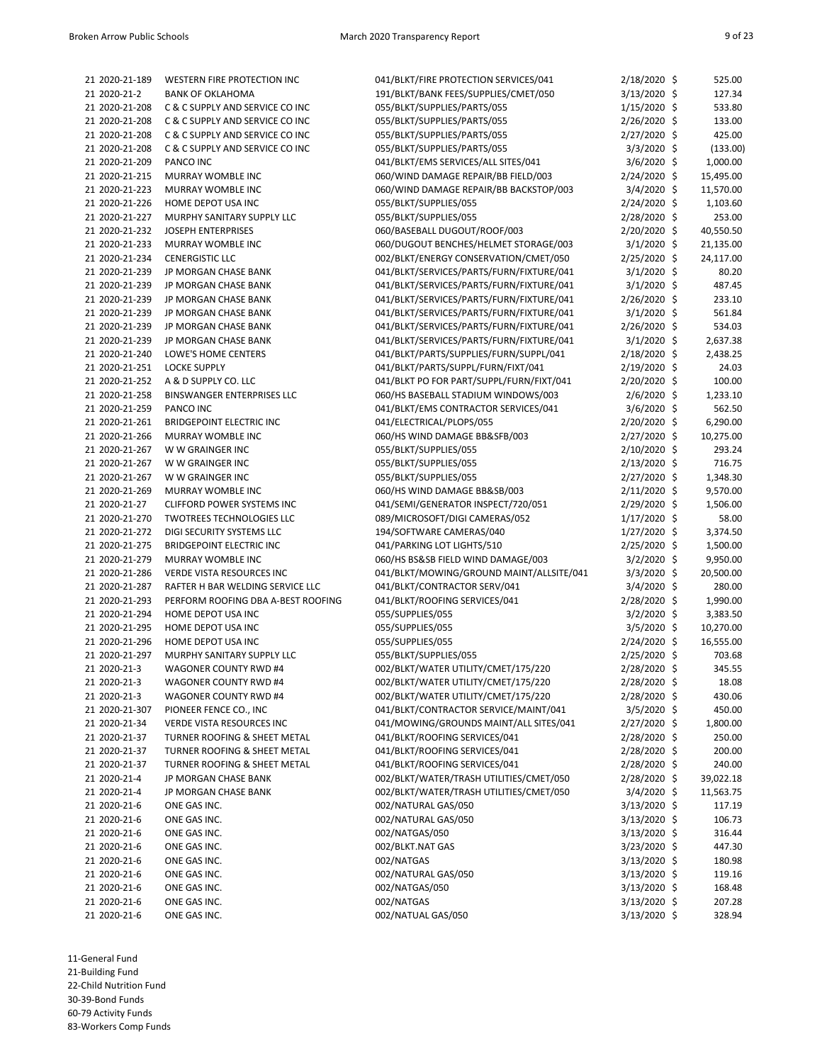| 21 2020-21-189                   | WESTERN FIRE PROTECTION INC        | 041/BLKT/FIRE PROTECTION SERVICES/041                 | 2/18/2020 \$                 | 525.00    |
|----------------------------------|------------------------------------|-------------------------------------------------------|------------------------------|-----------|
| 21 2020-21-2                     | <b>BANK OF OKLAHOMA</b>            | 191/BLKT/BANK FEES/SUPPLIES/CMET/050                  | $3/13/2020$ \$               | 127.34    |
| 21 2020-21-208                   | C & C SUPPLY AND SERVICE CO INC    | 055/BLKT/SUPPLIES/PARTS/055                           | $1/15/2020$ \$               | 533.80    |
| 21 2020-21-208                   | C & C SUPPLY AND SERVICE CO INC    | 055/BLKT/SUPPLIES/PARTS/055                           | $2/26/2020$ \$               | 133.00    |
| 21 2020-21-208                   | C & C SUPPLY AND SERVICE CO INC    | 055/BLKT/SUPPLIES/PARTS/055                           | 2/27/2020 \$                 | 425.00    |
| 21 2020-21-208                   | C & C SUPPLY AND SERVICE CO INC    | 055/BLKT/SUPPLIES/PARTS/055                           | $3/3/2020$ \$                | (133.00)  |
| 21 2020-21-209                   | PANCO INC                          | 041/BLKT/EMS SERVICES/ALL SITES/041                   | $3/6/2020$ \$                | 1,000.00  |
| 21 2020-21-215                   | MURRAY WOMBLE INC                  | 060/WIND DAMAGE REPAIR/BB FIELD/003                   | $2/24/2020$ \$               | 15,495.00 |
| 21 2020-21-223                   | <b>MURRAY WOMBLE INC</b>           | 060/WIND DAMAGE REPAIR/BB BACKSTOP/003                | $3/4/2020$ \$                | 11,570.00 |
| 21 2020-21-226                   | HOME DEPOT USA INC                 | 055/BLKT/SUPPLIES/055                                 | 2/24/2020 \$                 | 1,103.60  |
| 21 2020-21-227                   | MURPHY SANITARY SUPPLY LLC         | 055/BLKT/SUPPLIES/055                                 | 2/28/2020 \$                 | 253.00    |
| 21 2020-21-232                   | JOSEPH ENTERPRISES                 | 060/BASEBALL DUGOUT/ROOF/003                          | $2/20/2020$ \$               | 40,550.50 |
| 21 2020-21-233                   | MURRAY WOMBLE INC                  | 060/DUGOUT BENCHES/HELMET STORAGE/003                 | $3/1/2020$ \$                | 21,135.00 |
| 21 2020-21-234                   | <b>CENERGISTIC LLC</b>             | 002/BLKT/ENERGY CONSERVATION/CMET/050                 | $2/25/2020$ \$               | 24,117.00 |
| 21 2020-21-239                   | JP MORGAN CHASE BANK               | 041/BLKT/SERVICES/PARTS/FURN/FIXTURE/041              | $3/1/2020$ \$                | 80.20     |
| 21 2020-21-239                   | JP MORGAN CHASE BANK               | 041/BLKT/SERVICES/PARTS/FURN/FIXTURE/041              | $3/1/2020$ \$                | 487.45    |
| 21 2020-21-239                   | JP MORGAN CHASE BANK               | 041/BLKT/SERVICES/PARTS/FURN/FIXTURE/041              | $2/26/2020$ \$               | 233.10    |
| 21 2020-21-239                   | JP MORGAN CHASE BANK               | 041/BLKT/SERVICES/PARTS/FURN/FIXTURE/041              | $3/1/2020$ \$                | 561.84    |
| 21 2020-21-239                   | JP MORGAN CHASE BANK               | 041/BLKT/SERVICES/PARTS/FURN/FIXTURE/041              | 2/26/2020 \$                 | 534.03    |
| 21 2020-21-239                   | JP MORGAN CHASE BANK               | 041/BLKT/SERVICES/PARTS/FURN/FIXTURE/041              | $3/1/2020$ \$                | 2,637.38  |
| 21 2020-21-240                   | LOWE'S HOME CENTERS                | 041/BLKT/PARTS/SUPPLIES/FURN/SUPPL/041                | 2/18/2020 \$                 | 2,438.25  |
| 21 2020-21-251                   | <b>LOCKE SUPPLY</b>                | 041/BLKT/PARTS/SUPPL/FURN/FIXT/041                    | $2/19/2020$ \$               | 24.03     |
| 21 2020-21-252                   | A & D SUPPLY CO. LLC               | 041/BLKT PO FOR PART/SUPPL/FURN/FIXT/041              | $2/20/2020$ \$               | 100.00    |
| 21 2020-21-258                   | BINSWANGER ENTERPRISES LLC         | 060/HS BASEBALL STADIUM WINDOWS/003                   | $2/6/2020$ \$                | 1,233.10  |
| 21 2020-21-259                   | PANCO INC                          | 041/BLKT/EMS CONTRACTOR SERVICES/041                  | 3/6/2020 \$                  | 562.50    |
| 21 2020-21-261                   | <b>BRIDGEPOINT ELECTRIC INC</b>    | 041/ELECTRICAL/PLOPS/055                              | 2/20/2020 \$                 | 6,290.00  |
| 21 2020-21-266                   | MURRAY WOMBLE INC                  | 060/HS WIND DAMAGE BB&SFB/003                         | $2/27/2020$ \$               | 10,275.00 |
| 21 2020-21-267                   | W W GRAINGER INC                   |                                                       |                              | 293.24    |
|                                  |                                    | 055/BLKT/SUPPLIES/055                                 | $2/10/2020$ \$               |           |
| 21 2020-21-267<br>21 2020-21-267 | W W GRAINGER INC                   | 055/BLKT/SUPPLIES/055                                 | 2/13/2020 \$                 | 716.75    |
|                                  | W W GRAINGER INC                   | 055/BLKT/SUPPLIES/055<br>060/HS WIND DAMAGE BB&SB/003 | 2/27/2020 \$<br>2/11/2020 \$ | 1,348.30  |
| 21 2020-21-269                   | MURRAY WOMBLE INC                  |                                                       |                              | 9,570.00  |
| 21 2020-21-27                    | CLIFFORD POWER SYSTEMS INC         | 041/SEMI/GENERATOR INSPECT/720/051                    | 2/29/2020 \$                 | 1,506.00  |
| 21 2020-21-270                   | <b>TWOTREES TECHNOLOGIES LLC</b>   | 089/MICROSOFT/DIGI CAMERAS/052                        | $1/17/2020$ \$               | 58.00     |
| 21 2020-21-272                   | DIGI SECURITY SYSTEMS LLC          | 194/SOFTWARE CAMERAS/040                              | $1/27/2020$ \$               | 3,374.50  |
| 21 2020-21-275                   | <b>BRIDGEPOINT ELECTRIC INC</b>    | 041/PARKING LOT LIGHTS/510                            | 2/25/2020 \$                 | 1,500.00  |
| 21 2020-21-279                   | MURRAY WOMBLE INC                  | 060/HS BS&SB FIELD WIND DAMAGE/003                    | 3/2/2020 \$                  | 9,950.00  |
| 21 2020-21-286                   | VERDE VISTA RESOURCES INC          | 041/BLKT/MOWING/GROUND MAINT/ALLSITE/041              | $3/3/2020$ \$                | 20,500.00 |
| 21 2020-21-287                   | RAFTER H BAR WELDING SERVICE LLC   | 041/BLKT/CONTRACTOR SERV/041                          | $3/4/2020$ \$                | 280.00    |
| 21 2020-21-293                   | PERFORM ROOFING DBA A-BEST ROOFING | 041/BLKT/ROOFING SERVICES/041                         | 2/28/2020 \$                 | 1,990.00  |
| 21 2020-21-294                   | HOME DEPOT USA INC                 | 055/SUPPLIES/055                                      | 3/2/2020 \$                  | 3,383.50  |
| 21 2020-21-295                   | HOME DEPOT USA INC                 | 055/SUPPLIES/055                                      | 3/5/2020 \$                  | 10,270.00 |
| 21 2020-21-296                   | HOME DEPOT USA INC                 | 055/SUPPLIES/055                                      | $2/24/2020$ \$               | 16,555.00 |
| 21 2020-21-297                   | MURPHY SANITARY SUPPLY LLC         | 055/BLKT/SUPPLIES/055                                 | 2/25/2020 \$                 | 703.68    |
| 21 2020-21-3                     | <b>WAGONER COUNTY RWD #4</b>       | 002/BLKT/WATER UTILITY/CMET/175/220                   | 2/28/2020 \$                 | 345.55    |
| 21 2020-21-3                     | WAGONER COUNTY RWD #4              | 002/BLKT/WATER UTILITY/CMET/175/220                   | 2/28/2020 \$                 | 18.08     |
| 21 2020-21-3                     | WAGONER COUNTY RWD #4              | 002/BLKT/WATER UTILITY/CMET/175/220                   | 2/28/2020 \$                 | 430.06    |
| 21 2020-21-307                   | PIONEER FENCE CO., INC             | 041/BLKT/CONTRACTOR SERVICE/MAINT/041                 | $3/5/2020$ \$                | 450.00    |
| 21 2020-21-34                    | VERDE VISTA RESOURCES INC          | 041/MOWING/GROUNDS MAINT/ALL SITES/041                | 2/27/2020 \$                 | 1,800.00  |
| 21 2020-21-37                    | TURNER ROOFING & SHEET METAL       | 041/BLKT/ROOFING SERVICES/041                         | $2/28/2020$ \$               | 250.00    |
| 21 2020-21-37                    | TURNER ROOFING & SHEET METAL       | 041/BLKT/ROOFING SERVICES/041                         | 2/28/2020 \$                 | 200.00    |
| 21 2020-21-37                    | TURNER ROOFING & SHEET METAL       | 041/BLKT/ROOFING SERVICES/041                         | 2/28/2020 \$                 | 240.00    |
| 21 2020-21-4                     | JP MORGAN CHASE BANK               | 002/BLKT/WATER/TRASH UTILITIES/CMET/050               | $2/28/2020$ \$               | 39,022.18 |
| 21 2020-21-4                     | JP MORGAN CHASE BANK               | 002/BLKT/WATER/TRASH UTILITIES/CMET/050               | $3/4/2020$ \$                | 11,563.75 |
| 21 2020-21-6                     | ONE GAS INC.                       | 002/NATURAL GAS/050                                   | $3/13/2020$ \$               | 117.19    |
| 21 2020-21-6                     | ONE GAS INC.                       | 002/NATURAL GAS/050                                   | $3/13/2020$ \$               | 106.73    |
| 21 2020-21-6                     | ONE GAS INC.                       | 002/NATGAS/050                                        | $3/13/2020$ \$               | 316.44    |
| 21 2020-21-6                     | ONE GAS INC.                       | 002/BLKT.NAT GAS                                      | 3/23/2020 \$                 | 447.30    |
| 21 2020-21-6                     | ONE GAS INC.                       | 002/NATGAS                                            | $3/13/2020$ \$               | 180.98    |
| 21 2020-21-6                     | ONE GAS INC.                       | 002/NATURAL GAS/050                                   | $3/13/2020$ \$               | 119.16    |
| 21 2020-21-6                     | ONE GAS INC.                       | 002/NATGAS/050                                        | $3/13/2020$ \$               | 168.48    |
| 21 2020-21-6                     | ONE GAS INC.                       | 002/NATGAS                                            | $3/13/2020$ \$               | 207.28    |
| 21 2020-21-6                     | ONE GAS INC.                       | 002/NATUAL GAS/050                                    | 3/13/2020 \$                 | 328.94    |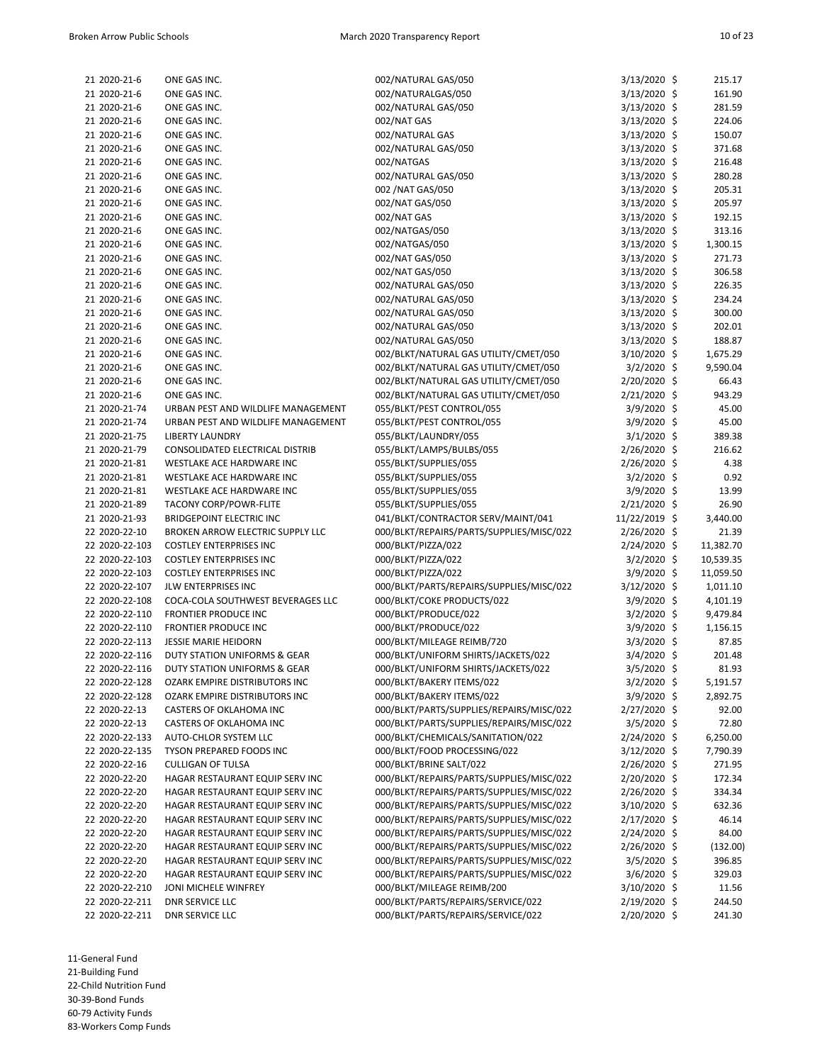| 21 2020-21-6   | ONE GAS INC.                                                             | 002/NATURAL GAS/050                      | $3/13/2020$ \$ | 215.17    |
|----------------|--------------------------------------------------------------------------|------------------------------------------|----------------|-----------|
| 21 2020-21-6   | ONE GAS INC.                                                             | 002/NATURALGAS/050                       | 3/13/2020 \$   | 161.90    |
| 21 2020-21-6   | ONE GAS INC.                                                             | 002/NATURAL GAS/050                      | $3/13/2020$ \$ | 281.59    |
| 21 2020-21-6   | ONE GAS INC.                                                             | 002/NAT GAS                              | $3/13/2020$ \$ | 224.06    |
| 21 2020-21-6   | ONE GAS INC.                                                             | 002/NATURAL GAS                          | 3/13/2020 \$   | 150.07    |
| 21 2020-21-6   | ONE GAS INC.                                                             | 002/NATURAL GAS/050                      | $3/13/2020$ \$ | 371.68    |
| 21 2020-21-6   | ONE GAS INC.                                                             | 002/NATGAS                               | 3/13/2020 \$   | 216.48    |
| 21 2020-21-6   | ONE GAS INC.                                                             | 002/NATURAL GAS/050                      | $3/13/2020$ \$ | 280.28    |
| 21 2020-21-6   | ONE GAS INC.                                                             | 002 / NAT GAS/050                        | $3/13/2020$ \$ | 205.31    |
| 21 2020-21-6   | ONE GAS INC.                                                             | 002/NAT GAS/050                          | 3/13/2020 \$   | 205.97    |
| 21 2020-21-6   | ONE GAS INC.                                                             | 002/NAT GAS                              | 3/13/2020 \$   | 192.15    |
| 21 2020-21-6   | ONE GAS INC.                                                             | 002/NATGAS/050                           | 3/13/2020 \$   | 313.16    |
| 21 2020-21-6   | ONE GAS INC.                                                             | 002/NATGAS/050                           | 3/13/2020 \$   | 1,300.15  |
| 21 2020-21-6   | ONE GAS INC.                                                             | 002/NAT GAS/050                          | $3/13/2020$ \$ | 271.73    |
| 21 2020-21-6   | ONE GAS INC.                                                             | 002/NAT GAS/050                          | 3/13/2020 \$   | 306.58    |
| 21 2020-21-6   | ONE GAS INC.                                                             | 002/NATURAL GAS/050                      | $3/13/2020$ \$ | 226.35    |
| 21 2020-21-6   | ONE GAS INC.                                                             | 002/NATURAL GAS/050                      | 3/13/2020 \$   | 234.24    |
| 21 2020-21-6   | ONE GAS INC.                                                             | 002/NATURAL GAS/050                      | $3/13/2020$ \$ | 300.00    |
| 21 2020-21-6   | ONE GAS INC.                                                             | 002/NATURAL GAS/050                      | $3/13/2020$ \$ | 202.01    |
| 21 2020-21-6   | ONE GAS INC.                                                             | 002/NATURAL GAS/050                      | 3/13/2020 \$   | 188.87    |
| 21 2020-21-6   | ONE GAS INC.                                                             | 002/BLKT/NATURAL GAS UTILITY/CMET/050    | $3/10/2020$ \$ | 1,675.29  |
| 21 2020-21-6   | ONE GAS INC.                                                             | 002/BLKT/NATURAL GAS UTILITY/CMET/050    | 3/2/2020 \$    | 9,590.04  |
| 21 2020-21-6   | ONE GAS INC.                                                             | 002/BLKT/NATURAL GAS UTILITY/CMET/050    | 2/20/2020 \$   | 66.43     |
| 21 2020-21-6   | ONE GAS INC.                                                             | 002/BLKT/NATURAL GAS UTILITY/CMET/050    |                | 943.29    |
|                |                                                                          |                                          | $2/21/2020$ \$ |           |
| 21 2020-21-74  | URBAN PEST AND WILDLIFE MANAGEMENT<br>URBAN PEST AND WILDLIFE MANAGEMENT | 055/BLKT/PEST CONTROL/055                | $3/9/2020$ \$  | 45.00     |
| 21 2020-21-74  |                                                                          | 055/BLKT/PEST CONTROL/055                | $3/9/2020$ \$  | 45.00     |
| 21 2020-21-75  | <b>LIBERTY LAUNDRY</b>                                                   | 055/BLKT/LAUNDRY/055                     | 3/1/2020 \$    | 389.38    |
| 21 2020-21-79  | CONSOLIDATED ELECTRICAL DISTRIB                                          | 055/BLKT/LAMPS/BULBS/055                 | $2/26/2020$ \$ | 216.62    |
| 21 2020-21-81  | WESTLAKE ACE HARDWARE INC                                                | 055/BLKT/SUPPLIES/055                    | 2/26/2020 \$   | 4.38      |
| 21 2020-21-81  | WESTLAKE ACE HARDWARE INC                                                | 055/BLKT/SUPPLIES/055                    | $3/2/2020$ \$  | 0.92      |
| 21 2020-21-81  | WESTLAKE ACE HARDWARE INC                                                | 055/BLKT/SUPPLIES/055                    | $3/9/2020$ \$  | 13.99     |
| 21 2020-21-89  | <b>TACONY CORP/POWR-FLITE</b>                                            | 055/BLKT/SUPPLIES/055                    | 2/21/2020 \$   | 26.90     |
| 21 2020-21-93  | <b>BRIDGEPOINT ELECTRIC INC</b>                                          | 041/BLKT/CONTRACTOR SERV/MAINT/041       | 11/22/2019 \$  | 3,440.00  |
| 22 2020-22-10  | BROKEN ARROW ELECTRIC SUPPLY LLC                                         | 000/BLKT/REPAIRS/PARTS/SUPPLIES/MISC/022 | $2/26/2020$ \$ | 21.39     |
| 22 2020-22-103 | <b>COSTLEY ENTERPRISES INC</b>                                           | 000/BLKT/PIZZA/022                       | $2/24/2020$ \$ | 11,382.70 |
| 22 2020-22-103 | <b>COSTLEY ENTERPRISES INC</b>                                           | 000/BLKT/PIZZA/022                       | $3/2/2020$ \$  | 10,539.35 |
| 22 2020-22-103 | <b>COSTLEY ENTERPRISES INC</b>                                           | 000/BLKT/PIZZA/022                       | 3/9/2020 \$    | 11,059.50 |
| 22 2020-22-107 | JLW ENTERPRISES INC                                                      | 000/BLKT/PARTS/REPAIRS/SUPPLIES/MISC/022 | $3/12/2020$ \$ | 1,011.10  |
| 22 2020-22-108 | COCA-COLA SOUTHWEST BEVERAGES LLC                                        | 000/BLKT/COKE PRODUCTS/022               | $3/9/2020$ \$  | 4,101.19  |
| 22 2020-22-110 | <b>FRONTIER PRODUCE INC</b>                                              | 000/BLKT/PRODUCE/022                     | 3/2/2020 \$    | 9,479.84  |
| 22 2020-22-110 | FRONTIER PRODUCE INC                                                     | 000/BLKT/PRODUCE/022                     | $3/9/2020$ \$  | 1,156.15  |
| 22 2020-22-113 | <b>JESSIE MARIE HEIDORN</b>                                              | 000/BLKT/MILEAGE REIMB/720               | 3/3/2020 \$    | 87.85     |
| 22 2020-22-116 | DUTY STATION UNIFORMS & GEAR                                             | 000/BLKT/UNIFORM SHIRTS/JACKETS/022      | 3/4/2020 \$    | 201.48    |
| 22 2020-22-116 | DUTY STATION UNIFORMS & GEAR                                             | 000/BLKT/UNIFORM SHIRTS/JACKETS/022      | 3/5/2020 \$    | 81.93     |
| 22 2020-22-128 | OZARK EMPIRE DISTRIBUTORS INC                                            | 000/BLKT/BAKERY ITEMS/022                | 3/2/2020 \$    | 5,191.57  |
| 22 2020-22-128 | OZARK EMPIRE DISTRIBUTORS INC                                            | 000/BLKT/BAKERY ITEMS/022                | 3/9/2020 \$    | 2,892.75  |
| 22 2020-22-13  | CASTERS OF OKLAHOMA INC                                                  | 000/BLKT/PARTS/SUPPLIES/REPAIRS/MISC/022 | $2/27/2020$ \$ | 92.00     |
| 22 2020-22-13  | <b>CASTERS OF OKLAHOMA INC</b>                                           | 000/BLKT/PARTS/SUPPLIES/REPAIRS/MISC/022 | $3/5/2020$ \$  | 72.80     |
| 22 2020-22-133 | AUTO-CHLOR SYSTEM LLC                                                    | 000/BLKT/CHEMICALS/SANITATION/022        | $2/24/2020$ \$ | 6,250.00  |
| 22 2020-22-135 | TYSON PREPARED FOODS INC                                                 | 000/BLKT/FOOD PROCESSING/022             | 3/12/2020 \$   | 7,790.39  |
| 22 2020-22-16  | <b>CULLIGAN OF TULSA</b>                                                 | 000/BLKT/BRINE SALT/022                  | 2/26/2020 \$   | 271.95    |
| 22 2020-22-20  | HAGAR RESTAURANT EQUIP SERV INC                                          | 000/BLKT/REPAIRS/PARTS/SUPPLIES/MISC/022 | $2/20/2020$ \$ | 172.34    |
| 22 2020-22-20  | HAGAR RESTAURANT EQUIP SERV INC                                          | 000/BLKT/REPAIRS/PARTS/SUPPLIES/MISC/022 | $2/26/2020$ \$ | 334.34    |
| 22 2020-22-20  | HAGAR RESTAURANT EQUIP SERV INC                                          | 000/BLKT/REPAIRS/PARTS/SUPPLIES/MISC/022 | 3/10/2020 \$   | 632.36    |
| 22 2020-22-20  | HAGAR RESTAURANT EQUIP SERV INC                                          | 000/BLKT/REPAIRS/PARTS/SUPPLIES/MISC/022 | $2/17/2020$ \$ | 46.14     |
| 22 2020-22-20  | HAGAR RESTAURANT EQUIP SERV INC                                          | 000/BLKT/REPAIRS/PARTS/SUPPLIES/MISC/022 | $2/24/2020$ \$ | 84.00     |
| 22 2020-22-20  | HAGAR RESTAURANT EQUIP SERV INC                                          | 000/BLKT/REPAIRS/PARTS/SUPPLIES/MISC/022 | 2/26/2020 \$   | (132.00)  |
| 22 2020-22-20  | HAGAR RESTAURANT EQUIP SERV INC                                          | 000/BLKT/REPAIRS/PARTS/SUPPLIES/MISC/022 | $3/5/2020$ \$  | 396.85    |
| 22 2020-22-20  | HAGAR RESTAURANT EQUIP SERV INC                                          | 000/BLKT/REPAIRS/PARTS/SUPPLIES/MISC/022 | 3/6/2020 \$    | 329.03    |
| 22 2020-22-210 | JONI MICHELE WINFREY                                                     | 000/BLKT/MILEAGE REIMB/200               | 3/10/2020 \$   | 11.56     |
| 22 2020-22-211 | <b>DNR SERVICE LLC</b>                                                   | 000/BLKT/PARTS/REPAIRS/SERVICE/022       | $2/19/2020$ \$ | 244.50    |
|                |                                                                          | 000/BLKT/PARTS/REPAIRS/SERVICE/022       | 2/20/2020 \$   |           |
| 22 2020-22-211 | <b>DNR SERVICE LLC</b>                                                   |                                          |                | 241.30    |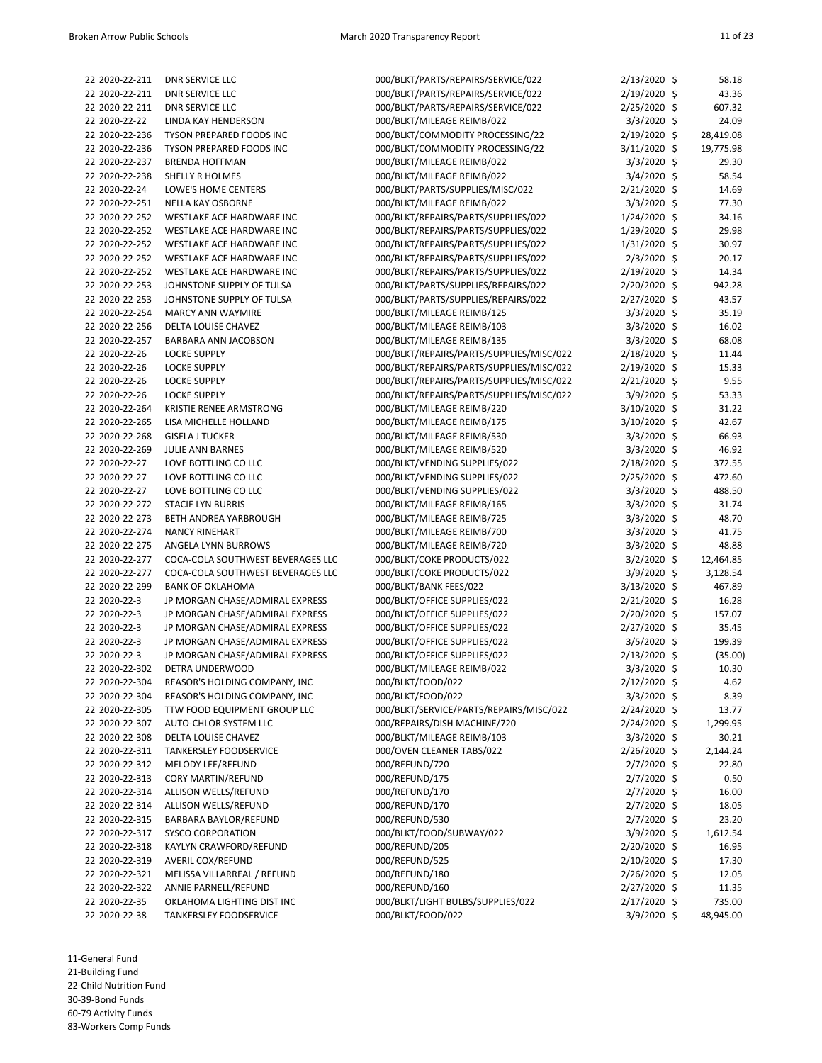| 22 2020-22-211 | <b>DNR SERVICE LLC</b>            | 000/BLKT/PARTS/REPAIRS/SERVICE/022       | 2/13/2020 \$   | 58.18     |
|----------------|-----------------------------------|------------------------------------------|----------------|-----------|
| 22 2020-22-211 | <b>DNR SERVICE LLC</b>            | 000/BLKT/PARTS/REPAIRS/SERVICE/022       | 2/19/2020 \$   | 43.36     |
| 22 2020-22-211 | <b>DNR SERVICE LLC</b>            | 000/BLKT/PARTS/REPAIRS/SERVICE/022       | $2/25/2020$ \$ | 607.32    |
| 22 2020-22-22  | LINDA KAY HENDERSON               | 000/BLKT/MILEAGE REIMB/022               | $3/3/2020$ \$  | 24.09     |
| 22 2020-22-236 | TYSON PREPARED FOODS INC          | 000/BLKT/COMMODITY PROCESSING/22         | 2/19/2020 \$   | 28,419.08 |
| 22 2020-22-236 | <b>TYSON PREPARED FOODS INC</b>   | 000/BLKT/COMMODITY PROCESSING/22         | 3/11/2020 \$   | 19,775.98 |
| 22 2020-22-237 | <b>BRENDA HOFFMAN</b>             | 000/BLKT/MILEAGE REIMB/022               | 3/3/2020 \$    | 29.30     |
| 22 2020-22-238 | SHELLY R HOLMES                   | 000/BLKT/MILEAGE REIMB/022               | 3/4/2020 \$    | 58.54     |
| 22 2020-22-24  | LOWE'S HOME CENTERS               | 000/BLKT/PARTS/SUPPLIES/MISC/022         | 2/21/2020 \$   | 14.69     |
| 22 2020-22-251 | NELLA KAY OSBORNE                 | 000/BLKT/MILEAGE REIMB/022               | 3/3/2020 \$    | 77.30     |
| 22 2020-22-252 | WESTLAKE ACE HARDWARE INC         | 000/BLKT/REPAIRS/PARTS/SUPPLIES/022      | 1/24/2020 \$   | 34.16     |
| 22 2020-22-252 | WESTLAKE ACE HARDWARE INC         | 000/BLKT/REPAIRS/PARTS/SUPPLIES/022      | 1/29/2020 \$   | 29.98     |
| 22 2020-22-252 | WESTLAKE ACE HARDWARE INC         | 000/BLKT/REPAIRS/PARTS/SUPPLIES/022      | 1/31/2020 \$   | 30.97     |
| 22 2020-22-252 | WESTLAKE ACE HARDWARE INC         | 000/BLKT/REPAIRS/PARTS/SUPPLIES/022      | $2/3/2020$ \$  | 20.17     |
| 22 2020-22-252 | WESTLAKE ACE HARDWARE INC         | 000/BLKT/REPAIRS/PARTS/SUPPLIES/022      | 2/19/2020 \$   | 14.34     |
| 22 2020-22-253 | JOHNSTONE SUPPLY OF TULSA         | 000/BLKT/PARTS/SUPPLIES/REPAIRS/022      | 2/20/2020 \$   | 942.28    |
|                |                                   |                                          | 2/27/2020 \$   |           |
| 22 2020-22-253 | JOHNSTONE SUPPLY OF TULSA         | 000/BLKT/PARTS/SUPPLIES/REPAIRS/022      |                | 43.57     |
| 22 2020-22-254 | MARCY ANN WAYMIRE                 | 000/BLKT/MILEAGE REIMB/125               | 3/3/2020 \$    | 35.19     |
| 22 2020-22-256 | DELTA LOUISE CHAVEZ               | 000/BLKT/MILEAGE REIMB/103               | 3/3/2020 \$    | 16.02     |
| 22 2020-22-257 | BARBARA ANN JACOBSON              | 000/BLKT/MILEAGE REIMB/135               | 3/3/2020 \$    | 68.08     |
| 22 2020-22-26  | <b>LOCKE SUPPLY</b>               | 000/BLKT/REPAIRS/PARTS/SUPPLIES/MISC/022 | 2/18/2020 \$   | 11.44     |
| 22 2020-22-26  | <b>LOCKE SUPPLY</b>               | 000/BLKT/REPAIRS/PARTS/SUPPLIES/MISC/022 | 2/19/2020 \$   | 15.33     |
| 22 2020-22-26  | <b>LOCKE SUPPLY</b>               | 000/BLKT/REPAIRS/PARTS/SUPPLIES/MISC/022 | $2/21/2020$ \$ | 9.55      |
| 22 2020-22-26  | <b>LOCKE SUPPLY</b>               | 000/BLKT/REPAIRS/PARTS/SUPPLIES/MISC/022 | $3/9/2020$ \$  | 53.33     |
| 22 2020-22-264 | <b>KRISTIE RENEE ARMSTRONG</b>    | 000/BLKT/MILEAGE REIMB/220               | 3/10/2020 \$   | 31.22     |
| 22 2020-22-265 | LISA MICHELLE HOLLAND             | 000/BLKT/MILEAGE REIMB/175               | 3/10/2020 \$   | 42.67     |
| 22 2020-22-268 | <b>GISELA J TUCKER</b>            | 000/BLKT/MILEAGE REIMB/530               | 3/3/2020 \$    | 66.93     |
| 22 2020-22-269 | <b>JULIE ANN BARNES</b>           | 000/BLKT/MILEAGE REIMB/520               | $3/3/2020$ \$  | 46.92     |
| 22 2020-22-27  | LOVE BOTTLING CO LLC              | 000/BLKT/VENDING SUPPLIES/022            | 2/18/2020 \$   | 372.55    |
| 22 2020-22-27  | LOVE BOTTLING CO LLC              | 000/BLKT/VENDING SUPPLIES/022            | 2/25/2020 \$   | 472.60    |
| 22 2020-22-27  | LOVE BOTTLING CO LLC              | 000/BLKT/VENDING SUPPLIES/022            | 3/3/2020 \$    | 488.50    |
| 22 2020-22-272 | <b>STACIE LYN BURRIS</b>          | 000/BLKT/MILEAGE REIMB/165               | 3/3/2020 \$    | 31.74     |
| 22 2020-22-273 | BETH ANDREA YARBROUGH             | 000/BLKT/MILEAGE REIMB/725               | 3/3/2020 \$    | 48.70     |
| 22 2020-22-274 | <b>NANCY RINEHART</b>             | 000/BLKT/MILEAGE REIMB/700               | 3/3/2020 \$    | 41.75     |
| 22 2020-22-275 | ANGELA LYNN BURROWS               | 000/BLKT/MILEAGE REIMB/720               | 3/3/2020 \$    | 48.88     |
| 22 2020-22-277 | COCA-COLA SOUTHWEST BEVERAGES LLC | 000/BLKT/COKE PRODUCTS/022               | 3/2/2020 \$    | 12,464.85 |
| 22 2020-22-277 | COCA-COLA SOUTHWEST BEVERAGES LLC | 000/BLKT/COKE PRODUCTS/022               | 3/9/2020 \$    | 3,128.54  |
| 22 2020-22-299 | <b>BANK OF OKLAHOMA</b>           | 000/BLKT/BANK FEES/022                   | 3/13/2020 \$   | 467.89    |
| 22 2020-22-3   | JP MORGAN CHASE/ADMIRAL EXPRESS   | 000/BLKT/OFFICE SUPPLIES/022             | 2/21/2020 \$   | 16.28     |
| 22 2020-22-3   | JP MORGAN CHASE/ADMIRAL EXPRESS   | 000/BLKT/OFFICE SUPPLIES/022             | 2/20/2020 \$   | 157.07    |
| 22 2020-22-3   | JP MORGAN CHASE/ADMIRAL EXPRESS   | 000/BLKT/OFFICE SUPPLIES/022             | $2/27/2020$ \$ | 35.45     |
| 22 2020-22-3   | JP MORGAN CHASE/ADMIRAL EXPRESS   | 000/BLKT/OFFICE SUPPLIES/022             | 3/5/2020 \$    | 199.39    |
| 22 2020-22-3   | JP MORGAN CHASE/ADMIRAL EXPRESS   | 000/BLKT/OFFICE SUPPLIES/022             | 2/13/2020 \$   | (35.00)   |
| 22 2020-22-302 | DETRA UNDERWOOD                   | 000/BLKT/MILEAGE REIMB/022               | 3/3/2020 \$    | 10.30     |
| 22 2020-22-304 | REASOR'S HOLDING COMPANY, INC     | 000/BLKT/FOOD/022                        | 2/12/2020 \$   | 4.62      |
| 22 2020-22-304 | REASOR'S HOLDING COMPANY, INC     | 000/BLKT/FOOD/022                        | 3/3/2020 \$    | 8.39      |
|                | TTW FOOD EQUIPMENT GROUP LLC      | 000/BLKT/SERVICE/PARTS/REPAIRS/MISC/022  |                |           |
| 22 2020-22-305 |                                   |                                          | $2/24/2020$ \$ | 13.77     |
| 22 2020-22-307 | AUTO-CHLOR SYSTEM LLC             | 000/REPAIRS/DISH MACHINE/720             | 2/24/2020 \$   | 1,299.95  |
| 22 2020-22-308 | DELTA LOUISE CHAVEZ               | 000/BLKT/MILEAGE REIMB/103               | 3/3/2020 \$    | 30.21     |
| 22 2020-22-311 | <b>TANKERSLEY FOODSERVICE</b>     | 000/OVEN CLEANER TABS/022                | 2/26/2020 \$   | 2,144.24  |
| 22 2020-22-312 | <b>MELODY LEE/REFUND</b>          | 000/REFUND/720                           | 2/7/2020 \$    | 22.80     |
| 22 2020-22-313 | CORY MARTIN/REFUND                | 000/REFUND/175                           | $2/7/2020$ \$  | 0.50      |
| 22 2020-22-314 | ALLISON WELLS/REFUND              | 000/REFUND/170                           | 2/7/2020 \$    | 16.00     |
| 22 2020-22-314 | ALLISON WELLS/REFUND              | 000/REFUND/170                           | 2/7/2020 \$    | 18.05     |
| 22 2020-22-315 | BARBARA BAYLOR/REFUND             | 000/REFUND/530                           | 2/7/2020 \$    | 23.20     |
| 22 2020-22-317 | <b>SYSCO CORPORATION</b>          | 000/BLKT/FOOD/SUBWAY/022                 | 3/9/2020 \$    | 1,612.54  |
| 22 2020-22-318 | KAYLYN CRAWFORD/REFUND            | 000/REFUND/205                           | 2/20/2020 \$   | 16.95     |
| 22 2020-22-319 | AVERIL COX/REFUND                 | 000/REFUND/525                           | 2/10/2020 \$   | 17.30     |
| 22 2020-22-321 | MELISSA VILLARREAL / REFUND       | 000/REFUND/180                           | $2/26/2020$ \$ | 12.05     |
| 22 2020-22-322 | ANNIE PARNELL/REFUND              | 000/REFUND/160                           | $2/27/2020$ \$ | 11.35     |
| 22 2020-22-35  | OKLAHOMA LIGHTING DIST INC        | 000/BLKT/LIGHT BULBS/SUPPLIES/022        | 2/17/2020 \$   | 735.00    |
| 22 2020-22-38  | TANKERSLEY FOODSERVICE            | 000/BLKT/FOOD/022                        | 3/9/2020 \$    | 48,945.00 |

11-General Fund 21-Building Fund 22-Child Nutrition Fund 30-39-Bond Funds 60-79 Activity Funds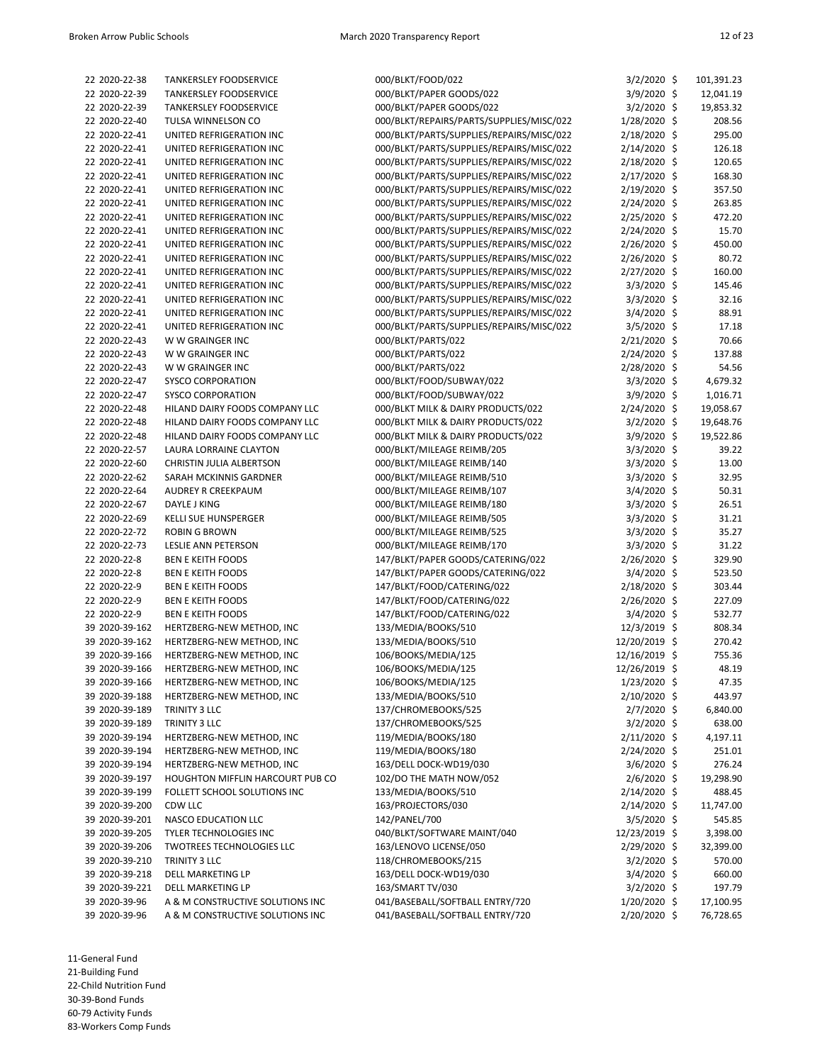| 22 2020-22-38  | <b>TANKERSLEY FOODSERVICE</b>    | 000/BLKT/FC |
|----------------|----------------------------------|-------------|
| 22 2020-22-39  | <b>TANKERSLEY FOODSERVICE</b>    | 000/BLKT/PA |
| 22 2020-22-39  | <b>TANKERSLEY FOODSERVICE</b>    | 000/BLKT/PA |
| 22 2020-22-40  | TULSA WINNELSON CO               | 000/BLKT/RE |
| 22 2020-22-41  | UNITED REFRIGERATION INC         | 000/BLKT/PA |
| 22 2020-22-41  | UNITED REFRIGERATION INC         | 000/BLKT/PA |
| 22 2020-22-41  | UNITED REFRIGERATION INC         | 000/BLKT/PA |
| 22 2020-22-41  | UNITED REFRIGERATION INC         | 000/BLKT/PA |
| 22 2020-22-41  | UNITED REFRIGERATION INC         | 000/BLKT/PA |
| 22 2020-22-41  | UNITED REFRIGERATION INC         | 000/BLKT/PA |
| 22 2020-22-41  | UNITED REFRIGERATION INC         | 000/BLKT/PA |
| 22 2020-22-41  | UNITED REFRIGERATION INC         | 000/BLKT/PA |
| 22 2020-22-41  | UNITED REFRIGERATION INC         | 000/BLKT/PA |
| 22 2020-22-41  | UNITED REFRIGERATION INC         | 000/BLKT/PA |
| 22 2020-22-41  | UNITED REFRIGERATION INC         | 000/BLKT/PA |
| 22 2020-22-41  | UNITED REFRIGERATION INC         | 000/BLKT/PA |
| 22 2020-22-41  | UNITED REFRIGERATION INC         | 000/BLKT/PA |
| 22 2020-22-41  | UNITED REFRIGERATION INC         | 000/BLKT/PA |
| 22 2020-22-41  | UNITED REFRIGERATION INC         | 000/BLKT/PA |
| 22 2020-22-43  | W W GRAINGER INC                 | 000/BLKT/PA |
| 22 2020-22-43  | W W GRAINGER INC                 | 000/BLKT/PA |
| 22 2020-22-43  | W W GRAINGER INC                 | 000/BLKT/PA |
| 22 2020-22-47  | <b>SYSCO CORPORATION</b>         | 000/BLKT/FC |
| 22 2020-22-47  | <b>SYSCO CORPORATION</b>         | 000/BLKT/FC |
| 22 2020-22-48  | HILAND DAIRY FOODS COMPANY LLC   | 000/BLKT MI |
| 22 2020-22-48  | HILAND DAIRY FOODS COMPANY LLC   | 000/BLKT MI |
| 22 2020-22-48  | HILAND DAIRY FOODS COMPANY LLC   | 000/BLKT MI |
| 22 2020-22-57  | LAURA LORRAINE CLAYTON           | 000/BLKT/M  |
| 22 2020-22-60  | CHRISTIN JULIA ALBERTSON         | 000/BLKT/M  |
| 22 2020-22-62  | SARAH MCKINNIS GARDNER           | 000/BLKT/M  |
| 22 2020-22-64  | <b>AUDREY R CREEKPAUM</b>        | 000/BLKT/M  |
| 22 2020-22-67  | DAYLE J KING                     | 000/BLKT/M  |
| 22 2020-22-69  | <b>KELLI SUE HUNSPERGER</b>      | 000/BLKT/M  |
| 22 2020-22-72  | <b>ROBIN G BROWN</b>             | 000/BLKT/M  |
| 22 2020-22-73  | <b>LESLIE ANN PETERSON</b>       | 000/BLKT/M  |
| 22 2020-22-8   | <b>BEN E KEITH FOODS</b>         | 147/BLKT/PA |
| 22 2020-22-8   | <b>BEN E KEITH FOODS</b>         | 147/BLKT/PA |
| 22 2020-22-9   | <b>BEN E KEITH FOODS</b>         | 147/BLKT/FC |
| 22 2020-22-9   | <b>BEN E KEITH FOODS</b>         | 147/BLKT/FC |
| 22 2020-22-9   | <b>BEN E KEITH FOODS</b>         | 147/BLKT/FC |
| 39 2020-39-162 | HERTZBERG-NEW METHOD, INC        | 133/MEDIA/  |
| 39 2020-39-162 | HERTZBERG-NEW METHOD, INC        | 133/MEDIA/  |
| 39 2020-39-166 | HERTZBERG-NEW METHOD, INC        | 106/BOOKS/  |
| 39 2020-39-166 | HERTZBERG-NEW METHOD, INC        | 106/BOOKS/  |
| 39 2020-39-166 | HERTZBERG-NEW METHOD, INC        | 106/BOOKS/  |
| 39 2020-39-188 | HERTZBERG-NEW METHOD, INC        | 133/MEDIA/  |
| 39 2020-39-189 | TRINITY 3 LLC                    | 137/CHROM   |
| 39 2020-39-189 | TRINITY 3 LLC                    | 137/CHROM   |
| 39 2020-39-194 | HERTZBERG-NEW METHOD, INC        | 119/MEDIA/  |
| 39 2020-39-194 | HERTZBERG-NEW METHOD, INC        | 119/MEDIA/  |
| 39 2020-39-194 | HERTZBERG-NEW METHOD, INC        | 163/DELL DC |
| 39 2020-39-197 | HOUGHTON MIFFLIN HARCOURT PUB CO | 102/DO THE  |
| 39 2020-39-199 | FOLLETT SCHOOL SOLUTIONS INC     | 133/MEDIA/  |
| 39 2020-39-200 | CDW LLC                          | 163/PROJECT |
| 39 2020-39-201 | <b>NASCO EDUCATION LLC</b>       | 142/PANEL/7 |
| 39 2020-39-205 | TYLER TECHNOLOGIES INC           | 040/BLKT/SC |
| 39 2020-39-206 | <b>TWOTREES TECHNOLOGIES LLC</b> | 163/LENOVC  |
| 39 2020-39-210 | TRINITY 3 LLC                    | 118/CHROM   |
| 39 2020-39-218 | DELL MARKETING LP                | 163/DELL DC |
| 39 2020-39-221 | DELL MARKETING LP                | 163/SMART   |
| 39 2020-39-96  | A & M CONSTRUCTIVE SOLUTIONS INC | 041/BASEBA  |
| 39 2020-39-96  | A & M CONSTRUCTIVE SOLUTIONS INC | 041/BASEBA  |

| 22 2020-22-38                    | <b>TANKERSLEY FOODSERVICE</b>                                    | 000/BLKT/FOOD/022                                                                    | 3/2/2020 \$                     | 101,391.23          |
|----------------------------------|------------------------------------------------------------------|--------------------------------------------------------------------------------------|---------------------------------|---------------------|
| 22 2020-22-39                    | TANKERSLEY FOODSERVICE                                           | 000/BLKT/PAPER GOODS/022                                                             | $3/9/2020$ \$                   | 12,041.19           |
| 22 2020-22-39                    | <b>TANKERSLEY FOODSERVICE</b>                                    | 000/BLKT/PAPER GOODS/022                                                             | $3/2/2020$ \$                   | 19,853.32           |
| 22 2020-22-40                    | TULSA WINNELSON CO                                               | 000/BLKT/REPAIRS/PARTS/SUPPLIES/MISC/022                                             | $1/28/2020$ \$                  | 208.56              |
| 22 2020-22-41                    | UNITED REFRIGERATION INC                                         | 000/BLKT/PARTS/SUPPLIES/REPAIRS/MISC/022                                             | 2/18/2020 \$                    | 295.00              |
| 22 2020-22-41                    | UNITED REFRIGERATION INC                                         | 000/BLKT/PARTS/SUPPLIES/REPAIRS/MISC/022                                             | 2/14/2020 \$                    | 126.18              |
| 22 2020-22-41                    | UNITED REFRIGERATION INC                                         | 000/BLKT/PARTS/SUPPLIES/REPAIRS/MISC/022                                             | 2/18/2020 \$                    | 120.65              |
| 22 2020-22-41                    | UNITED REFRIGERATION INC                                         | 000/BLKT/PARTS/SUPPLIES/REPAIRS/MISC/022                                             | 2/17/2020 \$                    | 168.30              |
| 22 2020-22-41                    | UNITED REFRIGERATION INC                                         | 000/BLKT/PARTS/SUPPLIES/REPAIRS/MISC/022                                             | $2/19/2020$ \$                  | 357.50              |
| 22 2020-22-41<br>22 2020-22-41   | UNITED REFRIGERATION INC<br>UNITED REFRIGERATION INC             | 000/BLKT/PARTS/SUPPLIES/REPAIRS/MISC/022                                             | 2/24/2020 \$                    | 263.85<br>472.20    |
| 22 2020-22-41                    | UNITED REFRIGERATION INC                                         | 000/BLKT/PARTS/SUPPLIES/REPAIRS/MISC/022<br>000/BLKT/PARTS/SUPPLIES/REPAIRS/MISC/022 | $2/25/2020$ \$<br>2/24/2020 \$  | 15.70               |
| 22 2020-22-41                    | UNITED REFRIGERATION INC                                         | 000/BLKT/PARTS/SUPPLIES/REPAIRS/MISC/022                                             | $2/26/2020$ \$                  | 450.00              |
| 22 2020-22-41                    | UNITED REFRIGERATION INC                                         | 000/BLKT/PARTS/SUPPLIES/REPAIRS/MISC/022                                             | 2/26/2020 \$                    | 80.72               |
| 22 2020-22-41                    | UNITED REFRIGERATION INC                                         | 000/BLKT/PARTS/SUPPLIES/REPAIRS/MISC/022                                             | 2/27/2020 \$                    | 160.00              |
| 22 2020-22-41                    | UNITED REFRIGERATION INC                                         | 000/BLKT/PARTS/SUPPLIES/REPAIRS/MISC/022                                             | $3/3/2020$ \$                   | 145.46              |
| 22 2020-22-41                    | UNITED REFRIGERATION INC                                         | 000/BLKT/PARTS/SUPPLIES/REPAIRS/MISC/022                                             | $3/3/2020$ \$                   | 32.16               |
| 22 2020-22-41                    | UNITED REFRIGERATION INC                                         | 000/BLKT/PARTS/SUPPLIES/REPAIRS/MISC/022                                             | $3/4/2020$ \$                   | 88.91               |
| 22 2020-22-41                    | UNITED REFRIGERATION INC                                         | 000/BLKT/PARTS/SUPPLIES/REPAIRS/MISC/022                                             | $3/5/2020$ \$                   | 17.18               |
| 22 2020-22-43                    | W W GRAINGER INC                                                 | 000/BLKT/PARTS/022                                                                   | 2/21/2020 \$                    | 70.66               |
| 22 2020-22-43                    | W W GRAINGER INC                                                 | 000/BLKT/PARTS/022                                                                   | 2/24/2020 \$                    | 137.88              |
| 22 2020-22-43                    | W W GRAINGER INC                                                 | 000/BLKT/PARTS/022                                                                   | 2/28/2020 \$                    | 54.56               |
| 22 2020-22-47                    | SYSCO CORPORATION                                                | 000/BLKT/FOOD/SUBWAY/022                                                             | $3/3/2020$ \$                   | 4,679.32            |
| 22 2020-22-47                    | SYSCO CORPORATION                                                | 000/BLKT/FOOD/SUBWAY/022                                                             | $3/9/2020$ \$                   | 1,016.71            |
| 22 2020-22-48                    | HILAND DAIRY FOODS COMPANY LLC                                   | 000/BLKT MILK & DAIRY PRODUCTS/022                                                   | 2/24/2020 \$                    | 19,058.67           |
| 22 2020-22-48                    | HILAND DAIRY FOODS COMPANY LLC                                   | 000/BLKT MILK & DAIRY PRODUCTS/022                                                   | 3/2/2020 \$                     | 19,648.76           |
| 22 2020-22-48                    | HILAND DAIRY FOODS COMPANY LLC                                   | 000/BLKT MILK & DAIRY PRODUCTS/022                                                   | $3/9/2020$ \$                   | 19,522.86           |
| 22 2020-22-57                    | LAURA LORRAINE CLAYTON                                           | 000/BLKT/MILEAGE REIMB/205                                                           | $3/3/2020$ \$                   | 39.22               |
| 22 2020-22-60                    | CHRISTIN JULIA ALBERTSON                                         | 000/BLKT/MILEAGE REIMB/140                                                           | $3/3/2020$ \$                   | 13.00               |
| 22 2020-22-62                    | SARAH MCKINNIS GARDNER                                           | 000/BLKT/MILEAGE REIMB/510                                                           | $3/3/2020$ \$                   | 32.95               |
| 22 2020-22-64                    | AUDREY R CREEKPAUM                                               | 000/BLKT/MILEAGE REIMB/107                                                           | $3/4/2020$ \$                   | 50.31               |
| 22 2020-22-67                    | DAYLE J KING                                                     | 000/BLKT/MILEAGE REIMB/180                                                           | 3/3/2020 \$                     | 26.51               |
| 22 2020-22-69                    | <b>KELLI SUE HUNSPERGER</b>                                      | 000/BLKT/MILEAGE REIMB/505                                                           | $3/3/2020$ \$                   | 31.21               |
| 22 2020-22-72                    | <b>ROBIN G BROWN</b>                                             | 000/BLKT/MILEAGE REIMB/525                                                           | $3/3/2020$ \$                   | 35.27               |
| 22 2020-22-73                    | LESLIE ANN PETERSON                                              | 000/BLKT/MILEAGE REIMB/170                                                           | $3/3/2020$ \$                   | 31.22               |
| 22 2020-22-8                     | <b>BEN E KEITH FOODS</b>                                         | 147/BLKT/PAPER GOODS/CATERING/022                                                    | 2/26/2020 \$                    | 329.90              |
| 22 2020-22-8                     | <b>BEN E KEITH FOODS</b>                                         | 147/BLKT/PAPER GOODS/CATERING/022                                                    | $3/4/2020$ \$                   | 523.50              |
| 22 2020-22-9                     | <b>BEN E KEITH FOODS</b>                                         | 147/BLKT/FOOD/CATERING/022                                                           | 2/18/2020 \$                    | 303.44              |
| 22 2020-22-9                     | <b>BEN E KEITH FOODS</b>                                         | 147/BLKT/FOOD/CATERING/022                                                           | 2/26/2020 \$                    | 227.09              |
| 22 2020-22-9                     | <b>BEN E KEITH FOODS</b>                                         | 147/BLKT/FOOD/CATERING/022                                                           | $3/4/2020$ \$                   | 532.77              |
| 39 2020-39-162                   | HERTZBERG-NEW METHOD, INC                                        | 133/MEDIA/BOOKS/510                                                                  | 12/3/2019 \$                    | 808.34              |
| 39 2020-39-162                   | HERTZBERG-NEW METHOD, INC                                        | 133/MEDIA/BOOKS/510                                                                  | 12/20/2019 \$                   | 270.42              |
| 39 2020-39-166                   | HERTZBERG-NEW METHOD, INC                                        | 106/BOOKS/MEDIA/125                                                                  | 12/16/2019 \$                   | 755.36              |
| 39 2020-39-166                   | HERTZBERG-NEW METHOD, INC                                        | 106/BOOKS/MEDIA/125                                                                  | 12/26/2019 \$                   | 48.19               |
| 39 2020-39-166                   | HERTZBERG-NEW METHOD, INC                                        | 106/BOOKS/MEDIA/125                                                                  | $1/23/2020$ \$                  | 47.35               |
| 39 2020-39-188                   | HERTZBERG-NEW METHOD, INC                                        | 133/MEDIA/BOOKS/510                                                                  | $2/10/2020$ \$                  | 443.97              |
| 39 2020-39-189                   | TRINITY 3 LLC                                                    | 137/CHROMEBOOKS/525                                                                  | $2/7/2020$ \$                   | 6,840.00            |
| 39 2020-39-189                   | TRINITY 3 LLC                                                    | 137/CHROMEBOOKS/525                                                                  | $3/2/2020$ \$                   | 638.00              |
| 39 2020-39-194                   | HERTZBERG-NEW METHOD, INC                                        | 119/MEDIA/BOOKS/180                                                                  | $2/11/2020$ \$                  | 4,197.11            |
| 39 2020-39-194                   | HERTZBERG-NEW METHOD, INC                                        | 119/MEDIA/BOOKS/180                                                                  | 2/24/2020 \$                    | 251.01              |
| 39 2020-39-194<br>39 2020-39-197 | HERTZBERG-NEW METHOD, INC                                        | 163/DELL DOCK-WD19/030<br>102/DO THE MATH NOW/052                                    | $3/6/2020$ \$                   | 276.24              |
| 39 2020-39-199                   | HOUGHTON MIFFLIN HARCOURT PUB CO<br>FOLLETT SCHOOL SOLUTIONS INC | 133/MEDIA/BOOKS/510                                                                  | $2/6/2020$ \$<br>2/14/2020 \$   | 19,298.90<br>488.45 |
| 39 2020-39-200                   |                                                                  | 163/PROJECTORS/030                                                                   |                                 |                     |
| 39 2020-39-201                   | CDW LLC<br><b>NASCO EDUCATION LLC</b>                            | 142/PANEL/700                                                                        | $2/14/2020$ \$<br>$3/5/2020$ \$ | 11,747.00<br>545.85 |
| 39 2020-39-205                   | TYLER TECHNOLOGIES INC                                           | 040/BLKT/SOFTWARE MAINT/040                                                          | 12/23/2019 \$                   | 3,398.00            |
| 39 2020-39-206                   | <b>TWOTREES TECHNOLOGIES LLC</b>                                 | 163/LENOVO LICENSE/050                                                               | 2/29/2020 \$                    | 32,399.00           |
| 39 2020-39-210                   | TRINITY 3 LLC                                                    | 118/CHROMEBOOKS/215                                                                  | $3/2/2020$ \$                   | 570.00              |
| 39 2020-39-218                   | DELL MARKETING LP                                                | 163/DELL DOCK-WD19/030                                                               | $3/4/2020$ \$                   | 660.00              |
| 39 2020-39-221                   | DELL MARKETING LP                                                | 163/SMART TV/030                                                                     | $3/2/2020$ \$                   | 197.79              |
| 39 2020-39-96                    | A & M CONSTRUCTIVE SOLUTIONS INC                                 | 041/BASEBALL/SOFTBALL ENTRY/720                                                      | 1/20/2020 \$                    | 17,100.95           |
| 39 2020-39-96                    | A & M CONSTRUCTIVE SOLUTIONS INC                                 | 041/BASEBALL/SOFTBALL ENTRY/720                                                      | 2/20/2020 \$                    | 76,728.65           |
|                                  |                                                                  |                                                                                      |                                 |                     |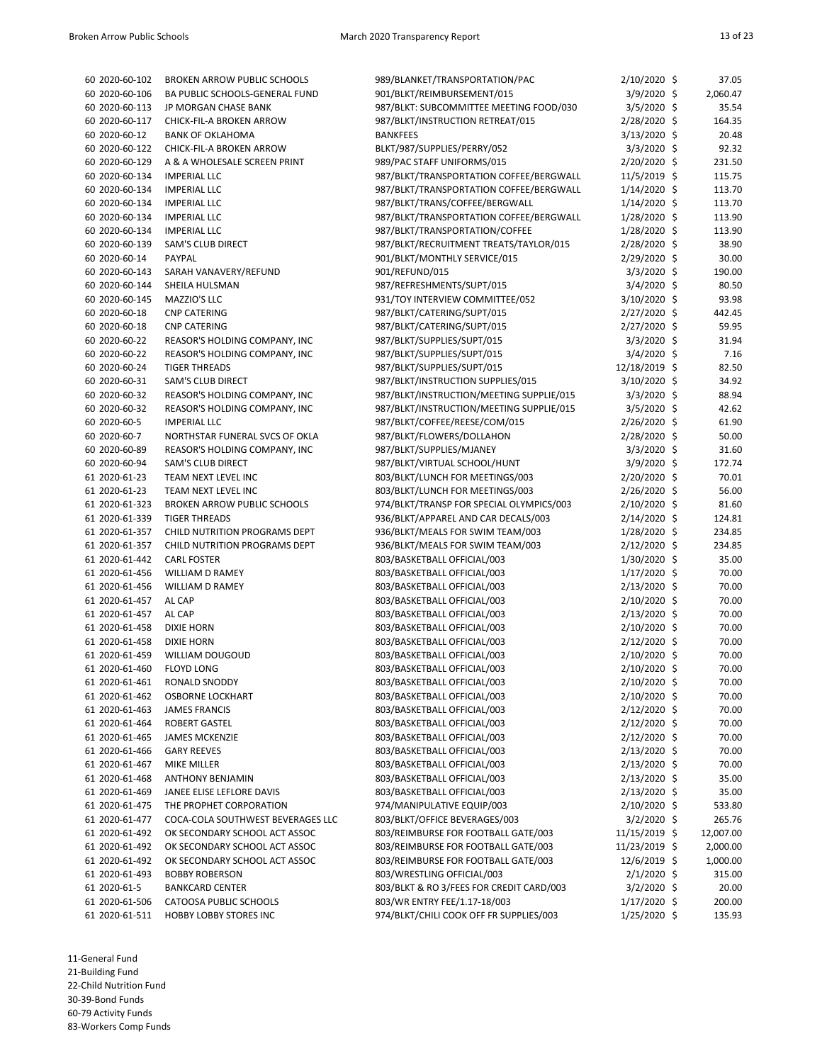| 60 2020-60-102 | <b>BROKEN ARROW PUBLIC SCHOOLS</b> | 989/BLANKET/TRANSPORTATION/PAC                                           | 2/10/2020 \$   | 37.05     |
|----------------|------------------------------------|--------------------------------------------------------------------------|----------------|-----------|
| 60 2020-60-106 | BA PUBLIC SCHOOLS-GENERAL FUND     | 901/BLKT/REIMBURSEMENT/015                                               | 3/9/2020 \$    | 2,060.47  |
| 60 2020-60-113 | JP MORGAN CHASE BANK               | 987/BLKT: SUBCOMMITTEE MEETING FOOD/030                                  | $3/5/2020$ \$  | 35.54     |
| 60 2020-60-117 | CHICK-FIL-A BROKEN ARROW           | 987/BLKT/INSTRUCTION RETREAT/015                                         | 2/28/2020 \$   | 164.35    |
| 60 2020-60-12  | <b>BANK OF OKLAHOMA</b>            | <b>BANKFEES</b>                                                          | 3/13/2020 \$   | 20.48     |
| 60 2020-60-122 | CHICK-FIL-A BROKEN ARROW           | BLKT/987/SUPPLIES/PERRY/052                                              | $3/3/2020$ \$  | 92.32     |
| 60 2020-60-129 | A & A WHOLESALE SCREEN PRINT       | 989/PAC STAFF UNIFORMS/015                                               | 2/20/2020 \$   | 231.50    |
| 60 2020-60-134 | <b>IMPERIAL LLC</b>                | 987/BLKT/TRANSPORTATION COFFEE/BERGWALL                                  | 11/5/2019 \$   | 115.75    |
| 60 2020-60-134 | <b>IMPERIAL LLC</b>                | 987/BLKT/TRANSPORTATION COFFEE/BERGWALL                                  | $1/14/2020$ \$ | 113.70    |
| 60 2020-60-134 | <b>IMPERIAL LLC</b>                | 987/BLKT/TRANS/COFFEE/BERGWALL                                           | $1/14/2020$ \$ | 113.70    |
| 60 2020-60-134 | <b>IMPERIAL LLC</b>                | 987/BLKT/TRANSPORTATION COFFEE/BERGWALL                                  | $1/28/2020$ \$ | 113.90    |
| 60 2020-60-134 | <b>IMPERIAL LLC</b>                |                                                                          |                | 113.90    |
|                |                                    | 987/BLKT/TRANSPORTATION/COFFEE<br>987/BLKT/RECRUITMENT TREATS/TAYLOR/015 | $1/28/2020$ \$ | 38.90     |
| 60 2020-60-139 | SAM'S CLUB DIRECT                  |                                                                          | 2/28/2020 \$   |           |
| 60 2020-60-14  | PAYPAL                             | 901/BLKT/MONTHLY SERVICE/015                                             | 2/29/2020 \$   | 30.00     |
| 60 2020-60-143 | SARAH VANAVERY/REFUND              | 901/REFUND/015                                                           | $3/3/2020$ \$  | 190.00    |
| 60 2020-60-144 | SHEILA HULSMAN                     | 987/REFRESHMENTS/SUPT/015                                                | $3/4/2020$ \$  | 80.50     |
| 60 2020-60-145 | MAZZIO'S LLC                       | 931/TOY INTERVIEW COMMITTEE/052                                          | $3/10/2020$ \$ | 93.98     |
| 60 2020-60-18  | <b>CNP CATERING</b>                | 987/BLKT/CATERING/SUPT/015                                               | 2/27/2020 \$   | 442.45    |
| 60 2020-60-18  | <b>CNP CATERING</b>                | 987/BLKT/CATERING/SUPT/015                                               | 2/27/2020 \$   | 59.95     |
| 60 2020-60-22  | REASOR'S HOLDING COMPANY, INC      | 987/BLKT/SUPPLIES/SUPT/015                                               | 3/3/2020 \$    | 31.94     |
| 60 2020-60-22  | REASOR'S HOLDING COMPANY, INC      | 987/BLKT/SUPPLIES/SUPT/015                                               | 3/4/2020 \$    | 7.16      |
| 60 2020-60-24  | <b>TIGER THREADS</b>               | 987/BLKT/SUPPLIES/SUPT/015                                               | 12/18/2019 \$  | 82.50     |
| 60 2020-60-31  | SAM'S CLUB DIRECT                  | 987/BLKT/INSTRUCTION SUPPLIES/015                                        | 3/10/2020 \$   | 34.92     |
| 60 2020-60-32  | REASOR'S HOLDING COMPANY, INC      | 987/BLKT/INSTRUCTION/MEETING SUPPLIE/015                                 | $3/3/2020$ \$  | 88.94     |
| 60 2020-60-32  | REASOR'S HOLDING COMPANY, INC      | 987/BLKT/INSTRUCTION/MEETING SUPPLIE/015                                 | 3/5/2020 \$    | 42.62     |
| 60 2020-60-5   | <b>IMPERIAL LLC</b>                | 987/BLKT/COFFEE/REESE/COM/015                                            | 2/26/2020 \$   | 61.90     |
| 60 2020-60-7   | NORTHSTAR FUNERAL SVCS OF OKLA     | 987/BLKT/FLOWERS/DOLLAHON                                                | $2/28/2020$ \$ | 50.00     |
| 60 2020-60-89  | REASOR'S HOLDING COMPANY, INC      | 987/BLKT/SUPPLIES/MJANEY                                                 | 3/3/2020 \$    | 31.60     |
| 60 2020-60-94  | <b>SAM'S CLUB DIRECT</b>           | 987/BLKT/VIRTUAL SCHOOL/HUNT                                             | 3/9/2020 \$    | 172.74    |
| 61 2020-61-23  | TEAM NEXT LEVEL INC                | 803/BLKT/LUNCH FOR MEETINGS/003                                          | 2/20/2020 \$   | 70.01     |
| 61 2020-61-23  | TEAM NEXT LEVEL INC                | 803/BLKT/LUNCH FOR MEETINGS/003                                          | $2/26/2020$ \$ | 56.00     |
| 61 2020-61-323 | <b>BROKEN ARROW PUBLIC SCHOOLS</b> | 974/BLKT/TRANSP FOR SPECIAL OLYMPICS/003                                 | $2/10/2020$ \$ | 81.60     |
| 61 2020-61-339 | <b>TIGER THREADS</b>               | 936/BLKT/APPAREL AND CAR DECALS/003                                      | 2/14/2020 \$   | 124.81    |
| 61 2020-61-357 | CHILD NUTRITION PROGRAMS DEPT      | 936/BLKT/MEALS FOR SWIM TEAM/003                                         | $1/28/2020$ \$ | 234.85    |
| 61 2020-61-357 | CHILD NUTRITION PROGRAMS DEPT      | 936/BLKT/MEALS FOR SWIM TEAM/003                                         | 2/12/2020 \$   | 234.85    |
| 61 2020-61-442 | <b>CARL FOSTER</b>                 | 803/BASKETBALL OFFICIAL/003                                              | 1/30/2020 \$   | 35.00     |
| 61 2020-61-456 | <b>WILLIAM D RAMEY</b>             | 803/BASKETBALL OFFICIAL/003                                              | $1/17/2020$ \$ | 70.00     |
| 61 2020-61-456 | WILLIAM D RAMEY                    | 803/BASKETBALL OFFICIAL/003                                              | $2/13/2020$ \$ | 70.00     |
| 61 2020-61-457 | AL CAP                             | 803/BASKETBALL OFFICIAL/003                                              | 2/10/2020 \$   | 70.00     |
| 61 2020-61-457 | AL CAP                             | 803/BASKETBALL OFFICIAL/003                                              | 2/13/2020 \$   | 70.00     |
| 61 2020-61-458 | <b>DIXIE HORN</b>                  | 803/BASKETBALL OFFICIAL/003                                              | $2/10/2020$ \$ | 70.00     |
| 61 2020-61-458 | <b>DIXIE HORN</b>                  | 803/BASKETBALL OFFICIAL/003                                              | 2/12/2020 \$   | 70.00     |
| 61 2020-61-459 | <b>WILLIAM DOUGOUD</b>             | 803/BASKETBALL OFFICIAL/003                                              | 2/10/2020 \$   | 70.00     |
| 61 2020-61-460 | <b>FLOYD LONG</b>                  |                                                                          |                | 70.00     |
|                |                                    | 803/BASKETBALL OFFICIAL/003                                              | 2/10/2020 \$   |           |
| 61 2020-61-461 | RONALD SNODDY                      | 803/BASKETBALL OFFICIAL/003                                              | 2/10/2020 \$   | 70.00     |
| 61 2020-61-462 | <b>OSBORNE LOCKHART</b>            | 803/BASKETBALL OFFICIAL/003                                              | 2/10/2020 \$   | 70.00     |
| 61 2020-61-463 | <b>JAMES FRANCIS</b>               | 803/BASKETBALL OFFICIAL/003                                              | 2/12/2020 \$   | 70.00     |
| 61 2020-61-464 | ROBERT GASTEL                      | 803/BASKETBALL OFFICIAL/003                                              | 2/12/2020 \$   | 70.00     |
| 61 2020-61-465 | <b>JAMES MCKENZIE</b>              | 803/BASKETBALL OFFICIAL/003                                              | 2/12/2020 \$   | 70.00     |
| 61 2020-61-466 | <b>GARY REEVES</b>                 | 803/BASKETBALL OFFICIAL/003                                              | $2/13/2020$ \$ | 70.00     |
| 61 2020-61-467 | <b>MIKE MILLER</b>                 | 803/BASKETBALL OFFICIAL/003                                              | 2/13/2020 \$   | 70.00     |
| 61 2020-61-468 | <b>ANTHONY BENJAMIN</b>            | 803/BASKETBALL OFFICIAL/003                                              | $2/13/2020$ \$ | 35.00     |
| 61 2020-61-469 | JANEE ELISE LEFLORE DAVIS          | 803/BASKETBALL OFFICIAL/003                                              | $2/13/2020$ \$ | 35.00     |
| 61 2020-61-475 | THE PROPHET CORPORATION            | 974/MANIPULATIVE EQUIP/003                                               | 2/10/2020 \$   | 533.80    |
| 61 2020-61-477 | COCA-COLA SOUTHWEST BEVERAGES LLC  | 803/BLKT/OFFICE BEVERAGES/003                                            | $3/2/2020$ \$  | 265.76    |
| 61 2020-61-492 | OK SECONDARY SCHOOL ACT ASSOC      | 803/REIMBURSE FOR FOOTBALL GATE/003                                      | 11/15/2019 \$  | 12,007.00 |
| 61 2020-61-492 | OK SECONDARY SCHOOL ACT ASSOC      | 803/REIMBURSE FOR FOOTBALL GATE/003                                      | 11/23/2019 \$  | 2,000.00  |
| 61 2020-61-492 | OK SECONDARY SCHOOL ACT ASSOC      | 803/REIMBURSE FOR FOOTBALL GATE/003                                      | 12/6/2019 \$   | 1,000.00  |
| 61 2020-61-493 | <b>BOBBY ROBERSON</b>              | 803/WRESTLING OFFICIAL/003                                               | $2/1/2020$ \$  | 315.00    |
| 61 2020-61-5   | <b>BANKCARD CENTER</b>             | 803/BLKT & RO 3/FEES FOR CREDIT CARD/003                                 | $3/2/2020$ \$  | 20.00     |
| 61 2020-61-506 | CATOOSA PUBLIC SCHOOLS             | 803/WR ENTRY FEE/1.17-18/003                                             | $1/17/2020$ \$ | 200.00    |
| 61 2020-61-511 | HOBBY LOBBY STORES INC             | 974/BLKT/CHILI COOK OFF FR SUPPLIES/003                                  | $1/25/2020$ \$ | 135.93    |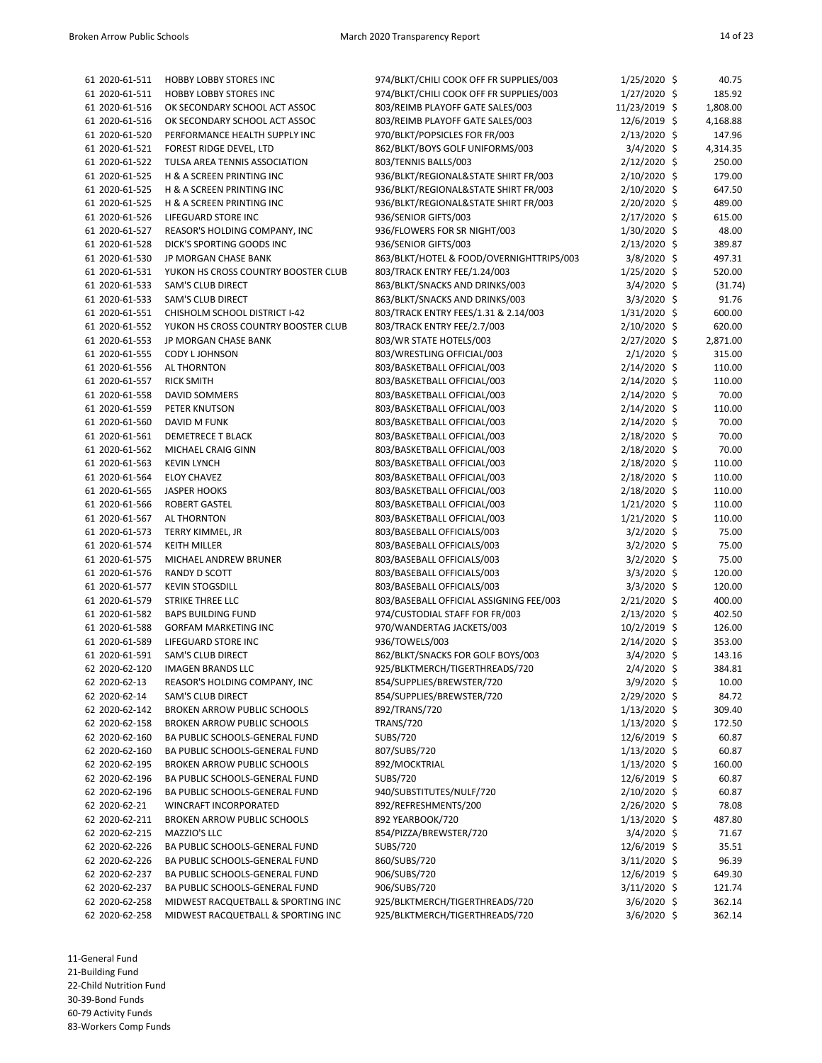| 61 2020-61-511 | HOBBY LOBBY STORES INC              | 974/BLKT/CHILI COOK OFF FR SUPPLIES/003                | $1/25/2020$ \$ | 40.75    |
|----------------|-------------------------------------|--------------------------------------------------------|----------------|----------|
| 61 2020-61-511 | HOBBY LOBBY STORES INC              | 974/BLKT/CHILI COOK OFF FR SUPPLIES/003                | 1/27/2020 \$   | 185.92   |
| 61 2020-61-516 | OK SECONDARY SCHOOL ACT ASSOC       | 803/REIMB PLAYOFF GATE SALES/003                       | 11/23/2019 \$  | 1,808.00 |
| 61 2020-61-516 | OK SECONDARY SCHOOL ACT ASSOC       | 803/REIMB PLAYOFF GATE SALES/003                       | 12/6/2019 \$   | 4,168.88 |
| 61 2020-61-520 | PERFORMANCE HEALTH SUPPLY INC       | 970/BLKT/POPSICLES FOR FR/003                          | 2/13/2020 \$   | 147.96   |
| 61 2020-61-521 | FOREST RIDGE DEVEL, LTD             | 862/BLKT/BOYS GOLF UNIFORMS/003                        | 3/4/2020 \$    | 4,314.35 |
| 61 2020-61-522 | TULSA AREA TENNIS ASSOCIATION       | 803/TENNIS BALLS/003                                   | 2/12/2020 \$   | 250.00   |
| 61 2020-61-525 | H & A SCREEN PRINTING INC           | 936/BLKT/REGIONAL&STATE SHIRT FR/003                   | $2/10/2020$ \$ | 179.00   |
| 61 2020-61-525 | H & A SCREEN PRINTING INC           | 936/BLKT/REGIONAL&STATE SHIRT FR/003                   | 2/10/2020 \$   | 647.50   |
| 61 2020-61-525 | H & A SCREEN PRINTING INC           | 936/BLKT/REGIONAL&STATE SHIRT FR/003                   | 2/20/2020 \$   | 489.00   |
| 61 2020-61-526 | LIFEGUARD STORE INC                 | 936/SENIOR GIFTS/003                                   | 2/17/2020 \$   | 615.00   |
| 61 2020-61-527 | REASOR'S HOLDING COMPANY, INC       | 936/FLOWERS FOR SR NIGHT/003                           | $1/30/2020$ \$ | 48.00    |
| 61 2020-61-528 | DICK'S SPORTING GOODS INC           | 936/SENIOR GIFTS/003                                   | 2/13/2020 \$   | 389.87   |
| 61 2020-61-530 | JP MORGAN CHASE BANK                | 863/BLKT/HOTEL & FOOD/OVERNIGHTTRIPS/003               | $3/8/2020$ \$  | 497.31   |
|                |                                     |                                                        | 1/25/2020 \$   |          |
| 61 2020-61-531 | YUKON HS CROSS COUNTRY BOOSTER CLUB | 803/TRACK ENTRY FEE/1.24/003                           |                | 520.00   |
| 61 2020-61-533 | SAM'S CLUB DIRECT                   | 863/BLKT/SNACKS AND DRINKS/003                         | $3/4/2020$ \$  | (31.74)  |
| 61 2020-61-533 | SAM'S CLUB DIRECT                   | 863/BLKT/SNACKS AND DRINKS/003                         | 3/3/2020 \$    | 91.76    |
| 61 2020-61-551 | CHISHOLM SCHOOL DISTRICT I-42       | 803/TRACK ENTRY FEES/1.31 & 2.14/003                   | $1/31/2020$ \$ | 600.00   |
| 61 2020-61-552 | YUKON HS CROSS COUNTRY BOOSTER CLUB | 803/TRACK ENTRY FEE/2.7/003                            | 2/10/2020 \$   | 620.00   |
| 61 2020-61-553 | JP MORGAN CHASE BANK                | 803/WR STATE HOTELS/003                                | 2/27/2020 \$   | 2,871.00 |
| 61 2020-61-555 | <b>CODY L JOHNSON</b>               | 803/WRESTLING OFFICIAL/003                             | $2/1/2020$ \$  | 315.00   |
| 61 2020-61-556 | AL THORNTON                         | 803/BASKETBALL OFFICIAL/003                            | 2/14/2020 \$   | 110.00   |
| 61 2020-61-557 | <b>RICK SMITH</b>                   | 803/BASKETBALL OFFICIAL/003                            | $2/14/2020$ \$ | 110.00   |
| 61 2020-61-558 | DAVID SOMMERS                       | 803/BASKETBALL OFFICIAL/003                            | 2/14/2020 \$   | 70.00    |
| 61 2020-61-559 | PETER KNUTSON                       | 803/BASKETBALL OFFICIAL/003                            | 2/14/2020 \$   | 110.00   |
| 61 2020-61-560 | DAVID M FUNK                        | 803/BASKETBALL OFFICIAL/003                            | 2/14/2020 \$   | 70.00    |
| 61 2020-61-561 | <b>DEMETRECE T BLACK</b>            | 803/BASKETBALL OFFICIAL/003                            | $2/18/2020$ \$ | 70.00    |
| 61 2020-61-562 | MICHAEL CRAIG GINN                  | 803/BASKETBALL OFFICIAL/003                            | $2/18/2020$ \$ | 70.00    |
| 61 2020-61-563 | <b>KEVIN LYNCH</b>                  | 803/BASKETBALL OFFICIAL/003                            | 2/18/2020 \$   | 110.00   |
| 61 2020-61-564 | <b>ELOY CHAVEZ</b>                  | 803/BASKETBALL OFFICIAL/003                            | $2/18/2020$ \$ | 110.00   |
| 61 2020-61-565 | <b>JASPER HOOKS</b>                 | 803/BASKETBALL OFFICIAL/003                            | $2/18/2020$ \$ | 110.00   |
| 61 2020-61-566 | <b>ROBERT GASTEL</b>                | 803/BASKETBALL OFFICIAL/003                            | $1/21/2020$ \$ | 110.00   |
| 61 2020-61-567 | AL THORNTON                         | 803/BASKETBALL OFFICIAL/003                            | $1/21/2020$ \$ | 110.00   |
| 61 2020-61-573 | TERRY KIMMEL, JR                    | 803/BASEBALL OFFICIALS/003                             | $3/2/2020$ \$  | 75.00    |
| 61 2020-61-574 | <b>KEITH MILLER</b>                 | 803/BASEBALL OFFICIALS/003                             | 3/2/2020 \$    | 75.00    |
| 61 2020-61-575 | MICHAEL ANDREW BRUNER               | 803/BASEBALL OFFICIALS/003                             | 3/2/2020 \$    | 75.00    |
| 61 2020-61-576 | RANDY D SCOTT                       | 803/BASEBALL OFFICIALS/003                             | 3/3/2020 \$    | 120.00   |
| 61 2020-61-577 | <b>KEVIN STOGSDILL</b>              | 803/BASEBALL OFFICIALS/003                             | $3/3/2020$ \$  | 120.00   |
| 61 2020-61-579 | <b>STRIKE THREE LLC</b>             | 803/BASEBALL OFFICIAL ASSIGNING FEE/003                | 2/21/2020 \$   | 400.00   |
| 61 2020-61-582 | <b>BAPS BUILDING FUND</b>           | 974/CUSTODIAL STAFF FOR FR/003                         | 2/13/2020 \$   | 402.50   |
| 61 2020-61-588 | <b>GORFAM MARKETING INC</b>         | 970/WANDERTAG JACKETS/003                              | $10/2/2019$ \$ | 126.00   |
| 61 2020-61-589 | LIFEGUARD STORE INC                 | 936/TOWELS/003                                         | 2/14/2020 \$   | 353.00   |
| 61 2020-61-591 | SAM'S CLUB DIRECT                   | 862/BLKT/SNACKS FOR GOLF BOYS/003                      | $3/4/2020$ \$  | 143.16   |
|                | <b>IMAGEN BRANDS LLC</b>            | 925/BLKTMERCH/TIGERTHREADS/720                         | 2/4/2020 \$    |          |
| 62 2020-62-120 |                                     |                                                        |                | 384.81   |
| 62 2020-62-13  | REASOR'S HOLDING COMPANY, INC       | 854/SUPPLIES/BREWSTER/720<br>854/SUPPLIES/BREWSTER/720 | 3/9/2020 \$    | 10.00    |
| 62 2020-62-14  | SAM'S CLUB DIRECT                   |                                                        | 2/29/2020 \$   | 84.72    |
| 62 2020-62-142 | <b>BROKEN ARROW PUBLIC SCHOOLS</b>  | 892/TRANS/720                                          | $1/13/2020$ \$ | 309.40   |
| 62 2020-62-158 | BROKEN ARROW PUBLIC SCHOOLS         | <b>TRANS/720</b>                                       | $1/13/2020$ \$ | 172.50   |
| 62 2020-62-160 | BA PUBLIC SCHOOLS-GENERAL FUND      | SUBS/720                                               | 12/6/2019 \$   | 60.87    |
| 62 2020-62-160 | BA PUBLIC SCHOOLS-GENERAL FUND      | 807/SUBS/720                                           | $1/13/2020$ \$ | 60.87    |
| 62 2020-62-195 | <b>BROKEN ARROW PUBLIC SCHOOLS</b>  | 892/MOCKTRIAL                                          | 1/13/2020 \$   | 160.00   |
| 62 2020-62-196 | BA PUBLIC SCHOOLS-GENERAL FUND      | SUBS/720                                               | 12/6/2019 \$   | 60.87    |
| 62 2020-62-196 | BA PUBLIC SCHOOLS-GENERAL FUND      | 940/SUBSTITUTES/NULF/720                               | $2/10/2020$ \$ | 60.87    |
| 62 2020-62-21  | WINCRAFT INCORPORATED               | 892/REFRESHMENTS/200                                   | $2/26/2020$ \$ | 78.08    |
| 62 2020-62-211 | <b>BROKEN ARROW PUBLIC SCHOOLS</b>  | 892 YEARBOOK/720                                       | $1/13/2020$ \$ | 487.80   |
| 62 2020-62-215 | MAZZIO'S LLC                        | 854/PIZZA/BREWSTER/720                                 | $3/4/2020$ \$  | 71.67    |
| 62 2020-62-226 | BA PUBLIC SCHOOLS-GENERAL FUND      | <b>SUBS/720</b>                                        | 12/6/2019 \$   | 35.51    |
| 62 2020-62-226 | BA PUBLIC SCHOOLS-GENERAL FUND      | 860/SUBS/720                                           | $3/11/2020$ \$ | 96.39    |
| 62 2020-62-237 | BA PUBLIC SCHOOLS-GENERAL FUND      | 906/SUBS/720                                           | 12/6/2019 \$   | 649.30   |
| 62 2020-62-237 | BA PUBLIC SCHOOLS-GENERAL FUND      | 906/SUBS/720                                           | 3/11/2020 \$   | 121.74   |
| 62 2020-62-258 | MIDWEST RACQUETBALL & SPORTING INC  | 925/BLKTMERCH/TIGERTHREADS/720                         | $3/6/2020$ \$  | 362.14   |
| 62 2020-62-258 | MIDWEST RACQUETBALL & SPORTING INC  | 925/BLKTMERCH/TIGERTHREADS/720                         | $3/6/2020$ \$  | 362.14   |

11-General Fund 21-Building Fund

22-Child Nutrition Fund 30-39-Bond Funds

60-79 Activity Funds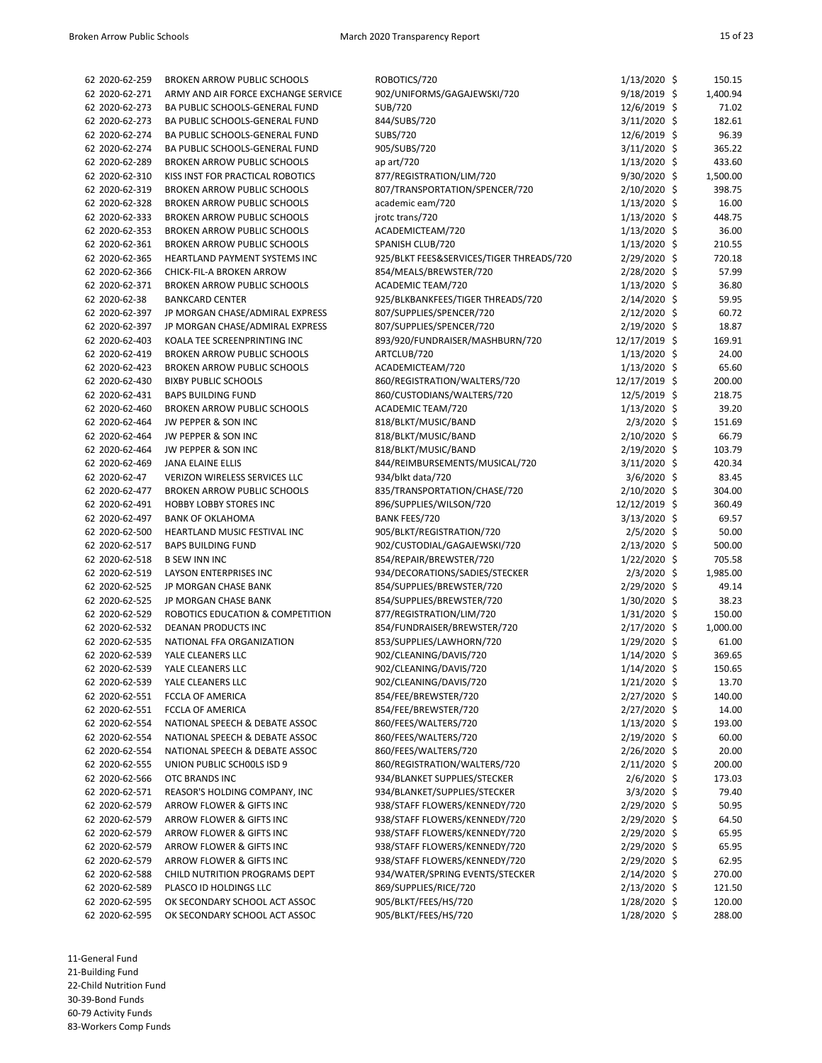| 62 2020-62-259 | <b>BROKEN ARROW PUBLIC SCHOOLS</b>   | ROBOTICS/720                             | $1/13/2020$ \$ | 150.15   |
|----------------|--------------------------------------|------------------------------------------|----------------|----------|
| 62 2020-62-271 | ARMY AND AIR FORCE EXCHANGE SERVICE  | 902/UNIFORMS/GAGAJEWSKI/720              | 9/18/2019 \$   | 1,400.94 |
| 62 2020-62-273 | BA PUBLIC SCHOOLS-GENERAL FUND       | SUB/720                                  | 12/6/2019 \$   | 71.02    |
| 62 2020-62-273 | BA PUBLIC SCHOOLS-GENERAL FUND       | 844/SUBS/720                             |                | 182.61   |
| 62 2020-62-274 | BA PUBLIC SCHOOLS-GENERAL FUND       | <b>SUBS/720</b>                          | 3/11/2020 \$   | 96.39    |
|                | BA PUBLIC SCHOOLS-GENERAL FUND       | 905/SUBS/720                             | 12/6/2019 \$   |          |
| 62 2020-62-274 |                                      |                                          | $3/11/2020$ \$ | 365.22   |
| 62 2020-62-289 | <b>BROKEN ARROW PUBLIC SCHOOLS</b>   | ap $art/720$                             | $1/13/2020$ \$ | 433.60   |
| 62 2020-62-310 | KISS INST FOR PRACTICAL ROBOTICS     | 877/REGISTRATION/LIM/720                 | $9/30/2020$ \$ | 1,500.00 |
| 62 2020-62-319 | <b>BROKEN ARROW PUBLIC SCHOOLS</b>   | 807/TRANSPORTATION/SPENCER/720           | 2/10/2020 \$   | 398.75   |
| 62 2020-62-328 | <b>BROKEN ARROW PUBLIC SCHOOLS</b>   | academic eam/720                         | 1/13/2020 \$   | 16.00    |
| 62 2020-62-333 | <b>BROKEN ARROW PUBLIC SCHOOLS</b>   | jrotc trans/720                          | $1/13/2020$ \$ | 448.75   |
| 62 2020-62-353 | <b>BROKEN ARROW PUBLIC SCHOOLS</b>   | ACADEMICTEAM/720                         | $1/13/2020$ \$ | 36.00    |
| 62 2020-62-361 | <b>BROKEN ARROW PUBLIC SCHOOLS</b>   | SPANISH CLUB/720                         | $1/13/2020$ \$ | 210.55   |
| 62 2020-62-365 | <b>HEARTLAND PAYMENT SYSTEMS INC</b> | 925/BLKT FEES&SERVICES/TIGER THREADS/720 | 2/29/2020 \$   | 720.18   |
| 62 2020-62-366 | CHICK-FIL-A BROKEN ARROW             | 854/MEALS/BREWSTER/720                   | 2/28/2020 \$   | 57.99    |
| 62 2020-62-371 | <b>BROKEN ARROW PUBLIC SCHOOLS</b>   | ACADEMIC TEAM/720                        | $1/13/2020$ \$ | 36.80    |
| 62 2020-62-38  | <b>BANKCARD CENTER</b>               | 925/BLKBANKFEES/TIGER THREADS/720        | 2/14/2020 \$   | 59.95    |
| 62 2020-62-397 | JP MORGAN CHASE/ADMIRAL EXPRESS      | 807/SUPPLIES/SPENCER/720                 | $2/12/2020$ \$ | 60.72    |
| 62 2020-62-397 | JP MORGAN CHASE/ADMIRAL EXPRESS      | 807/SUPPLIES/SPENCER/720                 | $2/19/2020$ \$ | 18.87    |
| 62 2020-62-403 | KOALA TEE SCREENPRINTING INC         | 893/920/FUNDRAISER/MASHBURN/720          | 12/17/2019 \$  | 169.91   |
| 62 2020-62-419 | <b>BROKEN ARROW PUBLIC SCHOOLS</b>   | ARTCLUB/720                              | $1/13/2020$ \$ | 24.00    |
| 62 2020-62-423 | <b>BROKEN ARROW PUBLIC SCHOOLS</b>   | ACADEMICTEAM/720                         | $1/13/2020$ \$ | 65.60    |
| 62 2020-62-430 | <b>BIXBY PUBLIC SCHOOLS</b>          | 860/REGISTRATION/WALTERS/720             | 12/17/2019 \$  | 200.00   |
| 62 2020-62-431 | <b>BAPS BUILDING FUND</b>            | 860/CUSTODIANS/WALTERS/720               | 12/5/2019 \$   | 218.75   |
| 62 2020-62-460 | <b>BROKEN ARROW PUBLIC SCHOOLS</b>   | ACADEMIC TEAM/720                        | $1/13/2020$ \$ | 39.20    |
| 62 2020-62-464 | JW PEPPER & SON INC                  | 818/BLKT/MUSIC/BAND                      | $2/3/2020$ \$  | 151.69   |
| 62 2020-62-464 | JW PEPPER & SON INC                  | 818/BLKT/MUSIC/BAND                      | $2/10/2020$ \$ | 66.79    |
| 62 2020-62-464 | JW PEPPER & SON INC                  | 818/BLKT/MUSIC/BAND                      | 2/19/2020 \$   | 103.79   |
| 62 2020-62-469 | <b>JANA ELAINE ELLIS</b>             | 844/REIMBURSEMENTS/MUSICAL/720           | $3/11/2020$ \$ | 420.34   |
| 62 2020-62-47  | VERIZON WIRELESS SERVICES LLC        | 934/blkt data/720                        | $3/6/2020$ \$  | 83.45    |
| 62 2020-62-477 | <b>BROKEN ARROW PUBLIC SCHOOLS</b>   | 835/TRANSPORTATION/CHASE/720             | $2/10/2020$ \$ | 304.00   |
| 62 2020-62-491 | <b>HOBBY LOBBY STORES INC</b>        | 896/SUPPLIES/WILSON/720                  | 12/12/2019 \$  | 360.49   |
| 62 2020-62-497 | <b>BANK OF OKLAHOMA</b>              | <b>BANK FEES/720</b>                     | $3/13/2020$ \$ | 69.57    |
| 62 2020-62-500 | HEARTLAND MUSIC FESTIVAL INC         | 905/BLKT/REGISTRATION/720                | $2/5/2020$ \$  | 50.00    |
| 62 2020-62-517 | <b>BAPS BUILDING FUND</b>            | 902/CUSTODIAL/GAGAJEWSKI/720             | 2/13/2020 \$   | 500.00   |
| 62 2020-62-518 | <b>B SEW INN INC</b>                 | 854/REPAIR/BREWSTER/720                  | $1/22/2020$ \$ | 705.58   |
| 62 2020-62-519 | LAYSON ENTERPRISES INC               | 934/DECORATIONS/SADIES/STECKER           | $2/3/2020$ \$  | 1,985.00 |
| 62 2020-62-525 | JP MORGAN CHASE BANK                 |                                          |                | 49.14    |
|                |                                      | 854/SUPPLIES/BREWSTER/720                | $2/29/2020$ \$ |          |
| 62 2020-62-525 | JP MORGAN CHASE BANK                 | 854/SUPPLIES/BREWSTER/720                | $1/30/2020$ \$ | 38.23    |
| 62 2020-62-529 | ROBOTICS EDUCATION & COMPETITION     | 877/REGISTRATION/LIM/720                 | $1/31/2020$ \$ | 150.00   |
| 62 2020-62-532 | DEANAN PRODUCTS INC                  | 854/FUNDRAISER/BREWSTER/720              | 2/17/2020 \$   | 1,000.00 |
| 62 2020-62-535 | NATIONAL FFA ORGANIZATION            | 853/SUPPLIES/LAWHORN/720                 | $1/29/2020$ \$ | 61.00    |
| 62 2020-62-539 | YALE CLEANERS LLC                    | 902/CLEANING/DAVIS/720                   | 1/14/2020 \$   | 369.65   |
| 62 2020-62-539 | YALE CLEANERS LLC                    | 902/CLEANING/DAVIS/720                   | 1/14/2020 \$   | 150.65   |
| 62 2020-62-539 | YALE CLEANERS LLC                    | 902/CLEANING/DAVIS/720                   | 1/21/2020 \$   | 13.70    |
| 62 2020-62-551 | FCCLA OF AMERICA                     | 854/FEE/BREWSTER/720                     | 2/27/2020 \$   | 140.00   |
| 62 2020-62-551 | FCCLA OF AMERICA                     | 854/FEE/BREWSTER/720                     | 2/27/2020 \$   | 14.00    |
| 62 2020-62-554 | NATIONAL SPEECH & DEBATE ASSOC       | 860/FEES/WALTERS/720                     | $1/13/2020$ \$ | 193.00   |
| 62 2020-62-554 | NATIONAL SPEECH & DEBATE ASSOC       | 860/FEES/WALTERS/720                     | $2/19/2020$ \$ | 60.00    |
| 62 2020-62-554 | NATIONAL SPEECH & DEBATE ASSOC       | 860/FEES/WALTERS/720                     | 2/26/2020 \$   | 20.00    |
| 62 2020-62-555 | UNION PUBLIC SCHOOLS ISD 9           | 860/REGISTRATION/WALTERS/720             | 2/11/2020 \$   | 200.00   |
| 62 2020-62-566 | OTC BRANDS INC                       | 934/BLANKET SUPPLIES/STECKER             | $2/6/2020$ \$  | 173.03   |
| 62 2020-62-571 | REASOR'S HOLDING COMPANY, INC        | 934/BLANKET/SUPPLIES/STECKER             | $3/3/2020$ \$  | 79.40    |
| 62 2020-62-579 | ARROW FLOWER & GIFTS INC             | 938/STAFF FLOWERS/KENNEDY/720            | 2/29/2020 \$   | 50.95    |
| 62 2020-62-579 | ARROW FLOWER & GIFTS INC             | 938/STAFF FLOWERS/KENNEDY/720            | 2/29/2020 \$   | 64.50    |
| 62 2020-62-579 | ARROW FLOWER & GIFTS INC             | 938/STAFF FLOWERS/KENNEDY/720            | 2/29/2020 \$   | 65.95    |
| 62 2020-62-579 | ARROW FLOWER & GIFTS INC             | 938/STAFF FLOWERS/KENNEDY/720            | 2/29/2020 \$   | 65.95    |
| 62 2020-62-579 | ARROW FLOWER & GIFTS INC             | 938/STAFF FLOWERS/KENNEDY/720            | 2/29/2020 \$   | 62.95    |
| 62 2020-62-588 | CHILD NUTRITION PROGRAMS DEPT        | 934/WATER/SPRING EVENTS/STECKER          | 2/14/2020 \$   | 270.00   |
| 62 2020-62-589 | PLASCO ID HOLDINGS LLC               | 869/SUPPLIES/RICE/720                    | $2/13/2020$ \$ | 121.50   |
| 62 2020-62-595 | OK SECONDARY SCHOOL ACT ASSOC        | 905/BLKT/FEES/HS/720                     | $1/28/2020$ \$ | 120.00   |
| 62 2020-62-595 | OK SECONDARY SCHOOL ACT ASSOC        | 905/BLKT/FEES/HS/720                     | 1/28/2020 \$   | 288.00   |

11-General Fund 21-Building Fund 22-Child Nutrition Fund

30-39-Bond Funds

60-79 Activity Funds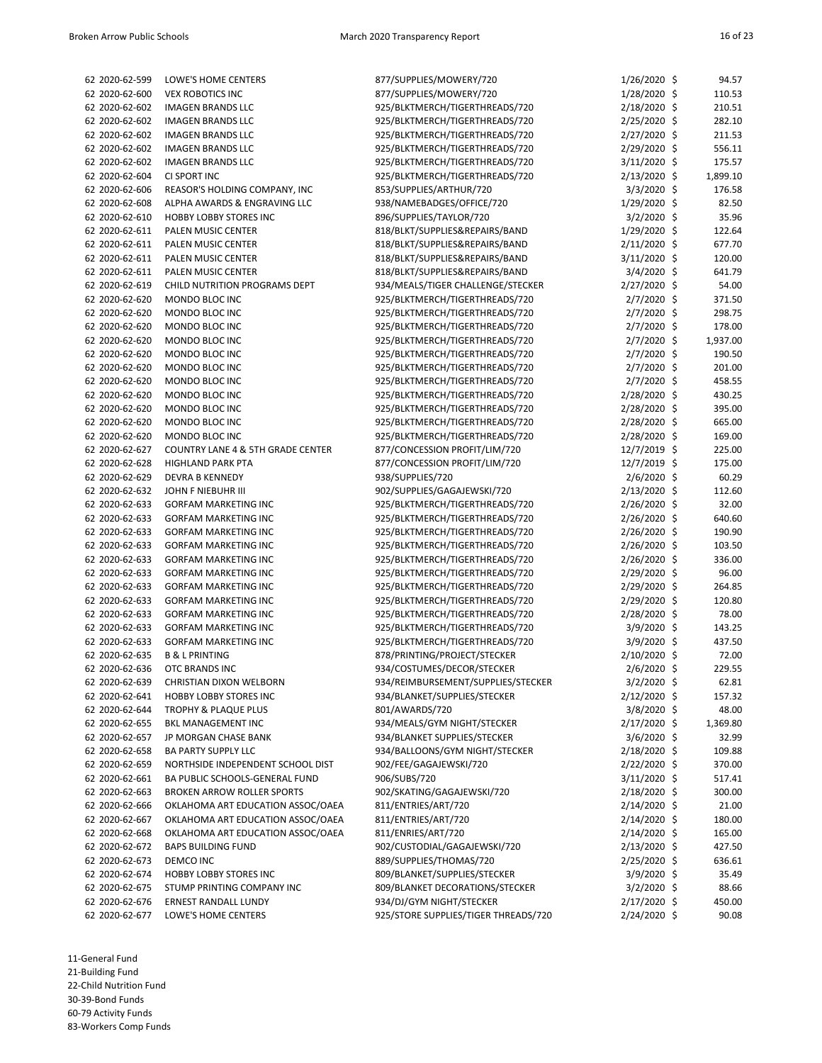| 62 2020-62-599 | LOWE'S HOME CENTERS                          | 877/SUPPLIES/MOWERY/720              | 1/26/2020 \$   | 94.57    |
|----------------|----------------------------------------------|--------------------------------------|----------------|----------|
| 62 2020-62-600 | <b>VEX ROBOTICS INC</b>                      | 877/SUPPLIES/MOWERY/720              | 1/28/2020 \$   | 110.53   |
| 62 2020-62-602 | <b>IMAGEN BRANDS LLC</b>                     | 925/BLKTMERCH/TIGERTHREADS/720       | 2/18/2020 \$   | 210.51   |
| 62 2020-62-602 | <b>IMAGEN BRANDS LLC</b>                     | 925/BLKTMERCH/TIGERTHREADS/720       | 2/25/2020 \$   | 282.10   |
| 62 2020-62-602 | <b>IMAGEN BRANDS LLC</b>                     | 925/BLKTMERCH/TIGERTHREADS/720       | 2/27/2020 \$   | 211.53   |
| 62 2020-62-602 | <b>IMAGEN BRANDS LLC</b>                     | 925/BLKTMERCH/TIGERTHREADS/720       | 2/29/2020 \$   | 556.11   |
| 62 2020-62-602 | <b>IMAGEN BRANDS LLC</b>                     | 925/BLKTMERCH/TIGERTHREADS/720       | 3/11/2020 \$   | 175.57   |
| 62 2020-62-604 | CI SPORT INC                                 | 925/BLKTMERCH/TIGERTHREADS/720       | 2/13/2020 \$   | 1,899.10 |
| 62 2020-62-606 | REASOR'S HOLDING COMPANY, INC                | 853/SUPPLIES/ARTHUR/720              | 3/3/2020 \$    | 176.58   |
| 62 2020-62-608 | ALPHA AWARDS & ENGRAVING LLC                 | 938/NAMEBADGES/OFFICE/720            | 1/29/2020 \$   | 82.50    |
| 62 2020-62-610 | <b>HOBBY LOBBY STORES INC</b>                | 896/SUPPLIES/TAYLOR/720              | 3/2/2020 \$    | 35.96    |
| 62 2020-62-611 | PALEN MUSIC CENTER                           | 818/BLKT/SUPPLIES&REPAIRS/BAND       | 1/29/2020 \$   | 122.64   |
| 62 2020-62-611 | PALEN MUSIC CENTER                           | 818/BLKT/SUPPLIES&REPAIRS/BAND       | 2/11/2020 \$   | 677.70   |
| 62 2020-62-611 | PALEN MUSIC CENTER                           | 818/BLKT/SUPPLIES&REPAIRS/BAND       | 3/11/2020 \$   | 120.00   |
| 62 2020-62-611 | PALEN MUSIC CENTER                           | 818/BLKT/SUPPLIES&REPAIRS/BAND       | $3/4/2020$ \$  | 641.79   |
| 62 2020-62-619 | CHILD NUTRITION PROGRAMS DEPT                | 934/MEALS/TIGER CHALLENGE/STECKER    | 2/27/2020 \$   | 54.00    |
| 62 2020-62-620 | MONDO BLOC INC                               | 925/BLKTMERCH/TIGERTHREADS/720       | 2/7/2020 \$    | 371.50   |
| 62 2020-62-620 | MONDO BLOC INC                               | 925/BLKTMERCH/TIGERTHREADS/720       | 2/7/2020 \$    | 298.75   |
| 62 2020-62-620 | MONDO BLOC INC                               | 925/BLKTMERCH/TIGERTHREADS/720       | 2/7/2020 \$    | 178.00   |
| 62 2020-62-620 | MONDO BLOC INC                               | 925/BLKTMERCH/TIGERTHREADS/720       | 2/7/2020 \$    | 1,937.00 |
|                | MONDO BLOC INC                               |                                      | 2/7/2020 \$    | 190.50   |
| 62 2020-62-620 |                                              | 925/BLKTMERCH/TIGERTHREADS/720       |                |          |
| 62 2020-62-620 | MONDO BLOC INC                               | 925/BLKTMERCH/TIGERTHREADS/720       | 2/7/2020 \$    | 201.00   |
| 62 2020-62-620 | MONDO BLOC INC                               | 925/BLKTMERCH/TIGERTHREADS/720       | 2/7/2020 \$    | 458.55   |
| 62 2020-62-620 | MONDO BLOC INC                               | 925/BLKTMERCH/TIGERTHREADS/720       | 2/28/2020 \$   | 430.25   |
| 62 2020-62-620 | MONDO BLOC INC                               | 925/BLKTMERCH/TIGERTHREADS/720       | 2/28/2020 \$   | 395.00   |
| 62 2020-62-620 | MONDO BLOC INC                               | 925/BLKTMERCH/TIGERTHREADS/720       | 2/28/2020 \$   | 665.00   |
| 62 2020-62-620 | MONDO BLOC INC                               | 925/BLKTMERCH/TIGERTHREADS/720       | 2/28/2020 \$   | 169.00   |
| 62 2020-62-627 | <b>COUNTRY LANE 4 &amp; 5TH GRADE CENTER</b> | 877/CONCESSION PROFIT/LIM/720        | 12/7/2019 \$   | 225.00   |
| 62 2020-62-628 | <b>HIGHLAND PARK PTA</b>                     | 877/CONCESSION PROFIT/LIM/720        | 12/7/2019 \$   | 175.00   |
| 62 2020-62-629 | DEVRA B KENNEDY                              | 938/SUPPLIES/720                     | $2/6/2020$ \$  | 60.29    |
| 62 2020-62-632 | JOHN F NIEBUHR III                           | 902/SUPPLIES/GAGAJEWSKI/720          | 2/13/2020 \$   | 112.60   |
| 62 2020-62-633 | <b>GORFAM MARKETING INC</b>                  | 925/BLKTMERCH/TIGERTHREADS/720       | 2/26/2020 \$   | 32.00    |
| 62 2020-62-633 | <b>GORFAM MARKETING INC</b>                  | 925/BLKTMERCH/TIGERTHREADS/720       | 2/26/2020 \$   | 640.60   |
| 62 2020-62-633 | <b>GORFAM MARKETING INC</b>                  | 925/BLKTMERCH/TIGERTHREADS/720       | 2/26/2020 \$   | 190.90   |
| 62 2020-62-633 | <b>GORFAM MARKETING INC</b>                  | 925/BLKTMERCH/TIGERTHREADS/720       | 2/26/2020 \$   | 103.50   |
| 62 2020-62-633 | <b>GORFAM MARKETING INC</b>                  | 925/BLKTMERCH/TIGERTHREADS/720       | 2/26/2020 \$   | 336.00   |
| 62 2020-62-633 | <b>GORFAM MARKETING INC</b>                  | 925/BLKTMERCH/TIGERTHREADS/720       | 2/29/2020 \$   | 96.00    |
| 62 2020-62-633 | <b>GORFAM MARKETING INC</b>                  | 925/BLKTMERCH/TIGERTHREADS/720       | 2/29/2020 \$   | 264.85   |
| 62 2020-62-633 | <b>GORFAM MARKETING INC</b>                  | 925/BLKTMERCH/TIGERTHREADS/720       | 2/29/2020 \$   | 120.80   |
| 62 2020-62-633 | <b>GORFAM MARKETING INC</b>                  | 925/BLKTMERCH/TIGERTHREADS/720       | 2/28/2020 \$   | 78.00    |
| 62 2020-62-633 | <b>GORFAM MARKETING INC</b>                  |                                      | 3/9/2020 \$    | 143.25   |
|                |                                              | 925/BLKTMERCH/TIGERTHREADS/720       |                |          |
| 62 2020-62-633 | <b>GORFAM MARKETING INC</b>                  | 925/BLKTMERCH/TIGERTHREADS/720       | 3/9/2020 \$    | 437.50   |
| 62 2020-62-635 | <b>B &amp; L PRINTING</b>                    | 878/PRINTING/PROJECT/STECKER         | 2/10/2020 \$   | 72.00    |
| 62 2020-62-636 | OTC BRANDS INC                               | 934/COSTUMES/DECOR/STECKER           | 2/6/2020 \$    | 229.55   |
| 62 2020-62-639 | CHRISTIAN DIXON WELBORN                      | 934/REIMBURSEMENT/SUPPLIES/STECKER   | $3/2/2020$ \$  | 62.81    |
| 62 2020-62-641 | <b>HOBBY LOBBY STORES INC</b>                | 934/BLANKET/SUPPLIES/STECKER         | 2/12/2020 \$   | 157.32   |
| 62 2020-62-644 | <b>TROPHY &amp; PLAQUE PLUS</b>              | 801/AWARDS/720                       | $3/8/2020$ \$  | 48.00    |
| 62 2020-62-655 | BKL MANAGEMENT INC                           | 934/MEALS/GYM NIGHT/STECKER          | 2/17/2020 \$   | 1,369.80 |
| 62 2020-62-657 | JP MORGAN CHASE BANK                         | 934/BLANKET SUPPLIES/STECKER         | $3/6/2020$ \$  | 32.99    |
| 62 2020-62-658 | <b>BA PARTY SUPPLY LLC</b>                   | 934/BALLOONS/GYM NIGHT/STECKER       | $2/18/2020$ \$ | 109.88   |
| 62 2020-62-659 | NORTHSIDE INDEPENDENT SCHOOL DIST            | 902/FEE/GAGAJEWSKI/720               | 2/22/2020 \$   | 370.00   |
| 62 2020-62-661 | BA PUBLIC SCHOOLS-GENERAL FUND               | 906/SUBS/720                         | 3/11/2020 \$   | 517.41   |
| 62 2020-62-663 | <b>BROKEN ARROW ROLLER SPORTS</b>            | 902/SKATING/GAGAJEWSKI/720           | 2/18/2020 \$   | 300.00   |
| 62 2020-62-666 | OKLAHOMA ART EDUCATION ASSOC/OAEA            | 811/ENTRIES/ART/720                  | 2/14/2020 \$   | 21.00    |
| 62 2020-62-667 | OKLAHOMA ART EDUCATION ASSOC/OAEA            | 811/ENTRIES/ART/720                  | 2/14/2020 \$   | 180.00   |
| 62 2020-62-668 | OKLAHOMA ART EDUCATION ASSOC/OAEA            | 811/ENRIES/ART/720                   | 2/14/2020 \$   | 165.00   |
| 62 2020-62-672 | <b>BAPS BUILDING FUND</b>                    | 902/CUSTODIAL/GAGAJEWSKI/720         | $2/13/2020$ \$ | 427.50   |
| 62 2020-62-673 | DEMCO INC                                    | 889/SUPPLIES/THOMAS/720              | 2/25/2020 \$   | 636.61   |
| 62 2020-62-674 | HOBBY LOBBY STORES INC                       | 809/BLANKET/SUPPLIES/STECKER         | $3/9/2020$ \$  | 35.49    |
| 62 2020-62-675 | STUMP PRINTING COMPANY INC                   | 809/BLANKET DECORATIONS/STECKER      | $3/2/2020$ \$  | 88.66    |
| 62 2020-62-676 | ERNEST RANDALL LUNDY                         | 934/DJ/GYM NIGHT/STECKER             | 2/17/2020 \$   | 450.00   |
| 62 2020-62-677 | LOWE'S HOME CENTERS                          | 925/STORE SUPPLIES/TIGER THREADS/720 | 2/24/2020 \$   | 90.08    |
|                |                                              |                                      |                |          |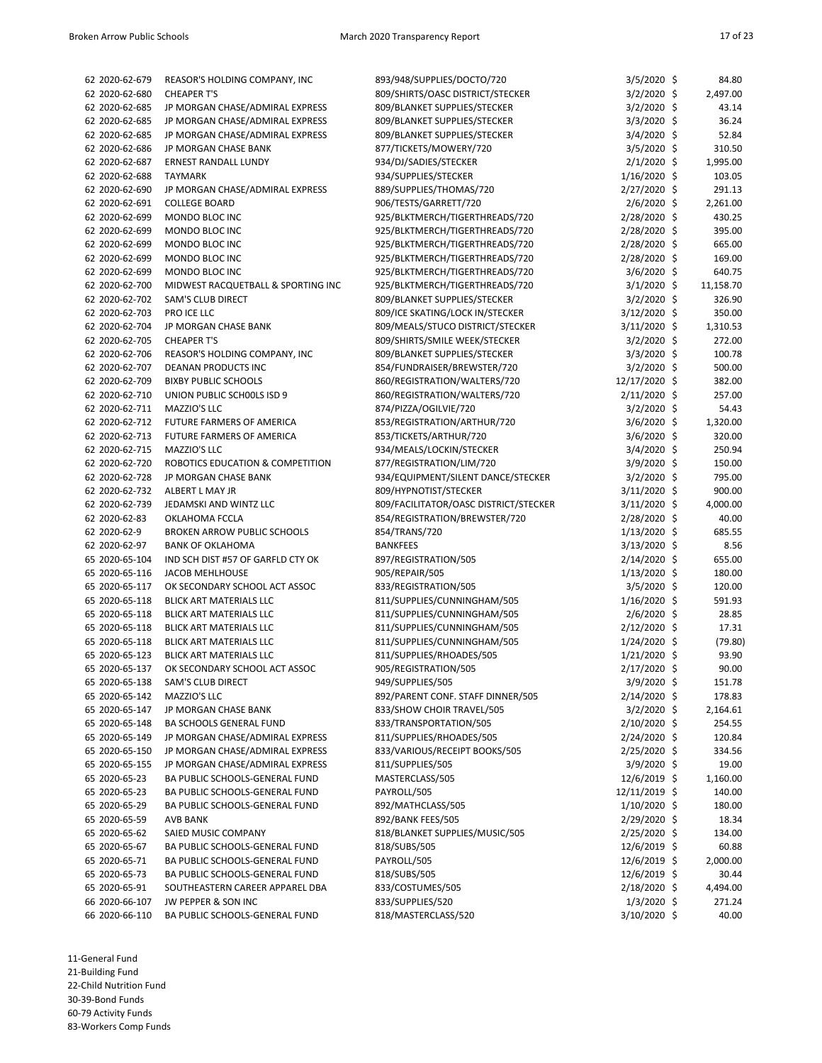| 62 2020-62-679                   | REASOR'S HOLDING COMPANY, INC      | 893/948/SUPPLIES/DOCTO/720            | $3/5/2020$ \$  | 84.80            |
|----------------------------------|------------------------------------|---------------------------------------|----------------|------------------|
| 62 2020-62-680                   | <b>CHEAPER T'S</b>                 | 809/SHIRTS/OASC DISTRICT/STECKER      | 3/2/2020 \$    | 2,497.00         |
| 62 2020-62-685                   | JP MORGAN CHASE/ADMIRAL EXPRESS    | 809/BLANKET SUPPLIES/STECKER          | 3/2/2020 \$    | 43.14            |
| 62 2020-62-685                   | JP MORGAN CHASE/ADMIRAL EXPRESS    | 809/BLANKET SUPPLIES/STECKER          | $3/3/2020$ \$  | 36.24            |
| 62 2020-62-685                   | JP MORGAN CHASE/ADMIRAL EXPRESS    | 809/BLANKET SUPPLIES/STECKER          | 3/4/2020 \$    | 52.84            |
| 62 2020-62-686                   | JP MORGAN CHASE BANK               | 877/TICKETS/MOWERY/720                | $3/5/2020$ \$  | 310.50           |
| 62 2020-62-687                   | ERNEST RANDALL LUNDY               | 934/DJ/SADIES/STECKER                 | $2/1/2020$ \$  | 1,995.00         |
| 62 2020-62-688                   | <b>TAYMARK</b>                     | 934/SUPPLIES/STECKER                  | 1/16/2020 \$   | 103.05           |
|                                  |                                    |                                       |                |                  |
| 62 2020-62-690                   | JP MORGAN CHASE/ADMIRAL EXPRESS    | 889/SUPPLIES/THOMAS/720               | 2/27/2020 \$   | 291.13           |
| 62 2020-62-691                   | <b>COLLEGE BOARD</b>               | 906/TESTS/GARRETT/720                 | 2/6/2020 \$    | 2,261.00         |
| 62 2020-62-699                   | MONDO BLOC INC                     | 925/BLKTMERCH/TIGERTHREADS/720        | 2/28/2020 \$   | 430.25           |
| 62 2020-62-699                   | MONDO BLOC INC                     | 925/BLKTMERCH/TIGERTHREADS/720        | 2/28/2020 \$   | 395.00           |
| 62 2020-62-699                   | MONDO BLOC INC                     | 925/BLKTMERCH/TIGERTHREADS/720        | 2/28/2020 \$   | 665.00           |
| 62 2020-62-699                   | MONDO BLOC INC                     | 925/BLKTMERCH/TIGERTHREADS/720        | 2/28/2020 \$   | 169.00           |
| 62 2020-62-699                   | MONDO BLOC INC                     | 925/BLKTMERCH/TIGERTHREADS/720        | $3/6/2020$ \$  | 640.75           |
| 62 2020-62-700                   | MIDWEST RACQUETBALL & SPORTING INC | 925/BLKTMERCH/TIGERTHREADS/720        | $3/1/2020$ \$  | 11,158.70        |
| 62 2020-62-702                   | SAM'S CLUB DIRECT                  | 809/BLANKET SUPPLIES/STECKER          | $3/2/2020$ \$  | 326.90           |
| 62 2020-62-703                   | PRO ICE LLC                        | 809/ICE SKATING/LOCK IN/STECKER       | $3/12/2020$ \$ | 350.00           |
| 62 2020-62-704                   | JP MORGAN CHASE BANK               | 809/MEALS/STUCO DISTRICT/STECKER      | 3/11/2020 \$   | 1,310.53         |
| 62 2020-62-705                   | <b>CHEAPER T'S</b>                 | 809/SHIRTS/SMILE WEEK/STECKER         | 3/2/2020 \$    | 272.00           |
| 62 2020-62-706                   | REASOR'S HOLDING COMPANY, INC      | 809/BLANKET SUPPLIES/STECKER          | 3/3/2020 \$    | 100.78           |
| 62 2020-62-707                   | <b>DEANAN PRODUCTS INC</b>         | 854/FUNDRAISER/BREWSTER/720           | $3/2/2020$ \$  | 500.00           |
| 62 2020-62-709                   | <b>BIXBY PUBLIC SCHOOLS</b>        | 860/REGISTRATION/WALTERS/720          | 12/17/2020 \$  | 382.00           |
| 62 2020-62-710                   | UNION PUBLIC SCHOOLS ISD 9         | 860/REGISTRATION/WALTERS/720          | 2/11/2020 \$   | 257.00           |
| 62 2020-62-711                   | MAZZIO'S LLC                       | 874/PIZZA/OGILVIE/720                 | 3/2/2020 \$    | 54.43            |
| 62 2020-62-712                   | FUTURE FARMERS OF AMERICA          | 853/REGISTRATION/ARTHUR/720           | $3/6/2020$ \$  | 1,320.00         |
| 62 2020-62-713                   | FUTURE FARMERS OF AMERICA          | 853/TICKETS/ARTHUR/720                | $3/6/2020$ \$  | 320.00           |
| 62 2020-62-715                   | MAZZIO'S LLC                       | 934/MEALS/LOCKIN/STECKER              | $3/4/2020$ \$  | 250.94           |
| 62 2020-62-720                   | ROBOTICS EDUCATION & COMPETITION   | 877/REGISTRATION/LIM/720              | 3/9/2020 \$    | 150.00           |
| 62 2020-62-728                   | JP MORGAN CHASE BANK               | 934/EQUIPMENT/SILENT DANCE/STECKER    | $3/2/2020$ \$  | 795.00           |
| 62 2020-62-732                   | ALBERT L MAY JR                    | 809/HYPNOTIST/STECKER                 | 3/11/2020 \$   | 900.00           |
| 62 2020-62-739                   | JEDAMSKI AND WINTZ LLC             | 809/FACILITATOR/OASC DISTRICT/STECKER | 3/11/2020 \$   | 4,000.00         |
| 62 2020-62-83                    | OKLAHOMA FCCLA                     | 854/REGISTRATION/BREWSTER/720         | 2/28/2020 \$   | 40.00            |
| 62 2020-62-9                     | <b>BROKEN ARROW PUBLIC SCHOOLS</b> | 854/TRANS/720                         | $1/13/2020$ \$ | 685.55           |
| 62 2020-62-97                    | <b>BANK OF OKLAHOMA</b>            | <b>BANKFEES</b>                       | 3/13/2020 \$   | 8.56             |
| 65 2020-65-104                   | IND SCH DIST #57 OF GARFLD CTY OK  | 897/REGISTRATION/505                  | 2/14/2020 \$   | 655.00           |
| 65 2020-65-116                   | <b>JACOB MEHLHOUSE</b>             | 905/REPAIR/505                        | $1/13/2020$ \$ | 180.00           |
| 65 2020-65-117                   | OK SECONDARY SCHOOL ACT ASSOC      | 833/REGISTRATION/505                  | $3/5/2020$ \$  | 120.00           |
| 65 2020-65-118                   | BLICK ART MATERIALS LLC            | 811/SUPPLIES/CUNNINGHAM/505           | $1/16/2020$ \$ | 591.93           |
| 65 2020-65-118                   | <b>BLICK ART MATERIALS LLC</b>     | 811/SUPPLIES/CUNNINGHAM/505           | 2/6/2020 \$    | 28.85            |
| 65 2020-65-118                   | <b>BLICK ART MATERIALS LLC</b>     | 811/SUPPLIES/CUNNINGHAM/505           | 2/12/2020 \$   | 17.31            |
| 65 2020-65-118                   | <b>BLICK ART MATERIALS LLC</b>     | 811/SUPPLIES/CUNNINGHAM/505           | $1/24/2020$ \$ | (79.80)          |
| 65 2020-65-123                   | <b>BLICK ART MATERIALS LLC</b>     | 811/SUPPLIES/RHOADES/505              | 1/21/2020 \$   | 93.90            |
| 65 2020-65-137                   | OK SECONDARY SCHOOL ACT ASSOC      | 905/REGISTRATION/505                  | 2/17/2020 \$   | 90.00            |
| 65 2020-65-138                   | SAM'S CLUB DIRECT                  | 949/SUPPLIES/505                      | $3/9/2020$ \$  | 151.78           |
| 65 2020-65-142                   | MAZZIO'S LLC                       | 892/PARENT CONF. STAFF DINNER/505     | 2/14/2020 \$   | 178.83           |
| 65 2020-65-147                   | JP MORGAN CHASE BANK               | 833/SHOW CHOIR TRAVEL/505             | $3/2/2020$ \$  | 2,164.61         |
| 65 2020-65-148                   | <b>BA SCHOOLS GENERAL FUND</b>     | 833/TRANSPORTATION/505                | $2/10/2020$ \$ | 254.55           |
|                                  |                                    |                                       |                |                  |
| 65 2020-65-149<br>65 2020-65-150 | JP MORGAN CHASE/ADMIRAL EXPRESS    | 811/SUPPLIES/RHOADES/505              | 2/24/2020 \$   | 120.84<br>334.56 |
|                                  | JP MORGAN CHASE/ADMIRAL EXPRESS    | 833/VARIOUS/RECEIPT BOOKS/505         | 2/25/2020 \$   |                  |
| 65 2020-65-155                   | JP MORGAN CHASE/ADMIRAL EXPRESS    | 811/SUPPLIES/505                      | $3/9/2020$ \$  | 19.00            |
| 65 2020-65-23                    | BA PUBLIC SCHOOLS-GENERAL FUND     | MASTERCLASS/505                       | 12/6/2019 \$   | 1,160.00         |
| 65 2020-65-23                    | BA PUBLIC SCHOOLS-GENERAL FUND     | PAYROLL/505                           | 12/11/2019 \$  | 140.00           |
| 65 2020-65-29                    | BA PUBLIC SCHOOLS-GENERAL FUND     | 892/MATHCLASS/505                     | $1/10/2020$ \$ | 180.00           |
| 65 2020-65-59                    | AVB BANK                           | 892/BANK FEES/505                     | 2/29/2020 \$   | 18.34            |
| 65 2020-65-62                    | SAIED MUSIC COMPANY                | 818/BLANKET SUPPLIES/MUSIC/505        | 2/25/2020 \$   | 134.00           |
| 65 2020-65-67                    | BA PUBLIC SCHOOLS-GENERAL FUND     | 818/SUBS/505                          | 12/6/2019 \$   | 60.88            |
| 65 2020-65-71                    | BA PUBLIC SCHOOLS-GENERAL FUND     | PAYROLL/505                           | 12/6/2019 \$   | 2,000.00         |
| 65 2020-65-73                    | BA PUBLIC SCHOOLS-GENERAL FUND     | 818/SUBS/505                          | 12/6/2019 \$   | 30.44            |
| 65 2020-65-91                    | SOUTHEASTERN CAREER APPAREL DBA    | 833/COSTUMES/505                      | 2/18/2020 \$   | 4,494.00         |
| 66 2020-66-107                   | JW PEPPER & SON INC                | 833/SUPPLIES/520                      | $1/3/2020$ \$  | 271.24           |
| 66 2020-66-110                   | BA PUBLIC SCHOOLS-GENERAL FUND     | 818/MASTERCLASS/520                   | 3/10/2020 \$   | 40.00            |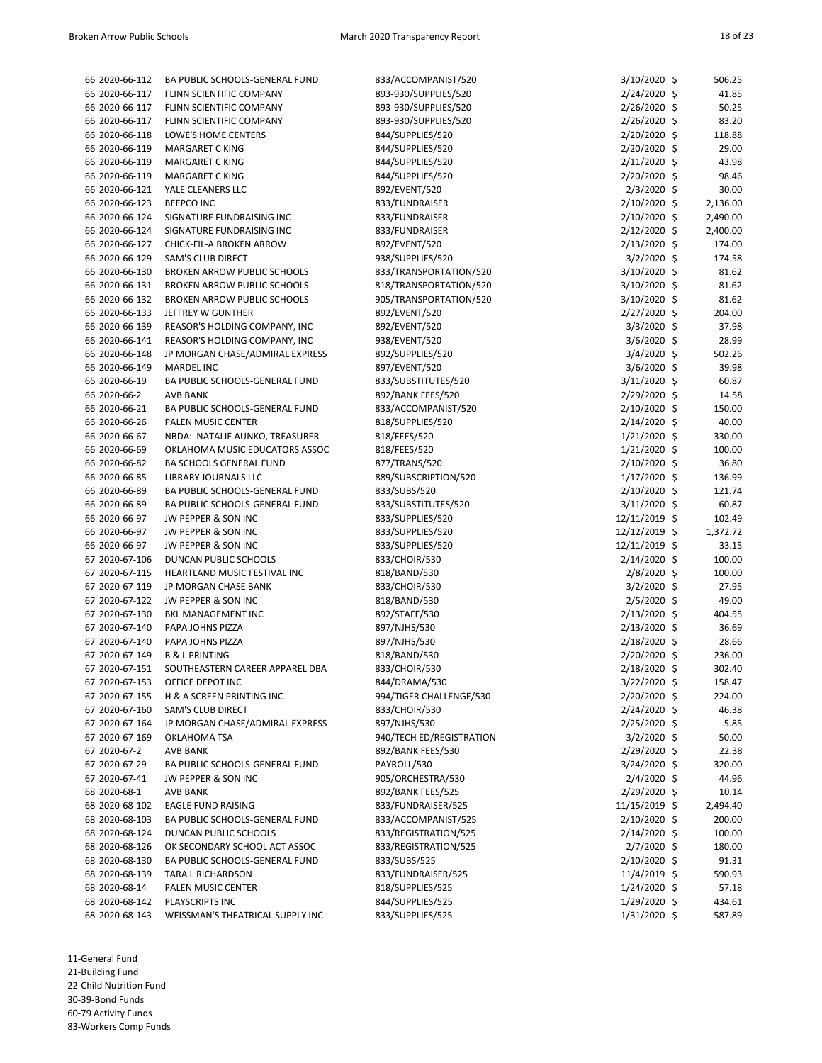| 66 2020-66-112 | BA PUBLIC SCHOOLS-GENERAL FUND     | 833/ACCOMPANIST/520      | 3/10/2020 \$                  | 506.25   |
|----------------|------------------------------------|--------------------------|-------------------------------|----------|
| 66 2020-66-117 | FLINN SCIENTIFIC COMPANY           | 893-930/SUPPLIES/520     | $2/24/2020$ \$                | 41.85    |
| 66 2020-66-117 | FLINN SCIENTIFIC COMPANY           | 893-930/SUPPLIES/520     | 2/26/2020 \$                  | 50.25    |
| 66 2020-66-117 | FLINN SCIENTIFIC COMPANY           | 893-930/SUPPLIES/520     | 2/26/2020 \$                  | 83.20    |
| 66 2020-66-118 | LOWE'S HOME CENTERS                | 844/SUPPLIES/520         | 2/20/2020 \$                  | 118.88   |
| 66 2020-66-119 | MARGARET C KING                    | 844/SUPPLIES/520         | 2/20/2020 \$                  | 29.00    |
| 66 2020-66-119 | MARGARET C KING                    | 844/SUPPLIES/520         | $2/11/2020$ \$                | 43.98    |
| 66 2020-66-119 | MARGARET C KING                    | 844/SUPPLIES/520         | 2/20/2020 \$                  | 98.46    |
| 66 2020-66-121 | YALE CLEANERS LLC                  | 892/EVENT/520            | $2/3/2020$ \$                 | 30.00    |
| 66 2020-66-123 | <b>BEEPCO INC</b>                  | 833/FUNDRAISER           | 2/10/2020 \$                  | 2,136.00 |
| 66 2020-66-124 | SIGNATURE FUNDRAISING INC          | 833/FUNDRAISER           | 2/10/2020 \$                  | 2,490.00 |
| 66 2020-66-124 | SIGNATURE FUNDRAISING INC          | 833/FUNDRAISER           | $2/12/2020$ \$                | 2,400.00 |
| 66 2020-66-127 | CHICK-FIL-A BROKEN ARROW           | 892/EVENT/520            | $2/13/2020$ \$                | 174.00   |
| 66 2020-66-129 | <b>SAM'S CLUB DIRECT</b>           | 938/SUPPLIES/520         | $3/2/2020$ \$                 | 174.58   |
| 66 2020-66-130 | <b>BROKEN ARROW PUBLIC SCHOOLS</b> | 833/TRANSPORTATION/520   | 3/10/2020 \$                  | 81.62    |
| 66 2020-66-131 | <b>BROKEN ARROW PUBLIC SCHOOLS</b> | 818/TRANSPORTATION/520   | 3/10/2020 \$                  | 81.62    |
| 66 2020-66-132 | <b>BROKEN ARROW PUBLIC SCHOOLS</b> | 905/TRANSPORTATION/520   | $3/10/2020$ \$                | 81.62    |
| 66 2020-66-133 | JEFFREY W GUNTHER                  | 892/EVENT/520            | 2/27/2020 \$                  | 204.00   |
| 66 2020-66-139 | REASOR'S HOLDING COMPANY, INC      | 892/EVENT/520            | 3/3/2020 \$                   | 37.98    |
| 66 2020-66-141 | REASOR'S HOLDING COMPANY, INC      | 938/EVENT/520            | $3/6/2020$ \$                 | 28.99    |
| 66 2020-66-148 | JP MORGAN CHASE/ADMIRAL EXPRESS    | 892/SUPPLIES/520         | $3/4/2020$ \$                 | 502.26   |
| 66 2020-66-149 | <b>MARDEL INC</b>                  | 897/EVENT/520            |                               | 39.98    |
| 66 2020-66-19  |                                    |                          | $3/6/2020$ \$<br>3/11/2020 \$ | 60.87    |
|                | BA PUBLIC SCHOOLS-GENERAL FUND     | 833/SUBSTITUTES/520      |                               |          |
| 66 2020-66-2   | <b>AVB BANK</b>                    | 892/BANK FEES/520        | 2/29/2020 \$                  | 14.58    |
| 66 2020-66-21  | BA PUBLIC SCHOOLS-GENERAL FUND     | 833/ACCOMPANIST/520      | $2/10/2020$ \$                | 150.00   |
| 66 2020-66-26  | PALEN MUSIC CENTER                 | 818/SUPPLIES/520         | 2/14/2020 \$                  | 40.00    |
| 66 2020-66-67  | NBDA: NATALIE AUNKO, TREASURER     | 818/FEES/520             | $1/21/2020$ \$                | 330.00   |
| 66 2020-66-69  | OKLAHOMA MUSIC EDUCATORS ASSOC     | 818/FEES/520             | $1/21/2020$ \$                | 100.00   |
| 66 2020-66-82  | <b>BA SCHOOLS GENERAL FUND</b>     | 877/TRANS/520            | 2/10/2020 \$                  | 36.80    |
| 66 2020-66-85  | LIBRARY JOURNALS LLC               | 889/SUBSCRIPTION/520     | $1/17/2020$ \$                | 136.99   |
| 66 2020-66-89  | BA PUBLIC SCHOOLS-GENERAL FUND     | 833/SUBS/520             | $2/10/2020$ \$                | 121.74   |
| 66 2020-66-89  | BA PUBLIC SCHOOLS-GENERAL FUND     | 833/SUBSTITUTES/520      | $3/11/2020$ \$                | 60.87    |
| 66 2020-66-97  | JW PEPPER & SON INC                | 833/SUPPLIES/520         | 12/11/2019 \$                 | 102.49   |
| 66 2020-66-97  | JW PEPPER & SON INC                | 833/SUPPLIES/520         | 12/12/2019 \$                 | 1,372.72 |
| 66 2020-66-97  | JW PEPPER & SON INC                | 833/SUPPLIES/520         | 12/11/2019 \$                 | 33.15    |
| 67 2020-67-106 | DUNCAN PUBLIC SCHOOLS              | 833/CHOIR/530            | $2/14/2020$ \$                | 100.00   |
| 67 2020-67-115 | HEARTLAND MUSIC FESTIVAL INC       | 818/BAND/530             | $2/8/2020$ \$                 | 100.00   |
| 67 2020-67-119 | JP MORGAN CHASE BANK               | 833/CHOIR/530            | $3/2/2020$ \$                 | 27.95    |
| 67 2020-67-122 | JW PEPPER & SON INC                | 818/BAND/530             | 2/5/2020 \$                   | 49.00    |
| 67 2020-67-130 | BKL MANAGEMENT INC                 | 892/STAFF/530            | $2/13/2020$ \$                | 404.55   |
| 67 2020-67-140 | PAPA JOHNS PIZZA                   | 897/NJHS/530             | $2/13/2020$ \$                | 36.69    |
| 67 2020-67-140 | PAPA JOHNS PIZZA                   | 897/NJHS/530             | 2/18/2020 \$                  | 28.66    |
| 67 2020-67-149 | <b>B &amp; L PRINTING</b>          | 818/BAND/530             | 2/20/2020 \$                  | 236.00   |
| 67 2020-67-151 | SOUTHEASTERN CAREER APPAREL DBA    | 833/CHOIR/530            | 2/18/2020 \$                  | 302.40   |
| 67 2020-67-153 | OFFICE DEPOT INC                   | 844/DRAMA/530            | 3/22/2020 \$                  | 158.47   |
| 67 2020-67-155 | H & A SCREEN PRINTING INC          | 994/TIGER CHALLENGE/530  | 2/20/2020 \$                  | 224.00   |
| 67 2020-67-160 | SAM'S CLUB DIRECT                  | 833/CHOIR/530            | 2/24/2020 \$                  | 46.38    |
| 67 2020-67-164 | JP MORGAN CHASE/ADMIRAL EXPRESS    | 897/NJHS/530             | 2/25/2020 \$                  | 5.85     |
| 67 2020-67-169 | OKLAHOMA TSA                       | 940/TECH ED/REGISTRATION | $3/2/2020$ \$                 | 50.00    |
| 67 2020-67-2   | <b>AVB BANK</b>                    | 892/BANK FEES/530        | 2/29/2020 \$                  | 22.38    |
| 67 2020-67-29  | BA PUBLIC SCHOOLS-GENERAL FUND     | PAYROLL/530              | 3/24/2020 \$                  | 320.00   |
| 67 2020-67-41  | JW PEPPER & SON INC                | 905/ORCHESTRA/530        | $2/4/2020$ \$                 | 44.96    |
| 68 2020-68-1   | <b>AVB BANK</b>                    | 892/BANK FEES/525        | 2/29/2020 \$                  | 10.14    |
| 68 2020-68-102 | <b>EAGLE FUND RAISING</b>          | 833/FUNDRAISER/525       | 11/15/2019 \$                 | 2,494.40 |
| 68 2020-68-103 | BA PUBLIC SCHOOLS-GENERAL FUND     | 833/ACCOMPANIST/525      | $2/10/2020$ \$                | 200.00   |
| 68 2020-68-124 | DUNCAN PUBLIC SCHOOLS              | 833/REGISTRATION/525     | $2/14/2020$ \$                | 100.00   |
| 68 2020-68-126 | OK SECONDARY SCHOOL ACT ASSOC      | 833/REGISTRATION/525     | $2/7/2020$ \$                 | 180.00   |
| 68 2020-68-130 | BA PUBLIC SCHOOLS-GENERAL FUND     | 833/SUBS/525             | $2/10/2020$ \$                | 91.31    |
| 68 2020-68-139 | TARA L RICHARDSON                  | 833/FUNDRAISER/525       | 11/4/2019 \$                  | 590.93   |
| 68 2020-68-14  | PALEN MUSIC CENTER                 | 818/SUPPLIES/525         | $1/24/2020$ \$                | 57.18    |
| 68 2020-68-142 | PLAYSCRIPTS INC                    | 844/SUPPLIES/525         | $1/29/2020$ \$                | 434.61   |
| 68 2020-68-143 | WEISSMAN'S THEATRICAL SUPPLY INC   | 833/SUPPLIES/525         | 1/31/2020 \$                  | 587.89   |
|                |                                    |                          |                               |          |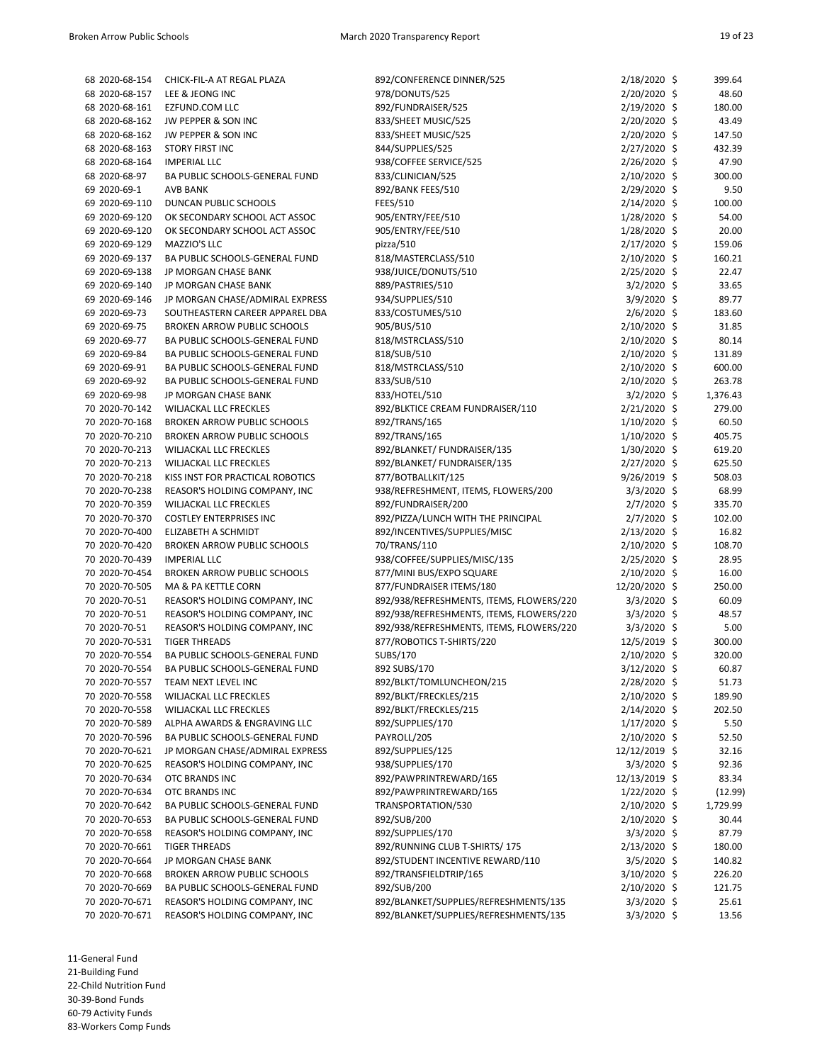| 68 2020-68-154 | CHICK-FIL-A AT REGAL PLAZA         | 892/CONFERENCE DINNER/525                | $2/18/2020$ \$                | 399.64   |
|----------------|------------------------------------|------------------------------------------|-------------------------------|----------|
| 68 2020-68-157 | LEE & JEONG INC                    | 978/DONUTS/525                           | $2/20/2020$ \$                | 48.60    |
| 68 2020-68-161 | EZFUND.COM LLC                     | 892/FUNDRAISER/525                       | $2/19/2020$ \$                | 180.00   |
| 68 2020-68-162 | JW PEPPER & SON INC                | 833/SHEET MUSIC/525                      | $2/20/2020$ \$                | 43.49    |
| 68 2020-68-162 | JW PEPPER & SON INC                | 833/SHEET MUSIC/525                      | $2/20/2020$ \$                | 147.50   |
| 68 2020-68-163 | <b>STORY FIRST INC</b>             | 844/SUPPLIES/525                         | $2/27/2020$ \$                | 432.39   |
| 68 2020-68-164 | <b>IMPERIAL LLC</b>                | 938/COFFEE SERVICE/525                   | $2/26/2020$ \$                | 47.90    |
| 68 2020-68-97  | BA PUBLIC SCHOOLS-GENERAL FUND     | 833/CLINICIAN/525                        | $2/10/2020$ \$                | 300.00   |
|                |                                    |                                          |                               |          |
| 69 2020-69-1   | <b>AVB BANK</b>                    | 892/BANK FEES/510                        | $2/29/2020$ \$                | 9.50     |
| 69 2020-69-110 | DUNCAN PUBLIC SCHOOLS              | <b>FEES/510</b>                          | $2/14/2020$ \$                | 100.00   |
| 69 2020-69-120 | OK SECONDARY SCHOOL ACT ASSOC      | 905/ENTRY/FEE/510                        | $1/28/2020$ \$                | 54.00    |
| 69 2020-69-120 | OK SECONDARY SCHOOL ACT ASSOC      | 905/ENTRY/FEE/510                        | $1/28/2020$ \$                | 20.00    |
| 69 2020-69-129 | MAZZIO'S LLC                       | pizza/510                                | $2/17/2020$ \$                | 159.06   |
| 69 2020-69-137 | BA PUBLIC SCHOOLS-GENERAL FUND     | 818/MASTERCLASS/510                      | $2/10/2020$ \$                | 160.21   |
| 69 2020-69-138 | JP MORGAN CHASE BANK               | 938/JUICE/DONUTS/510                     | $2/25/2020$ \$                | 22.47    |
| 69 2020-69-140 | JP MORGAN CHASE BANK               | 889/PASTRIES/510                         | $3/2/2020$ \$                 | 33.65    |
| 69 2020-69-146 | JP MORGAN CHASE/ADMIRAL EXPRESS    | 934/SUPPLIES/510                         | $3/9/2020$ \$                 | 89.77    |
| 69 2020-69-73  | SOUTHEASTERN CAREER APPAREL DBA    | 833/COSTUMES/510                         | $2/6/2020$ \$                 | 183.60   |
| 69 2020-69-75  | <b>BROKEN ARROW PUBLIC SCHOOLS</b> | 905/BUS/510                              | $2/10/2020$ \$                | 31.85    |
| 69 2020-69-77  | BA PUBLIC SCHOOLS-GENERAL FUND     | 818/MSTRCLASS/510                        | $2/10/2020$ \$                | 80.14    |
| 69 2020-69-84  | BA PUBLIC SCHOOLS-GENERAL FUND     | 818/SUB/510                              | 2/10/2020 \$                  | 131.89   |
| 69 2020-69-91  | BA PUBLIC SCHOOLS-GENERAL FUND     | 818/MSTRCLASS/510                        | $2/10/2020$ \$                | 600.00   |
| 69 2020-69-92  | BA PUBLIC SCHOOLS-GENERAL FUND     | 833/SUB/510                              | $2/10/2020$ \$                | 263.78   |
| 69 2020-69-98  | JP MORGAN CHASE BANK               | 833/HOTEL/510                            | $3/2/2020$ \$                 | 1,376.43 |
| 70 2020-70-142 | WILJACKAL LLC FRECKLES             | 892/BLKTICE CREAM FUNDRAISER/110         | $2/21/2020$ \$                | 279.00   |
| 70 2020-70-168 | <b>BROKEN ARROW PUBLIC SCHOOLS</b> | 892/TRANS/165                            | 1/10/2020 \$                  | 60.50    |
| 70 2020-70-210 | <b>BROKEN ARROW PUBLIC SCHOOLS</b> | 892/TRANS/165                            | $1/10/2020$ \$                | 405.75   |
| 70 2020-70-213 | WILJACKAL LLC FRECKLES             | 892/BLANKET/ FUNDRAISER/135              | 1/30/2020 \$                  | 619.20   |
| 70 2020-70-213 | WILJACKAL LLC FRECKLES             | 892/BLANKET/ FUNDRAISER/135              | $2/27/2020$ \$                | 625.50   |
| 70 2020-70-218 | KISS INST FOR PRACTICAL ROBOTICS   | 877/BOTBALLKIT/125                       | $9/26/2019$ \$                | 508.03   |
| 70 2020-70-238 | REASOR'S HOLDING COMPANY, INC      | 938/REFRESHMENT, ITEMS, FLOWERS/200      | $3/3/2020$ \$                 | 68.99    |
| 70 2020-70-359 | WILJACKAL LLC FRECKLES             | 892/FUNDRAISER/200                       | $2/7/2020$ \$                 | 335.70   |
| 70 2020-70-370 | <b>COSTLEY ENTERPRISES INC</b>     | 892/PIZZA/LUNCH WITH THE PRINCIPAL       | $2/7/2020$ \$                 | 102.00   |
| 70 2020-70-400 | ELIZABETH A SCHMIDT                | 892/INCENTIVES/SUPPLIES/MISC             | $2/13/2020$ \$                | 16.82    |
| 70 2020-70-420 | <b>BROKEN ARROW PUBLIC SCHOOLS</b> | 70/TRANS/110                             | $2/10/2020$ \$                | 108.70   |
| 70 2020-70-439 | <b>IMPERIAL LLC</b>                | 938/COFFEE/SUPPLIES/MISC/135             | $2/25/2020$ \$                | 28.95    |
| 70 2020-70-454 | <b>BROKEN ARROW PUBLIC SCHOOLS</b> | 877/MINI BUS/EXPO SQUARE                 | $2/10/2020$ \$                | 16.00    |
| 70 2020-70-505 | MA & PA KETTLE CORN                | 877/FUNDRAISER ITEMS/180                 | 12/20/2020 \$                 | 250.00   |
| 70 2020-70-51  | REASOR'S HOLDING COMPANY, INC      | 892/938/REFRESHMENTS, ITEMS, FLOWERS/220 | $3/3/2020$ \$                 | 60.09    |
| 70 2020-70-51  | REASOR'S HOLDING COMPANY, INC      | 892/938/REFRESHMENTS, ITEMS, FLOWERS/220 | $3/3/2020$ \$                 | 48.57    |
| 70 2020-70-51  | REASOR'S HOLDING COMPANY, INC      | 892/938/REFRESHMENTS, ITEMS, FLOWERS/220 | $3/3/2020$ \$                 | 5.00     |
| 70 2020-70-531 | <b>TIGER THREADS</b>               | 877/ROBOTICS T-SHIRTS/220                | 12/5/2019 \$                  | 300.00   |
| 70 2020-70-554 | BA PUBLIC SCHOOLS-GENERAL FUND     | SUBS/170                                 | $2/10/2020$ \$                | 320.00   |
| 70 2020-70-554 | BA PUBLIC SCHOOLS-GENERAL FUND     | 892 SUBS/170                             | 3/12/2020 \$                  | 60.87    |
| 70 2020-70-557 | TEAM NEXT LEVEL INC                | 892/BLKT/TOMLUNCHEON/215                 | 2/28/2020 \$                  | 51.73    |
| 70 2020-70-558 | WILJACKAL LLC FRECKLES             | 892/BLKT/FRECKLES/215                    | 2/10/2020 \$                  | 189.90   |
| 70 2020-70-558 | WILJACKAL LLC FRECKLES             | 892/BLKT/FRECKLES/215                    | $2/14/2020$ \$                | 202.50   |
| 70 2020-70-589 | ALPHA AWARDS & ENGRAVING LLC       | 892/SUPPLIES/170                         | $1/17/2020$ \$                | 5.50     |
| 70 2020-70-596 | BA PUBLIC SCHOOLS-GENERAL FUND     | PAYROLL/205                              | 2/10/2020 \$                  | 52.50    |
| 70 2020-70-621 | JP MORGAN CHASE/ADMIRAL EXPRESS    | 892/SUPPLIES/125                         | 12/12/2019 \$                 | 32.16    |
| 70 2020-70-625 | REASOR'S HOLDING COMPANY, INC      | 938/SUPPLIES/170                         | 3/3/2020 \$                   | 92.36    |
| 70 2020-70-634 | OTC BRANDS INC                     | 892/PAWPRINTREWARD/165                   | 12/13/2019 \$                 | 83.34    |
| 70 2020-70-634 | OTC BRANDS INC                     | 892/PAWPRINTREWARD/165                   | $1/22/2020$ \$                | (12.99)  |
| 70 2020-70-642 |                                    |                                          |                               |          |
|                | BA PUBLIC SCHOOLS-GENERAL FUND     | TRANSPORTATION/530                       | $2/10/2020$ \$                | 1,729.99 |
| 70 2020-70-653 | BA PUBLIC SCHOOLS-GENERAL FUND     | 892/SUB/200                              | $2/10/2020$ \$<br>3/3/2020 \$ | 30.44    |
| 70 2020-70-658 | REASOR'S HOLDING COMPANY, INC      | 892/SUPPLIES/170                         |                               | 87.79    |
| 70 2020-70-661 | <b>TIGER THREADS</b>               | 892/RUNNING CLUB T-SHIRTS/175            | $2/13/2020$ \$                | 180.00   |
| 70 2020-70-664 | JP MORGAN CHASE BANK               | 892/STUDENT INCENTIVE REWARD/110         | $3/5/2020$ \$                 | 140.82   |
| 70 2020-70-668 | <b>BROKEN ARROW PUBLIC SCHOOLS</b> | 892/TRANSFIELDTRIP/165                   | $3/10/2020$ \$                | 226.20   |
| 70 2020-70-669 | BA PUBLIC SCHOOLS-GENERAL FUND     | 892/SUB/200                              | $2/10/2020$ \$                | 121.75   |
| 70 2020-70-671 | REASOR'S HOLDING COMPANY, INC      | 892/BLANKET/SUPPLIES/REFRESHMENTS/135    | $3/3/2020$ \$                 | 25.61    |
| 70 2020-70-671 | REASOR'S HOLDING COMPANY, INC      | 892/BLANKET/SUPPLIES/REFRESHMENTS/135    | $3/3/2020$ \$                 | 13.56    |

11-General Fund 21-Building Fund 22-Child Nutrition Fund

30-39-Bond Funds

60-79 Activity Funds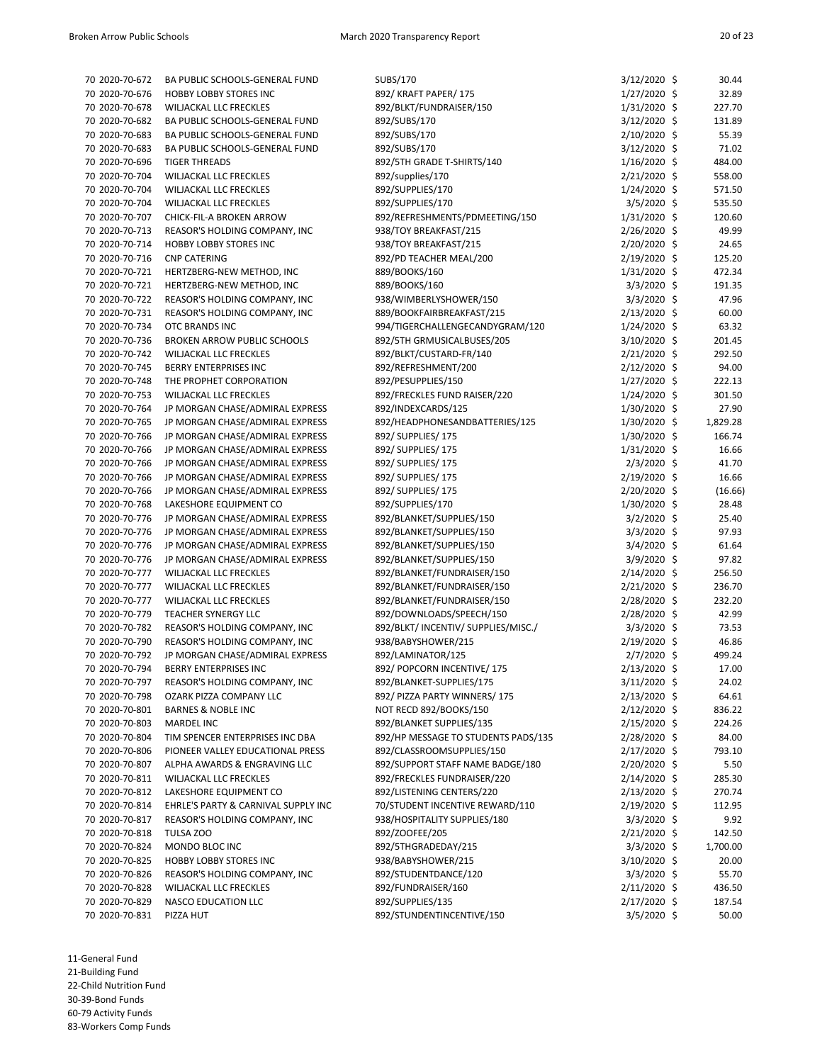| 70 2020-70-672 | BA PUBLIC SCHOOLS-GENERAL FUND      | SUBS/170                                                  | 3/12/2020 \$   | 30.44    |
|----------------|-------------------------------------|-----------------------------------------------------------|----------------|----------|
| 70 2020-70-676 | HOBBY LOBBY STORES INC              | 892/ KRAFT PAPER/ 175                                     | 1/27/2020 \$   | 32.89    |
| 70 2020-70-678 | WILJACKAL LLC FRECKLES              | 892/BLKT/FUNDRAISER/150                                   | $1/31/2020$ \$ | 227.70   |
| 70 2020-70-682 | BA PUBLIC SCHOOLS-GENERAL FUND      | 892/SUBS/170                                              | 3/12/2020 \$   | 131.89   |
| 70 2020-70-683 | BA PUBLIC SCHOOLS-GENERAL FUND      | 892/SUBS/170                                              | 2/10/2020 \$   | 55.39    |
| 70 2020-70-683 | BA PUBLIC SCHOOLS-GENERAL FUND      | 892/SUBS/170                                              | 3/12/2020 \$   | 71.02    |
| 70 2020-70-696 | <b>TIGER THREADS</b>                | 892/5TH GRADE T-SHIRTS/140                                | 1/16/2020 \$   | 484.00   |
| 70 2020-70-704 | WILJACKAL LLC FRECKLES              | 892/supplies/170                                          | 2/21/2020 \$   | 558.00   |
| 70 2020-70-704 | WILJACKAL LLC FRECKLES              | 892/SUPPLIES/170                                          | $1/24/2020$ \$ | 571.50   |
| 70 2020-70-704 | <b>WILJACKAL LLC FRECKLES</b>       | 892/SUPPLIES/170                                          | $3/5/2020$ \$  | 535.50   |
| 70 2020-70-707 | CHICK-FIL-A BROKEN ARROW            | 892/REFRESHMENTS/PDMEETING/150                            | 1/31/2020 \$   | 120.60   |
| 70 2020-70-713 |                                     | 938/TOY BREAKFAST/215                                     | 2/26/2020 \$   | 49.99    |
|                | REASOR'S HOLDING COMPANY, INC       |                                                           |                |          |
| 70 2020-70-714 | HOBBY LOBBY STORES INC              | 938/TOY BREAKFAST/215                                     | $2/20/2020$ \$ | 24.65    |
| 70 2020-70-716 | <b>CNP CATERING</b>                 | 892/PD TEACHER MEAL/200                                   | 2/19/2020 \$   | 125.20   |
| 70 2020-70-721 | HERTZBERG-NEW METHOD, INC           | 889/BOOKS/160                                             | $1/31/2020$ \$ | 472.34   |
| 70 2020-70-721 | HERTZBERG-NEW METHOD, INC           | 889/BOOKS/160                                             | 3/3/2020 \$    | 191.35   |
| 70 2020-70-722 | REASOR'S HOLDING COMPANY, INC       | 938/WIMBERLYSHOWER/150                                    | 3/3/2020 \$    | 47.96    |
| 70 2020-70-731 | REASOR'S HOLDING COMPANY, INC       | 889/BOOKFAIRBREAKFAST/215                                 | $2/13/2020$ \$ | 60.00    |
| 70 2020-70-734 | OTC BRANDS INC                      | 994/TIGERCHALLENGECANDYGRAM/120                           | 1/24/2020 \$   | 63.32    |
| 70 2020-70-736 | <b>BROKEN ARROW PUBLIC SCHOOLS</b>  | 892/5TH GRMUSICALBUSES/205                                | 3/10/2020 \$   | 201.45   |
| 70 2020-70-742 | WILJACKAL LLC FRECKLES              | 892/BLKT/CUSTARD-FR/140                                   | 2/21/2020 \$   | 292.50   |
| 70 2020-70-745 | BERRY ENTERPRISES INC               | 892/REFRESHMENT/200                                       | 2/12/2020 \$   | 94.00    |
| 70 2020-70-748 | THE PROPHET CORPORATION             | 892/PESUPPLIES/150                                        | $1/27/2020$ \$ | 222.13   |
| 70 2020-70-753 | WILJACKAL LLC FRECKLES              | 892/FRECKLES FUND RAISER/220                              | 1/24/2020 \$   | 301.50   |
| 70 2020-70-764 | JP MORGAN CHASE/ADMIRAL EXPRESS     | 892/INDEXCARDS/125                                        | 1/30/2020 \$   | 27.90    |
| 70 2020-70-765 | JP MORGAN CHASE/ADMIRAL EXPRESS     | 892/HEADPHONESANDBATTERIES/125                            | 1/30/2020 \$   | 1,829.28 |
| 70 2020-70-766 | JP MORGAN CHASE/ADMIRAL EXPRESS     | 892/ SUPPLIES/ 175                                        | 1/30/2020 \$   | 166.74   |
| 70 2020-70-766 | JP MORGAN CHASE/ADMIRAL EXPRESS     | 892/ SUPPLIES/ 175                                        | $1/31/2020$ \$ | 16.66    |
|                |                                     |                                                           |                |          |
| 70 2020-70-766 | JP MORGAN CHASE/ADMIRAL EXPRESS     | 892/ SUPPLIES/ 175                                        | $2/3/2020$ \$  | 41.70    |
| 70 2020-70-766 | JP MORGAN CHASE/ADMIRAL EXPRESS     | 892/ SUPPLIES/ 175                                        | 2/19/2020 \$   | 16.66    |
| 70 2020-70-766 | JP MORGAN CHASE/ADMIRAL EXPRESS     | 892/ SUPPLIES/ 175                                        | 2/20/2020 \$   | (16.66)  |
| 70 2020-70-768 | LAKESHORE EQUIPMENT CO              | 892/SUPPLIES/170                                          | $1/30/2020$ \$ | 28.48    |
| 70 2020-70-776 | JP MORGAN CHASE/ADMIRAL EXPRESS     | 892/BLANKET/SUPPLIES/150                                  | $3/2/2020$ \$  | 25.40    |
| 70 2020-70-776 | JP MORGAN CHASE/ADMIRAL EXPRESS     | 892/BLANKET/SUPPLIES/150                                  | 3/3/2020 \$    | 97.93    |
| 70 2020-70-776 | JP MORGAN CHASE/ADMIRAL EXPRESS     | 892/BLANKET/SUPPLIES/150                                  | $3/4/2020$ \$  | 61.64    |
| 70 2020-70-776 | JP MORGAN CHASE/ADMIRAL EXPRESS     | 892/BLANKET/SUPPLIES/150                                  | 3/9/2020 \$    | 97.82    |
| 70 2020-70-777 | WILJACKAL LLC FRECKLES              | 892/BLANKET/FUNDRAISER/150                                | 2/14/2020 \$   | 256.50   |
| 70 2020-70-777 | WILJACKAL LLC FRECKLES              | 892/BLANKET/FUNDRAISER/150                                | $2/21/2020$ \$ | 236.70   |
| 70 2020-70-777 | WILJACKAL LLC FRECKLES              | 892/BLANKET/FUNDRAISER/150                                | $2/28/2020$ \$ | 232.20   |
| 70 2020-70-779 | TEACHER SYNERGY LLC                 | 892/DOWNLOADS/SPEECH/150                                  | 2/28/2020 \$   | 42.99    |
| 70 2020-70-782 | REASOR'S HOLDING COMPANY, INC       | 892/BLKT/ INCENTIV/ SUPPLIES/MISC./                       | $3/3/2020$ \$  | 73.53    |
| 70 2020-70-790 | REASOR'S HOLDING COMPANY, INC       | 938/BABYSHOWER/215                                        | 2/19/2020 \$   | 46.86    |
| 70 2020-70-792 | JP MORGAN CHASE/ADMIRAL EXPRESS     | 892/LAMINATOR/125                                         | $2/7/2020$ \$  | 499.24   |
| 70 2020-70-794 | <b>BERRY ENTERPRISES INC</b>        | 892/ POPCORN INCENTIVE/175                                | 2/13/2020 \$   | 17.00    |
|                | REASOR'S HOLDING COMPANY, INC       |                                                           | 3/11/2020 \$   |          |
| 70 2020-70-797 |                                     | 892/BLANKET-SUPPLIES/175<br>892/ PIZZA PARTY WINNERS/ 175 |                | 24.02    |
| 70 2020-70-798 | OZARK PIZZA COMPANY LLC             |                                                           | $2/13/2020$ \$ | 64.61    |
| 70 2020-70-801 | <b>BARNES &amp; NOBLE INC</b>       | NOT RECD 892/BOOKS/150                                    | $2/12/2020$ \$ | 836.22   |
| 70 2020-70-803 | MARDEL INC                          | 892/BLANKET SUPPLIES/135                                  | $2/15/2020$ \$ | 224.26   |
| 70 2020-70-804 | TIM SPENCER ENTERPRISES INC DBA     | 892/HP MESSAGE TO STUDENTS PADS/135                       | $2/28/2020$ \$ | 84.00    |
| 70 2020-70-806 | PIONEER VALLEY EDUCATIONAL PRESS    | 892/CLASSROOMSUPPLIES/150                                 | $2/17/2020$ \$ | 793.10   |
| 70 2020-70-807 | ALPHA AWARDS & ENGRAVING LLC        | 892/SUPPORT STAFF NAME BADGE/180                          | $2/20/2020$ \$ | 5.50     |
| 70 2020-70-811 | WILJACKAL LLC FRECKLES              | 892/FRECKLES FUNDRAISER/220                               | 2/14/2020 \$   | 285.30   |
| 70 2020-70-812 | LAKESHORE EQUIPMENT CO              | 892/LISTENING CENTERS/220                                 | $2/13/2020$ \$ | 270.74   |
| 70 2020-70-814 | EHRLE'S PARTY & CARNIVAL SUPPLY INC | 70/STUDENT INCENTIVE REWARD/110                           | $2/19/2020$ \$ | 112.95   |
| 70 2020-70-817 | REASOR'S HOLDING COMPANY, INC       | 938/HOSPITALITY SUPPLIES/180                              | $3/3/2020$ \$  | 9.92     |
| 70 2020-70-818 | TULSA ZOO                           | 892/ZOOFEE/205                                            | $2/21/2020$ \$ | 142.50   |
| 70 2020-70-824 | MONDO BLOC INC                      | 892/5THGRADEDAY/215                                       | $3/3/2020$ \$  | 1,700.00 |
| 70 2020-70-825 | HOBBY LOBBY STORES INC              | 938/BABYSHOWER/215                                        | 3/10/2020 \$   | 20.00    |
| 70 2020-70-826 | REASOR'S HOLDING COMPANY, INC       | 892/STUDENTDANCE/120                                      | $3/3/2020$ \$  | 55.70    |
| 70 2020-70-828 | WILJACKAL LLC FRECKLES              | 892/FUNDRAISER/160                                        | 2/11/2020 \$   | 436.50   |
| 70 2020-70-829 | NASCO EDUCATION LLC                 | 892/SUPPLIES/135                                          | 2/17/2020 \$   | 187.54   |
| 70 2020-70-831 | PIZZA HUT                           | 892/STUNDENTINCENTIVE/150                                 | $3/5/2020$ \$  | 50.00    |
|                |                                     |                                                           |                |          |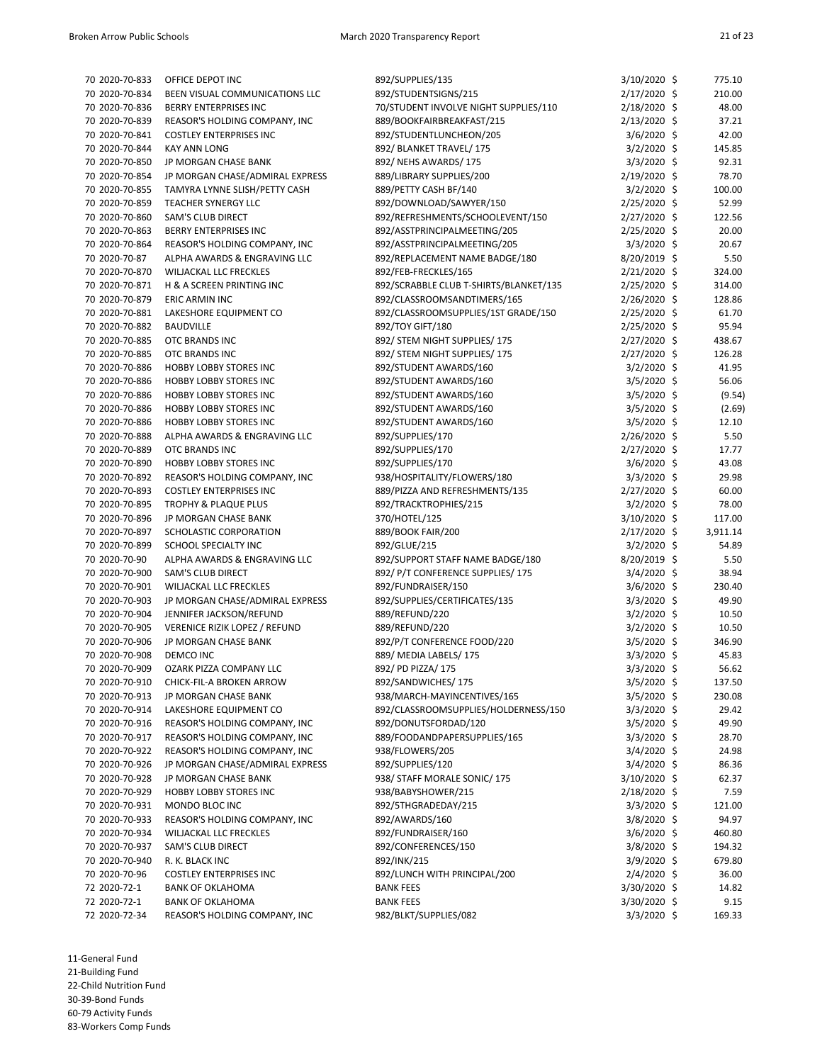| 70 2020-70-833 | OFFICE DEPOT INC                     | 892/SUPPLIES/135                       | 3/10/2020 \$   | 775.10   |
|----------------|--------------------------------------|----------------------------------------|----------------|----------|
|                |                                      |                                        |                |          |
| 70 2020-70-834 | BEEN VISUAL COMMUNICATIONS LLC       | 892/STUDENTSIGNS/215                   | 2/17/2020 \$   | 210.00   |
| 70 2020-70-836 | <b>BERRY ENTERPRISES INC</b>         | 70/STUDENT INVOLVE NIGHT SUPPLIES/110  | $2/18/2020$ \$ | 48.00    |
| 70 2020-70-839 | REASOR'S HOLDING COMPANY, INC        | 889/BOOKFAIRBREAKFAST/215              | $2/13/2020$ \$ | 37.21    |
| 70 2020-70-841 | <b>COSTLEY ENTERPRISES INC</b>       | 892/STUDENTLUNCHEON/205                | $3/6/2020$ \$  | 42.00    |
| 70 2020-70-844 | <b>KAY ANN LONG</b>                  | 892/ BLANKET TRAVEL/ 175               | 3/2/2020 \$    | 145.85   |
| 70 2020-70-850 | JP MORGAN CHASE BANK                 | 892/ NEHS AWARDS/ 175                  | $3/3/2020$ \$  | 92.31    |
| 70 2020-70-854 | JP MORGAN CHASE/ADMIRAL EXPRESS      | 889/LIBRARY SUPPLIES/200               | $2/19/2020$ \$ | 78.70    |
| 70 2020-70-855 | TAMYRA LYNNE SLISH/PETTY CASH        | 889/PETTY CASH BF/140                  | 3/2/2020 \$    | 100.00   |
| 70 2020-70-859 | TEACHER SYNERGY LLC                  | 892/DOWNLOAD/SAWYER/150                | 2/25/2020 \$   | 52.99    |
| 70 2020-70-860 | <b>SAM'S CLUB DIRECT</b>             | 892/REFRESHMENTS/SCHOOLEVENT/150       | $2/27/2020$ \$ | 122.56   |
| 70 2020-70-863 | <b>BERRY ENTERPRISES INC</b>         | 892/ASSTPRINCIPALMEETING/205           | $2/25/2020$ \$ | 20.00    |
| 70 2020-70-864 | REASOR'S HOLDING COMPANY, INC        | 892/ASSTPRINCIPALMEETING/205           | $3/3/2020$ \$  | 20.67    |
| 70 2020-70-87  |                                      |                                        |                | 5.50     |
|                | ALPHA AWARDS & ENGRAVING LLC         | 892/REPLACEMENT NAME BADGE/180         | 8/20/2019 \$   |          |
| 70 2020-70-870 | WILJACKAL LLC FRECKLES               | 892/FEB-FRECKLES/165                   | 2/21/2020 \$   | 324.00   |
| 70 2020-70-871 | H & A SCREEN PRINTING INC            | 892/SCRABBLE CLUB T-SHIRTS/BLANKET/135 | $2/25/2020$ \$ | 314.00   |
| 70 2020-70-879 | <b>ERIC ARMIN INC</b>                | 892/CLASSROOMSANDTIMERS/165            | $2/26/2020$ \$ | 128.86   |
| 70 2020-70-881 | LAKESHORE EQUIPMENT CO               | 892/CLASSROOMSUPPLIES/1ST GRADE/150    | $2/25/2020$ \$ | 61.70    |
| 70 2020-70-882 | <b>BAUDVILLE</b>                     | 892/TOY GIFT/180                       | $2/25/2020$ \$ | 95.94    |
| 70 2020-70-885 | OTC BRANDS INC                       | 892/ STEM NIGHT SUPPLIES/ 175          | 2/27/2020 \$   | 438.67   |
| 70 2020-70-885 | OTC BRANDS INC                       | 892/ STEM NIGHT SUPPLIES/ 175          | 2/27/2020 \$   | 126.28   |
| 70 2020-70-886 | HOBBY LOBBY STORES INC               | 892/STUDENT AWARDS/160                 | $3/2/2020$ \$  | 41.95    |
| 70 2020-70-886 | <b>HOBBY LOBBY STORES INC</b>        | 892/STUDENT AWARDS/160                 | $3/5/2020$ \$  | 56.06    |
| 70 2020-70-886 | <b>HOBBY LOBBY STORES INC</b>        | 892/STUDENT AWARDS/160                 | $3/5/2020$ \$  | (9.54)   |
| 70 2020-70-886 | <b>HOBBY LOBBY STORES INC</b>        | 892/STUDENT AWARDS/160                 | 3/5/2020 \$    | (2.69)   |
| 70 2020-70-886 | HOBBY LOBBY STORES INC               | 892/STUDENT AWARDS/160                 | $3/5/2020$ \$  | 12.10    |
| 70 2020-70-888 | ALPHA AWARDS & ENGRAVING LLC         | 892/SUPPLIES/170                       | 2/26/2020 \$   | 5.50     |
| 70 2020-70-889 | OTC BRANDS INC                       | 892/SUPPLIES/170                       | 2/27/2020 \$   | 17.77    |
|                |                                      |                                        |                |          |
| 70 2020-70-890 | <b>HOBBY LOBBY STORES INC</b>        | 892/SUPPLIES/170                       | $3/6/2020$ \$  | 43.08    |
| 70 2020-70-892 | REASOR'S HOLDING COMPANY, INC        | 938/HOSPITALITY/FLOWERS/180            | $3/3/2020$ \$  | 29.98    |
| 70 2020-70-893 | <b>COSTLEY ENTERPRISES INC</b>       | 889/PIZZA AND REFRESHMENTS/135         | $2/27/2020$ \$ | 60.00    |
| 70 2020-70-895 | <b>TROPHY &amp; PLAQUE PLUS</b>      | 892/TRACKTROPHIES/215                  | $3/2/2020$ \$  | 78.00    |
| 70 2020-70-896 | JP MORGAN CHASE BANK                 | 370/HOTEL/125                          | $3/10/2020$ \$ | 117.00   |
| 70 2020-70-897 | SCHOLASTIC CORPORATION               | 889/BOOK FAIR/200                      | 2/17/2020 \$   | 3,911.14 |
| 70 2020-70-899 | SCHOOL SPECIALTY INC                 | 892/GLUE/215                           | 3/2/2020 \$    | 54.89    |
| 70 2020-70-90  | ALPHA AWARDS & ENGRAVING LLC         | 892/SUPPORT STAFF NAME BADGE/180       | $8/20/2019$ \$ | 5.50     |
| 70 2020-70-900 | SAM'S CLUB DIRECT                    | 892/ P/T CONFERENCE SUPPLIES/ 175      | $3/4/2020$ \$  | 38.94    |
| 70 2020-70-901 | WILJACKAL LLC FRECKLES               | 892/FUNDRAISER/150                     | 3/6/2020 \$    | 230.40   |
| 70 2020-70-903 | JP MORGAN CHASE/ADMIRAL EXPRESS      | 892/SUPPLIES/CERTIFICATES/135          | 3/3/2020 \$    | 49.90    |
| 70 2020-70-904 | JENNIFER JACKSON/REFUND              | 889/REFUND/220                         | $3/2/2020$ \$  | 10.50    |
| 70 2020-70-905 | <b>VERENICE RIZIK LOPEZ / REFUND</b> | 889/REFUND/220                         | 3/2/2020 \$    | 10.50    |
| 70 2020-70-906 | JP MORGAN CHASE BANK                 | 892/P/T CONFERENCE FOOD/220            | $3/5/2020$ \$  | 346.90   |
| 70 2020-70-908 | <b>DEMCO INC</b>                     | 889/ MEDIA LABELS/ 175                 | 3/3/2020 \$    | 45.83    |
| 70 2020-70-909 |                                      | 892/ PD PIZZA/ 175                     | 3/3/2020 \$    | 56.62    |
|                | OZARK PIZZA COMPANY LLC              | 892/SANDWICHES/175                     |                |          |
| 70 2020-70-910 | CHICK-FIL-A BROKEN ARROW             |                                        | 3/5/2020 \$    | 137.50   |
| 70 2020-70-913 | JP MORGAN CHASE BANK                 | 938/MARCH-MAYINCENTIVES/165            | 3/5/2020 \$    | 230.08   |
| 70 2020-70-914 | LAKESHORE EQUIPMENT CO               | 892/CLASSROOMSUPPLIES/HOLDERNESS/150   | $3/3/2020$ \$  | 29.42    |
| 70 2020-70-916 | REASOR'S HOLDING COMPANY, INC        | 892/DONUTSFORDAD/120                   | 3/5/2020 \$    | 49.90    |
| 70 2020-70-917 | REASOR'S HOLDING COMPANY, INC        | 889/FOODANDPAPERSUPPLIES/165           | 3/3/2020 \$    | 28.70    |
| 70 2020-70-922 | REASOR'S HOLDING COMPANY, INC        | 938/FLOWERS/205                        | 3/4/2020 \$    | 24.98    |
| 70 2020-70-926 | JP MORGAN CHASE/ADMIRAL EXPRESS      | 892/SUPPLIES/120                       | $3/4/2020$ \$  | 86.36    |
| 70 2020-70-928 | JP MORGAN CHASE BANK                 | 938/ STAFF MORALE SONIC/ 175           | $3/10/2020$ \$ | 62.37    |
| 70 2020-70-929 | HOBBY LOBBY STORES INC               | 938/BABYSHOWER/215                     | 2/18/2020 \$   | 7.59     |
| 70 2020-70-931 | MONDO BLOC INC                       | 892/5THGRADEDAY/215                    | $3/3/2020$ \$  | 121.00   |
| 70 2020-70-933 | REASOR'S HOLDING COMPANY, INC        | 892/AWARDS/160                         | $3/8/2020$ \$  | 94.97    |
| 70 2020-70-934 | WILJACKAL LLC FRECKLES               | 892/FUNDRAISER/160                     | $3/6/2020$ \$  | 460.80   |
| 70 2020-70-937 | SAM'S CLUB DIRECT                    | 892/CONFERENCES/150                    | $3/8/2020$ \$  | 194.32   |
| 70 2020-70-940 | R. K. BLACK INC                      | 892/INK/215                            | 3/9/2020 \$    | 679.80   |
| 70 2020-70-96  | <b>COSTLEY ENTERPRISES INC</b>       | 892/LUNCH WITH PRINCIPAL/200           | $2/4/2020$ \$  | 36.00    |
|                |                                      | <b>BANK FEES</b>                       |                |          |
| 72 2020-72-1   | <b>BANK OF OKLAHOMA</b>              |                                        | 3/30/2020 \$   | 14.82    |
| 72 2020-72-1   | <b>BANK OF OKLAHOMA</b>              | <b>BANK FEES</b>                       | 3/30/2020 \$   | 9.15     |
| 72 2020-72-34  | REASOR'S HOLDING COMPANY, INC        | 982/BLKT/SUPPLIES/082                  | $3/3/2020$ \$  | 169.33   |

11-General Fund 21-Building Fund 22-Child Nutrition Fund 30-39-Bond Funds 60-79 Activity Funds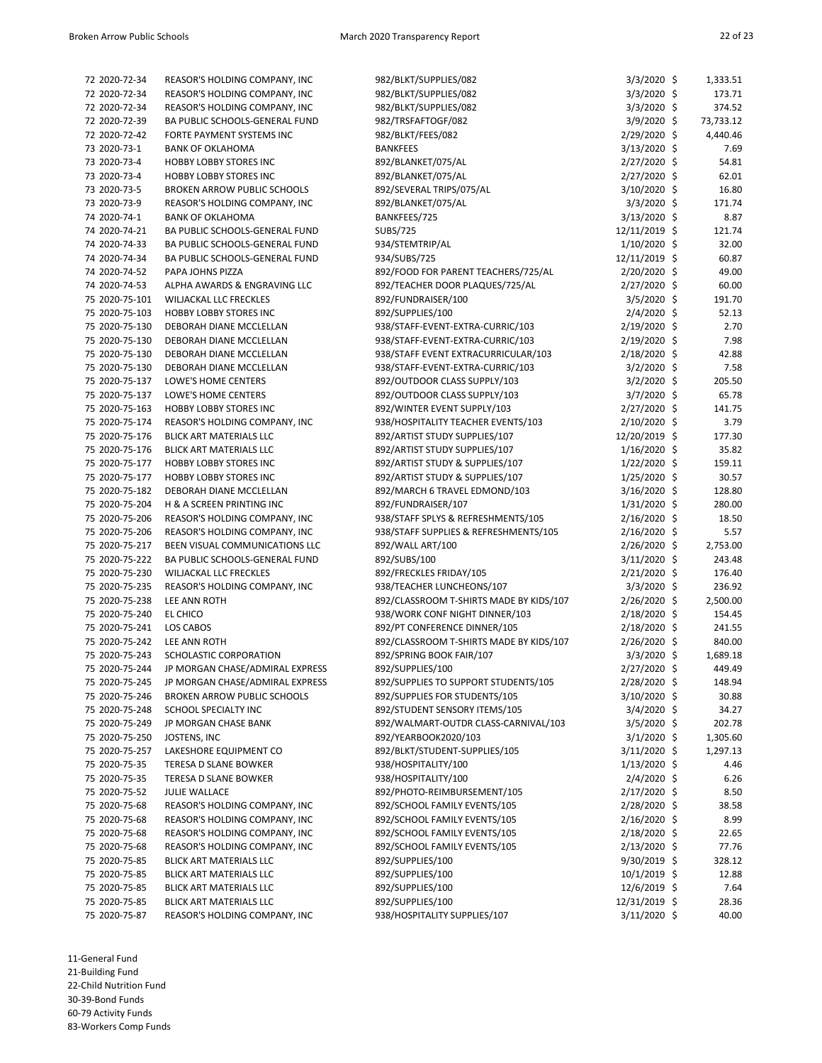| 72 2020-72-34  | REASOR'S HOLDING COMPANY, INC                                       | 982/BLKT/SUPPLIES/082                   | $3/3/2020$ \$  | 1,333.51  |
|----------------|---------------------------------------------------------------------|-----------------------------------------|----------------|-----------|
| 72 2020-72-34  | REASOR'S HOLDING COMPANY, INC                                       | 982/BLKT/SUPPLIES/082                   | 3/3/2020 \$    | 173.71    |
| 72 2020-72-34  | REASOR'S HOLDING COMPANY, INC                                       | 982/BLKT/SUPPLIES/082                   | $3/3/2020$ \$  | 374.52    |
| 72 2020-72-39  | BA PUBLIC SCHOOLS-GENERAL FUND                                      | 982/TRSFAFTOGF/082                      | $3/9/2020$ \$  | 73,733.12 |
| 72 2020-72-42  | FORTE PAYMENT SYSTEMS INC                                           | 982/BLKT/FEES/082                       | $2/29/2020$ \$ | 4,440.46  |
| 73 2020-73-1   | <b>BANK OF OKLAHOMA</b>                                             | <b>BANKFEES</b>                         | 3/13/2020 \$   | 7.69      |
| 73 2020-73-4   | <b>HOBBY LOBBY STORES INC</b>                                       | 892/BLANKET/075/AL                      | 2/27/2020 \$   | 54.81     |
| 73 2020-73-4   | <b>HOBBY LOBBY STORES INC</b>                                       | 892/BLANKET/075/AL                      | $2/27/2020$ \$ | 62.01     |
|                |                                                                     |                                         |                | 16.80     |
| 73 2020-73-5   | <b>BROKEN ARROW PUBLIC SCHOOLS</b><br>REASOR'S HOLDING COMPANY, INC | 892/SEVERAL TRIPS/075/AL                | 3/10/2020 \$   | 171.74    |
| 73 2020-73-9   | <b>BANK OF OKLAHOMA</b>                                             | 892/BLANKET/075/AL<br>BANKFEES/725      | $3/3/2020$ \$  |           |
| 74 2020-74-1   |                                                                     |                                         | $3/13/2020$ \$ | 8.87      |
| 74 2020-74-21  | BA PUBLIC SCHOOLS-GENERAL FUND                                      | SUBS/725                                | 12/11/2019 \$  | 121.74    |
| 74 2020-74-33  | BA PUBLIC SCHOOLS-GENERAL FUND                                      | 934/STEMTRIP/AL                         | $1/10/2020$ \$ | 32.00     |
| 74 2020-74-34  | BA PUBLIC SCHOOLS-GENERAL FUND                                      | 934/SUBS/725                            | 12/11/2019 \$  | 60.87     |
| 74 2020-74-52  | PAPA JOHNS PIZZA                                                    | 892/FOOD FOR PARENT TEACHERS/725/AL     | $2/20/2020$ \$ | 49.00     |
| 74 2020-74-53  | ALPHA AWARDS & ENGRAVING LLC                                        | 892/TEACHER DOOR PLAQUES/725/AL         | $2/27/2020$ \$ | 60.00     |
| 75 2020-75-101 | WILJACKAL LLC FRECKLES                                              | 892/FUNDRAISER/100                      | $3/5/2020$ \$  | 191.70    |
| 75 2020-75-103 | HOBBY LOBBY STORES INC                                              | 892/SUPPLIES/100                        | 2/4/2020 \$    | 52.13     |
| 75 2020-75-130 | DEBORAH DIANE MCCLELLAN                                             | 938/STAFF-EVENT-EXTRA-CURRIC/103        | 2/19/2020 \$   | 2.70      |
| 75 2020-75-130 | DEBORAH DIANE MCCLELLAN                                             | 938/STAFF-EVENT-EXTRA-CURRIC/103        | $2/19/2020$ \$ | 7.98      |
| 75 2020-75-130 | DEBORAH DIANE MCCLELLAN                                             | 938/STAFF EVENT EXTRACURRICULAR/103     | $2/18/2020$ \$ | 42.88     |
| 75 2020-75-130 | DEBORAH DIANE MCCLELLAN                                             | 938/STAFF-EVENT-EXTRA-CURRIC/103        | $3/2/2020$ \$  | 7.58      |
| 75 2020-75-137 | LOWE'S HOME CENTERS                                                 | 892/OUTDOOR CLASS SUPPLY/103            | 3/2/2020 \$    | 205.50    |
| 75 2020-75-137 | LOWE'S HOME CENTERS                                                 | 892/OUTDOOR CLASS SUPPLY/103            | 3/7/2020 \$    | 65.78     |
| 75 2020-75-163 | <b>HOBBY LOBBY STORES INC</b>                                       | 892/WINTER EVENT SUPPLY/103             | 2/27/2020 \$   | 141.75    |
| 75 2020-75-174 | REASOR'S HOLDING COMPANY, INC                                       | 938/HOSPITALITY TEACHER EVENTS/103      | $2/10/2020$ \$ | 3.79      |
| 75 2020-75-176 | BLICK ART MATERIALS LLC                                             | 892/ARTIST STUDY SUPPLIES/107           | 12/20/2019 \$  | 177.30    |
| 75 2020-75-176 | BLICK ART MATERIALS LLC                                             | 892/ARTIST STUDY SUPPLIES/107           | $1/16/2020$ \$ | 35.82     |
| 75 2020-75-177 | <b>HOBBY LOBBY STORES INC</b>                                       | 892/ARTIST STUDY & SUPPLIES/107         | $1/22/2020$ \$ | 159.11    |
| 75 2020-75-177 | <b>HOBBY LOBBY STORES INC</b>                                       | 892/ARTIST STUDY & SUPPLIES/107         | 1/25/2020 \$   | 30.57     |
| 75 2020-75-182 | DEBORAH DIANE MCCLELLAN                                             | 892/MARCH 6 TRAVEL EDMOND/103           | $3/16/2020$ \$ | 128.80    |
| 75 2020-75-204 | H & A SCREEN PRINTING INC                                           | 892/FUNDRAISER/107                      | $1/31/2020$ \$ | 280.00    |
| 75 2020-75-206 | REASOR'S HOLDING COMPANY, INC                                       | 938/STAFF SPLYS & REFRESHMENTS/105      | $2/16/2020$ \$ | 18.50     |
| 75 2020-75-206 | REASOR'S HOLDING COMPANY, INC                                       | 938/STAFF SUPPLIES & REFRESHMENTS/105   | $2/16/2020$ \$ | 5.57      |
| 75 2020-75-217 | BEEN VISUAL COMMUNICATIONS LLC                                      | 892/WALL ART/100                        | $2/26/2020$ \$ | 2,753.00  |
| 75 2020-75-222 | BA PUBLIC SCHOOLS-GENERAL FUND                                      | 892/SUBS/100                            | $3/11/2020$ \$ | 243.48    |
| 75 2020-75-230 | WILJACKAL LLC FRECKLES                                              | 892/FRECKLES FRIDAY/105                 | $2/21/2020$ \$ | 176.40    |
| 75 2020-75-235 | REASOR'S HOLDING COMPANY, INC                                       | 938/TEACHER LUNCHEONS/107               | $3/3/2020$ \$  | 236.92    |
| 75 2020-75-238 | LEE ANN ROTH                                                        | 892/CLASSROOM T-SHIRTS MADE BY KIDS/107 | $2/26/2020$ \$ | 2,500.00  |
| 75 2020-75-240 | EL CHICO                                                            | 938/WORK CONF NIGHT DINNER/103          | $2/18/2020$ \$ | 154.45    |
| 75 2020-75-241 | LOS CABOS                                                           | 892/PT CONFERENCE DINNER/105            | $2/18/2020$ \$ | 241.55    |
| 75 2020-75-242 | LEE ANN ROTH                                                        | 892/CLASSROOM T-SHIRTS MADE BY KIDS/107 | $2/26/2020$ \$ | 840.00    |
| 75 2020-75-243 | SCHOLASTIC CORPORATION                                              | 892/SPRING BOOK FAIR/107                | $3/3/2020$ \$  | 1,689.18  |
| 75 2020-75-244 | JP MORGAN CHASE/ADMIRAL EXPRESS                                     | 892/SUPPLIES/100                        | 2/27/2020 \$   | 449.49    |
| 75 2020-75-245 | JP MORGAN CHASE/ADMIRAL EXPRESS                                     | 892/SUPPLIES TO SUPPORT STUDENTS/105    | 2/28/2020 \$   | 148.94    |
| 75 2020-75-246 | BROKEN ARROW PUBLIC SCHOOLS                                         | 892/SUPPLIES FOR STUDENTS/105           | 3/10/2020 \$   | 30.88     |
| 75 2020-75-248 | SCHOOL SPECIALTY INC                                                | 892/STUDENT SENSORY ITEMS/105           | 3/4/2020 \$    | 34.27     |
| 75 2020-75-249 | JP MORGAN CHASE BANK                                                | 892/WALMART-OUTDR CLASS-CARNIVAL/103    |                |           |
| 75 2020-75-250 |                                                                     |                                         | $3/5/2020$ \$  | 202.78    |
|                | JOSTENS, INC                                                        | 892/YEARBOOK2020/103                    | $3/1/2020$ \$  | 1,305.60  |
| 75 2020-75-257 | LAKESHORE EQUIPMENT CO                                              | 892/BLKT/STUDENT-SUPPLIES/105           | $3/11/2020$ \$ | 1,297.13  |
| 75 2020-75-35  | TERESA D SLANE BOWKER                                               | 938/HOSPITALITY/100                     | $1/13/2020$ \$ | 4.46      |
| 75 2020-75-35  | <b>TERESA D SLANE BOWKER</b>                                        | 938/HOSPITALITY/100                     | $2/4/2020$ \$  | 6.26      |
| 75 2020-75-52  | <b>JULIE WALLACE</b>                                                | 892/PHOTO-REIMBURSEMENT/105             | $2/17/2020$ \$ | 8.50      |
| 75 2020-75-68  | REASOR'S HOLDING COMPANY, INC                                       | 892/SCHOOL FAMILY EVENTS/105            | $2/28/2020$ \$ | 38.58     |
| 75 2020-75-68  | REASOR'S HOLDING COMPANY, INC                                       | 892/SCHOOL FAMILY EVENTS/105            | $2/16/2020$ \$ | 8.99      |
| 75 2020-75-68  | REASOR'S HOLDING COMPANY, INC                                       | 892/SCHOOL FAMILY EVENTS/105            | $2/18/2020$ \$ | 22.65     |
| 75 2020-75-68  | REASOR'S HOLDING COMPANY, INC                                       | 892/SCHOOL FAMILY EVENTS/105            | $2/13/2020$ \$ | 77.76     |
| 75 2020-75-85  | BLICK ART MATERIALS LLC                                             | 892/SUPPLIES/100                        | $9/30/2019$ \$ | 328.12    |
| 75 2020-75-85  | BLICK ART MATERIALS LLC                                             | 892/SUPPLIES/100                        | $10/1/2019$ \$ | 12.88     |
| 75 2020-75-85  | BLICK ART MATERIALS LLC                                             | 892/SUPPLIES/100                        | 12/6/2019 \$   | 7.64      |
| 75 2020-75-85  | BLICK ART MATERIALS LLC                                             | 892/SUPPLIES/100                        | 12/31/2019 \$  | 28.36     |
| 75 2020-75-87  | REASOR'S HOLDING COMPANY, INC                                       | 938/HOSPITALITY SUPPLIES/107            | 3/11/2020 \$   | 40.00     |

11-General Fund 21-Building Fund 22-Child Nutrition Fund

30-39-Bond Funds

60-79 Activity Funds